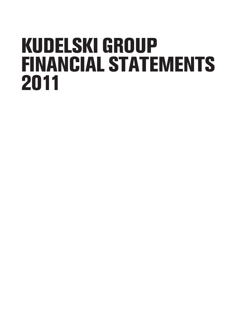# Kudelski Group FINANCIAL STATEMENTS 2011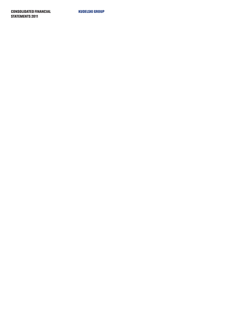**KUDELSKI GROUP** 

Consolidated financial Kudels s tatemen ts 2011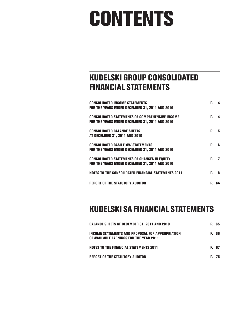# **CONTENTS**

### Kudelski Group consolidated financial statements

| <b>CONSOLIDATED INCOME STATEMENTS</b>                      | P  | 4  |
|------------------------------------------------------------|----|----|
| FOR THE YEARS ENDED DECEMBER 31, 2011 AND 2010             |    |    |
| <b>CONSOLIDATED STATEMENTS OF COMPREHENSIVE INCOME</b>     | Р. | 4  |
| FOR THE YEARS ENDED DECEMBER 31, 2011 AND 2010             |    |    |
| <b>CONSOLIDATED BALANCE SHEETS</b>                         | Р. | 5  |
| <b>AT DECEMBER 31, 2011 AND 2010</b>                       |    |    |
| <b>CONSOLIDATED CASH FLOW STATEMENTS</b>                   | Р. | 6  |
| FOR THE YEARS ENDED DECEMBER 31, 2011 AND 2010             |    |    |
| <b>CONSOLIDATED STATEMENTS OF CHANGES IN EQUITY</b>        | P. | 7  |
| FOR THE YEARS ENDED DECEMBER 31, 2011 AND 2010             |    |    |
| <b>NOTES TO THE CONSOLIDATED FINANCIAL STATEMENTS 2011</b> | Р. | 8  |
|                                                            |    |    |
| <b>REPORT OF THE STATUTORY AUDITOR</b>                     | P. | 64 |

### Kudelski SA financial statements

| <b>BALANCE SHEETS AT DECEMBER 31, 2011 AND 2010</b>                                                | Р. | 65           |
|----------------------------------------------------------------------------------------------------|----|--------------|
| <b>INCOME STATEMENTS AND PROPOSAL FOR APPROPRIATION</b><br>OF AVAILABLE EARNINGS FOR THE YEAR 2011 |    | P. 66        |
| <b>NOTES TO THE FINANCIAL STATEMENTS 2011</b>                                                      |    | <b>P.</b> 67 |
| <b>REPORT OF THE STATUTORY AUDITOR</b>                                                             | P. | 75           |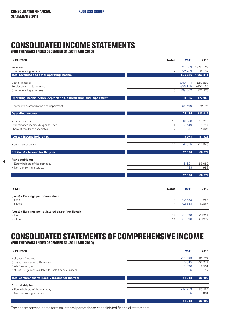4

### Consolidated income statements

(for the years ended December 31, 2011 and 2010)

| <b>In CHF'000</b>                                                 | <b>Notes</b> | 2011       | 2010      |
|-------------------------------------------------------------------|--------------|------------|-----------|
| Revenues                                                          | 6            | 873 863    | 035 172   |
| Other operating income                                            | 7            | 22 763     | 34 169    |
| Total revenues and other operating income                         |              | 896 626    | 1 069 341 |
| Cost of material                                                  |              | $-240414$  | $-260220$ |
| Employee benefits expense                                         |              | $-376$ 155 | $-402160$ |
| Other operating expenses                                          | 8            | $-189062$  | $-233975$ |
| Operating income before depreciation, amortization and impairment |              | 90 995     | 172 986   |
| Depreciation, amortization and impairment                         | 9            | $-65560$   | $-62974$  |
| <b>Operating income</b>                                           |              | 25 435     | 110 012   |
| Interest expense                                                  | 10           | $-16578$   | $-16709$  |
| Other finance income/(expense), net                               | 11           | $-17649$   | $-16677$  |
| Share of results of associates                                    | 17           | $-281$     | 4897      |
| (Loss) / Income before tax                                        |              | $-9073$    | 81 523    |
| Income tax expense                                                | 12           | $-8615$    | $-14846$  |
| Net (loss) / Income for the year                                  |              | $-17688$   | 66 677    |
| <b>Attributable to:</b>                                           |              |            |           |
| - Equity holders of the company                                   |              | $-18121$   | 65 689    |
| - Non controlling interests                                       |              | 433        | 988       |
|                                                                   |              | $-17688$   | 66 677    |

| <b>Notes</b>   | 2011      | 2010   |
|----------------|-----------|--------|
|                |           |        |
| $\overline{4}$ | $-0.3383$ | 1.2268 |
| $\overline{4}$ | $-0.3383$ | 1.2267 |
|                |           |        |
| $\overline{4}$ | $-0.0338$ | 0.1227 |
| $\overline{4}$ | $-0.0338$ | 0.1227 |
|                |           |        |

## CONSOLIDATED statementS of Comprehensive Income

(for the years ended December 31, 2011 and 2010)

| <b>In CHF'000</b>                                        | 2011     | 2010     |
|----------------------------------------------------------|----------|----------|
| Net (loss) / income                                      | $-17688$ | 66 677   |
| Currency translation differences                         | 5645     | $-32217$ |
| Cash flow hedges                                         | $-2590$  | 1561     |
| Net (loss) / gain on available-for-sale financial assets | $-15$    | 72       |
| Total comprehensive (loss) / income for the year         | $-14648$ | 36 093   |
| <b>Attributable to:</b>                                  |          |          |
| - Equity holders of the company                          | $-14713$ | 36 454   |
| - Non controlling interests                              | 65       | $-361$   |
|                                                          | $-14648$ | 36 093   |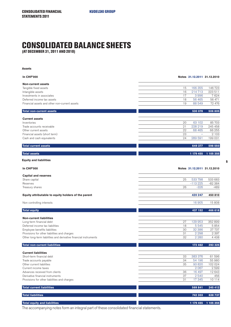### Consolidated balance sheets

(at December 31, 2011 and 2010)

#### **Assets**

| <b>Non-current assets</b><br>Tangible fixed assets<br>166 355<br>146 723<br>15<br>214713<br>Intangible assets<br>16<br>223 511<br>3996<br>Investments in associates<br>17<br>7624<br>56 465<br>Deferred income tax assets<br>18<br>56 471<br>Financial assets and other non-current assets<br>19<br>88 549<br>72 476<br>506 805<br><b>Total non-current assets</b><br>530 078<br><b>Current assets</b><br>63 102<br>85 703<br>Inventories<br>20<br>21<br>228 219<br>Trade accounts receivable<br>245 458<br>68 4 65<br>Other current assets<br>22<br>66 255<br>23<br>Financial assets (short term)<br>2 1 0 3<br>$\overline{\phantom{a}}$<br>24<br>289 591<br>199 031<br>Cash and cash equivalents<br>598 550<br><b>Total current assets</b><br>649 377<br><b>Total assets</b><br>1 105 355<br>1 179 455<br><b>Equity and liabilities</b><br><b>In CHF'000</b><br>Notes 31.12.2011 31.12.2010<br><b>Capital and reserves</b><br>533 798<br>533 683<br>Share capital<br>25<br>$-113225$<br>Reserves<br>$-82384$<br>$-326$<br>26<br>$-489$<br>Treasury shares<br>420 247<br>450 810<br>Equity attributable to equity holders of the parent<br>16 905<br>15808<br>Non controlling interests<br><b>Total equity</b><br>437 152<br>466 618<br><b>Non-current liabilities</b><br>129 953<br>352 899<br>Long-term financial debt<br>27<br>5 5 4 5<br>Deferred income tax liabilities<br>18<br>5854<br>32 3 8 6<br>Employee benefits liabilities<br>30<br>27 737<br>2 2 9 8<br>31<br>Provisions for other liabilities and charges<br>2 3 9 7<br>2 2 8 0<br>Other long-term liabilities and derivative financial instruments<br>32<br>4 4 3 8<br><b>Total non-current liabilities</b><br>172 462<br>393 325<br><b>Current liabilities</b><br>33<br>383 376<br>61 596<br>Short-term financial debt<br>Trade accounts payable<br>34<br>54 196<br>55 980<br>93 820<br>Other current liabilities<br>35<br>102 024<br>2 0 6 7<br>2599<br>Current income taxes<br>Advances received from clients<br>16 497<br>12 643<br>36<br>37<br>2540<br>Derivative financial instruments<br>456<br>31<br>Provisions for other liabilities and charges<br>17 345<br>10 114<br><b>Total current liabilities</b><br>569 841<br>245 412<br><b>Total liabilities</b><br>742 303<br>638 737<br><b>Total equity and liabilities</b><br>1 179 455 1 105 355 | <b>In CHF'000</b> | Notes 31.12.2011 31.12.2010 |  |
|--------------------------------------------------------------------------------------------------------------------------------------------------------------------------------------------------------------------------------------------------------------------------------------------------------------------------------------------------------------------------------------------------------------------------------------------------------------------------------------------------------------------------------------------------------------------------------------------------------------------------------------------------------------------------------------------------------------------------------------------------------------------------------------------------------------------------------------------------------------------------------------------------------------------------------------------------------------------------------------------------------------------------------------------------------------------------------------------------------------------------------------------------------------------------------------------------------------------------------------------------------------------------------------------------------------------------------------------------------------------------------------------------------------------------------------------------------------------------------------------------------------------------------------------------------------------------------------------------------------------------------------------------------------------------------------------------------------------------------------------------------------------------------------------------------------------------------------------------------------------------------------------------------------------------------------------------------------------------------------------------------------------------------------------------------------------------------------------------------------------------------------------------------------------------------------------------------------------------------------------------------------------------------------------------------------------------|-------------------|-----------------------------|--|
|                                                                                                                                                                                                                                                                                                                                                                                                                                                                                                                                                                                                                                                                                                                                                                                                                                                                                                                                                                                                                                                                                                                                                                                                                                                                                                                                                                                                                                                                                                                                                                                                                                                                                                                                                                                                                                                                                                                                                                                                                                                                                                                                                                                                                                                                                                                          |                   |                             |  |
|                                                                                                                                                                                                                                                                                                                                                                                                                                                                                                                                                                                                                                                                                                                                                                                                                                                                                                                                                                                                                                                                                                                                                                                                                                                                                                                                                                                                                                                                                                                                                                                                                                                                                                                                                                                                                                                                                                                                                                                                                                                                                                                                                                                                                                                                                                                          |                   |                             |  |
|                                                                                                                                                                                                                                                                                                                                                                                                                                                                                                                                                                                                                                                                                                                                                                                                                                                                                                                                                                                                                                                                                                                                                                                                                                                                                                                                                                                                                                                                                                                                                                                                                                                                                                                                                                                                                                                                                                                                                                                                                                                                                                                                                                                                                                                                                                                          |                   |                             |  |
|                                                                                                                                                                                                                                                                                                                                                                                                                                                                                                                                                                                                                                                                                                                                                                                                                                                                                                                                                                                                                                                                                                                                                                                                                                                                                                                                                                                                                                                                                                                                                                                                                                                                                                                                                                                                                                                                                                                                                                                                                                                                                                                                                                                                                                                                                                                          |                   |                             |  |
|                                                                                                                                                                                                                                                                                                                                                                                                                                                                                                                                                                                                                                                                                                                                                                                                                                                                                                                                                                                                                                                                                                                                                                                                                                                                                                                                                                                                                                                                                                                                                                                                                                                                                                                                                                                                                                                                                                                                                                                                                                                                                                                                                                                                                                                                                                                          |                   |                             |  |
|                                                                                                                                                                                                                                                                                                                                                                                                                                                                                                                                                                                                                                                                                                                                                                                                                                                                                                                                                                                                                                                                                                                                                                                                                                                                                                                                                                                                                                                                                                                                                                                                                                                                                                                                                                                                                                                                                                                                                                                                                                                                                                                                                                                                                                                                                                                          |                   |                             |  |
|                                                                                                                                                                                                                                                                                                                                                                                                                                                                                                                                                                                                                                                                                                                                                                                                                                                                                                                                                                                                                                                                                                                                                                                                                                                                                                                                                                                                                                                                                                                                                                                                                                                                                                                                                                                                                                                                                                                                                                                                                                                                                                                                                                                                                                                                                                                          |                   |                             |  |
|                                                                                                                                                                                                                                                                                                                                                                                                                                                                                                                                                                                                                                                                                                                                                                                                                                                                                                                                                                                                                                                                                                                                                                                                                                                                                                                                                                                                                                                                                                                                                                                                                                                                                                                                                                                                                                                                                                                                                                                                                                                                                                                                                                                                                                                                                                                          |                   |                             |  |
|                                                                                                                                                                                                                                                                                                                                                                                                                                                                                                                                                                                                                                                                                                                                                                                                                                                                                                                                                                                                                                                                                                                                                                                                                                                                                                                                                                                                                                                                                                                                                                                                                                                                                                                                                                                                                                                                                                                                                                                                                                                                                                                                                                                                                                                                                                                          |                   |                             |  |
|                                                                                                                                                                                                                                                                                                                                                                                                                                                                                                                                                                                                                                                                                                                                                                                                                                                                                                                                                                                                                                                                                                                                                                                                                                                                                                                                                                                                                                                                                                                                                                                                                                                                                                                                                                                                                                                                                                                                                                                                                                                                                                                                                                                                                                                                                                                          |                   |                             |  |
|                                                                                                                                                                                                                                                                                                                                                                                                                                                                                                                                                                                                                                                                                                                                                                                                                                                                                                                                                                                                                                                                                                                                                                                                                                                                                                                                                                                                                                                                                                                                                                                                                                                                                                                                                                                                                                                                                                                                                                                                                                                                                                                                                                                                                                                                                                                          |                   |                             |  |
|                                                                                                                                                                                                                                                                                                                                                                                                                                                                                                                                                                                                                                                                                                                                                                                                                                                                                                                                                                                                                                                                                                                                                                                                                                                                                                                                                                                                                                                                                                                                                                                                                                                                                                                                                                                                                                                                                                                                                                                                                                                                                                                                                                                                                                                                                                                          |                   |                             |  |
|                                                                                                                                                                                                                                                                                                                                                                                                                                                                                                                                                                                                                                                                                                                                                                                                                                                                                                                                                                                                                                                                                                                                                                                                                                                                                                                                                                                                                                                                                                                                                                                                                                                                                                                                                                                                                                                                                                                                                                                                                                                                                                                                                                                                                                                                                                                          |                   |                             |  |
|                                                                                                                                                                                                                                                                                                                                                                                                                                                                                                                                                                                                                                                                                                                                                                                                                                                                                                                                                                                                                                                                                                                                                                                                                                                                                                                                                                                                                                                                                                                                                                                                                                                                                                                                                                                                                                                                                                                                                                                                                                                                                                                                                                                                                                                                                                                          |                   |                             |  |
|                                                                                                                                                                                                                                                                                                                                                                                                                                                                                                                                                                                                                                                                                                                                                                                                                                                                                                                                                                                                                                                                                                                                                                                                                                                                                                                                                                                                                                                                                                                                                                                                                                                                                                                                                                                                                                                                                                                                                                                                                                                                                                                                                                                                                                                                                                                          |                   |                             |  |
|                                                                                                                                                                                                                                                                                                                                                                                                                                                                                                                                                                                                                                                                                                                                                                                                                                                                                                                                                                                                                                                                                                                                                                                                                                                                                                                                                                                                                                                                                                                                                                                                                                                                                                                                                                                                                                                                                                                                                                                                                                                                                                                                                                                                                                                                                                                          |                   |                             |  |
|                                                                                                                                                                                                                                                                                                                                                                                                                                                                                                                                                                                                                                                                                                                                                                                                                                                                                                                                                                                                                                                                                                                                                                                                                                                                                                                                                                                                                                                                                                                                                                                                                                                                                                                                                                                                                                                                                                                                                                                                                                                                                                                                                                                                                                                                                                                          |                   |                             |  |
|                                                                                                                                                                                                                                                                                                                                                                                                                                                                                                                                                                                                                                                                                                                                                                                                                                                                                                                                                                                                                                                                                                                                                                                                                                                                                                                                                                                                                                                                                                                                                                                                                                                                                                                                                                                                                                                                                                                                                                                                                                                                                                                                                                                                                                                                                                                          |                   |                             |  |
|                                                                                                                                                                                                                                                                                                                                                                                                                                                                                                                                                                                                                                                                                                                                                                                                                                                                                                                                                                                                                                                                                                                                                                                                                                                                                                                                                                                                                                                                                                                                                                                                                                                                                                                                                                                                                                                                                                                                                                                                                                                                                                                                                                                                                                                                                                                          |                   |                             |  |
|                                                                                                                                                                                                                                                                                                                                                                                                                                                                                                                                                                                                                                                                                                                                                                                                                                                                                                                                                                                                                                                                                                                                                                                                                                                                                                                                                                                                                                                                                                                                                                                                                                                                                                                                                                                                                                                                                                                                                                                                                                                                                                                                                                                                                                                                                                                          |                   |                             |  |
|                                                                                                                                                                                                                                                                                                                                                                                                                                                                                                                                                                                                                                                                                                                                                                                                                                                                                                                                                                                                                                                                                                                                                                                                                                                                                                                                                                                                                                                                                                                                                                                                                                                                                                                                                                                                                                                                                                                                                                                                                                                                                                                                                                                                                                                                                                                          |                   |                             |  |
|                                                                                                                                                                                                                                                                                                                                                                                                                                                                                                                                                                                                                                                                                                                                                                                                                                                                                                                                                                                                                                                                                                                                                                                                                                                                                                                                                                                                                                                                                                                                                                                                                                                                                                                                                                                                                                                                                                                                                                                                                                                                                                                                                                                                                                                                                                                          |                   |                             |  |
|                                                                                                                                                                                                                                                                                                                                                                                                                                                                                                                                                                                                                                                                                                                                                                                                                                                                                                                                                                                                                                                                                                                                                                                                                                                                                                                                                                                                                                                                                                                                                                                                                                                                                                                                                                                                                                                                                                                                                                                                                                                                                                                                                                                                                                                                                                                          |                   |                             |  |
|                                                                                                                                                                                                                                                                                                                                                                                                                                                                                                                                                                                                                                                                                                                                                                                                                                                                                                                                                                                                                                                                                                                                                                                                                                                                                                                                                                                                                                                                                                                                                                                                                                                                                                                                                                                                                                                                                                                                                                                                                                                                                                                                                                                                                                                                                                                          |                   |                             |  |
|                                                                                                                                                                                                                                                                                                                                                                                                                                                                                                                                                                                                                                                                                                                                                                                                                                                                                                                                                                                                                                                                                                                                                                                                                                                                                                                                                                                                                                                                                                                                                                                                                                                                                                                                                                                                                                                                                                                                                                                                                                                                                                                                                                                                                                                                                                                          |                   |                             |  |
|                                                                                                                                                                                                                                                                                                                                                                                                                                                                                                                                                                                                                                                                                                                                                                                                                                                                                                                                                                                                                                                                                                                                                                                                                                                                                                                                                                                                                                                                                                                                                                                                                                                                                                                                                                                                                                                                                                                                                                                                                                                                                                                                                                                                                                                                                                                          |                   |                             |  |
|                                                                                                                                                                                                                                                                                                                                                                                                                                                                                                                                                                                                                                                                                                                                                                                                                                                                                                                                                                                                                                                                                                                                                                                                                                                                                                                                                                                                                                                                                                                                                                                                                                                                                                                                                                                                                                                                                                                                                                                                                                                                                                                                                                                                                                                                                                                          |                   |                             |  |
|                                                                                                                                                                                                                                                                                                                                                                                                                                                                                                                                                                                                                                                                                                                                                                                                                                                                                                                                                                                                                                                                                                                                                                                                                                                                                                                                                                                                                                                                                                                                                                                                                                                                                                                                                                                                                                                                                                                                                                                                                                                                                                                                                                                                                                                                                                                          |                   |                             |  |
|                                                                                                                                                                                                                                                                                                                                                                                                                                                                                                                                                                                                                                                                                                                                                                                                                                                                                                                                                                                                                                                                                                                                                                                                                                                                                                                                                                                                                                                                                                                                                                                                                                                                                                                                                                                                                                                                                                                                                                                                                                                                                                                                                                                                                                                                                                                          |                   |                             |  |
|                                                                                                                                                                                                                                                                                                                                                                                                                                                                                                                                                                                                                                                                                                                                                                                                                                                                                                                                                                                                                                                                                                                                                                                                                                                                                                                                                                                                                                                                                                                                                                                                                                                                                                                                                                                                                                                                                                                                                                                                                                                                                                                                                                                                                                                                                                                          |                   |                             |  |
|                                                                                                                                                                                                                                                                                                                                                                                                                                                                                                                                                                                                                                                                                                                                                                                                                                                                                                                                                                                                                                                                                                                                                                                                                                                                                                                                                                                                                                                                                                                                                                                                                                                                                                                                                                                                                                                                                                                                                                                                                                                                                                                                                                                                                                                                                                                          |                   |                             |  |
|                                                                                                                                                                                                                                                                                                                                                                                                                                                                                                                                                                                                                                                                                                                                                                                                                                                                                                                                                                                                                                                                                                                                                                                                                                                                                                                                                                                                                                                                                                                                                                                                                                                                                                                                                                                                                                                                                                                                                                                                                                                                                                                                                                                                                                                                                                                          |                   |                             |  |
|                                                                                                                                                                                                                                                                                                                                                                                                                                                                                                                                                                                                                                                                                                                                                                                                                                                                                                                                                                                                                                                                                                                                                                                                                                                                                                                                                                                                                                                                                                                                                                                                                                                                                                                                                                                                                                                                                                                                                                                                                                                                                                                                                                                                                                                                                                                          |                   |                             |  |
|                                                                                                                                                                                                                                                                                                                                                                                                                                                                                                                                                                                                                                                                                                                                                                                                                                                                                                                                                                                                                                                                                                                                                                                                                                                                                                                                                                                                                                                                                                                                                                                                                                                                                                                                                                                                                                                                                                                                                                                                                                                                                                                                                                                                                                                                                                                          |                   |                             |  |
|                                                                                                                                                                                                                                                                                                                                                                                                                                                                                                                                                                                                                                                                                                                                                                                                                                                                                                                                                                                                                                                                                                                                                                                                                                                                                                                                                                                                                                                                                                                                                                                                                                                                                                                                                                                                                                                                                                                                                                                                                                                                                                                                                                                                                                                                                                                          |                   |                             |  |
|                                                                                                                                                                                                                                                                                                                                                                                                                                                                                                                                                                                                                                                                                                                                                                                                                                                                                                                                                                                                                                                                                                                                                                                                                                                                                                                                                                                                                                                                                                                                                                                                                                                                                                                                                                                                                                                                                                                                                                                                                                                                                                                                                                                                                                                                                                                          |                   |                             |  |
|                                                                                                                                                                                                                                                                                                                                                                                                                                                                                                                                                                                                                                                                                                                                                                                                                                                                                                                                                                                                                                                                                                                                                                                                                                                                                                                                                                                                                                                                                                                                                                                                                                                                                                                                                                                                                                                                                                                                                                                                                                                                                                                                                                                                                                                                                                                          |                   |                             |  |
|                                                                                                                                                                                                                                                                                                                                                                                                                                                                                                                                                                                                                                                                                                                                                                                                                                                                                                                                                                                                                                                                                                                                                                                                                                                                                                                                                                                                                                                                                                                                                                                                                                                                                                                                                                                                                                                                                                                                                                                                                                                                                                                                                                                                                                                                                                                          |                   |                             |  |
|                                                                                                                                                                                                                                                                                                                                                                                                                                                                                                                                                                                                                                                                                                                                                                                                                                                                                                                                                                                                                                                                                                                                                                                                                                                                                                                                                                                                                                                                                                                                                                                                                                                                                                                                                                                                                                                                                                                                                                                                                                                                                                                                                                                                                                                                                                                          |                   |                             |  |
|                                                                                                                                                                                                                                                                                                                                                                                                                                                                                                                                                                                                                                                                                                                                                                                                                                                                                                                                                                                                                                                                                                                                                                                                                                                                                                                                                                                                                                                                                                                                                                                                                                                                                                                                                                                                                                                                                                                                                                                                                                                                                                                                                                                                                                                                                                                          |                   |                             |  |
|                                                                                                                                                                                                                                                                                                                                                                                                                                                                                                                                                                                                                                                                                                                                                                                                                                                                                                                                                                                                                                                                                                                                                                                                                                                                                                                                                                                                                                                                                                                                                                                                                                                                                                                                                                                                                                                                                                                                                                                                                                                                                                                                                                                                                                                                                                                          |                   |                             |  |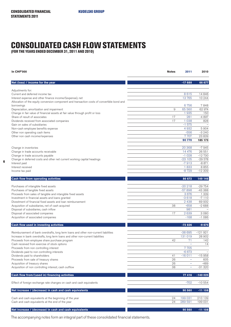6

### Consolidated cash flow statements

(for the years ended December 31, 2011 and 2010)

| In CHF'000                                                                                                                      | <b>Notes</b> | 2011                | 2010                     |
|---------------------------------------------------------------------------------------------------------------------------------|--------------|---------------------|--------------------------|
| Net (loss) / income for the year                                                                                                |              | $-17688$            | 66 677                   |
| Adjustments for:                                                                                                                |              |                     |                          |
| Current and deferred income tax<br>Interest expense and other finance income/(expense), net                                     |              | 8615<br>13 765      | 14 846<br>10 244         |
| Allocation of the equity conversion component and transaction costs of convertible bond and<br>borrowings                       |              | 6756                | 7848                     |
| Depreciation, amortization and impairment                                                                                       | 9            | 65 560              | 62 974                   |
| Change in fair value of financial assets at fair value through profit or loss<br>Share of result of associates                  | 17           | 1935<br>281         | 150<br>-4 897            |
| Dividends received from associated companies                                                                                    | 17           | 1 0 3 8             | 828                      |
| Gain on sales of subsidiaries                                                                                                   |              | $-1575$             |                          |
| Non-cash employee benefits expense                                                                                              |              | 4932                | 5904                     |
| Other non operating cash items<br>Other non cash income/expenses                                                                |              | $-556$<br>7 707     | $-3240$<br>23 839        |
|                                                                                                                                 |              | 90 770              | 185 173                  |
| Change in inventories                                                                                                           |              | 20 368              | $-7945$                  |
| Change in trade accounts receivable                                                                                             |              | 14 4 76             | 26 551                   |
| Change in trade accounts payable                                                                                                |              | $-1028$             | $-12730$                 |
| Change in deferred costs and other net current working capital headings                                                         |              | $-23105$<br>$-7913$ | $-29578$<br>$-8871$      |
| Interest paid<br>Interest received                                                                                              |              | 1833                | 8855                     |
| Income tax paid                                                                                                                 |              | $-8729$             | $-12309$                 |
| <b>Cash flow from operating activities</b>                                                                                      |              | 86 672              | 149 146                  |
| Purchases of intangible fixed assets                                                                                            |              | $-20218$            | $-29754$                 |
| Purchases of tangible fixed assets                                                                                              |              | $-57898$            | $-43388$                 |
| Proceeds from sales of tangible and intangible fixed assets                                                                     |              | 3676                | 1 3 3 9                  |
| Investment in financial assets and loans granted<br>Divestment of financial fixed assets and loan reimbursement                 |              | $-3618$<br>2 4 3 8  | $-7110$<br>69 932        |
| Acquisition of subsidiaries, net of cash acquired                                                                               | 38           | $-658$              | $-2688$                  |
| Disposal of subsidiaries, cash inflow                                                                                           |              | 981                 |                          |
| Disposal of associated companies                                                                                                | 17           | 2639                | 3080                     |
| Acquisition of associated companies                                                                                             |              | $-168$              | $-1086$                  |
| Cash flow used in investing activities                                                                                          |              | $-72826$            | $-9675$                  |
| Reimbursement of bank overdrafts, long term loans and other non-current liabilities                                             |              | $-38695$            | $-121921$                |
| Increase in bank overdrafts, long term loans and other non-current liabilities<br>Proceeds from employee share purchase program | 42           | 131 019<br>71       | 28 902<br>142            |
| Cash received from exercise of stock options                                                                                    |              |                     | 14                       |
| Proceeds from non controlling interest                                                                                          |              | 7 705               |                          |
| Dividends paid to non controlling interests                                                                                     |              | $-6673$             | $\overline{\phantom{m}}$ |
| Dividends paid to shareholders<br>Proceeds from sale of treasury shares                                                         | 41<br>26     | $-16011$            | $-15958$<br>605          |
| Acquisition of treasury shares                                                                                                  | 26           | -                   | $-489$                   |
| Acquisition of non controlling interest, cash outflow                                                                           | 38           |                     | $-31320$                 |
| Cash flow from/(used in) financing activities                                                                                   |              | 77 416              | $-140025$                |
| Effect of foreign exchange rate changes on cash and cash equivalents                                                            |              | $-702$              | $-10554$                 |
| Net increase / (decrease) in cash and cash equivalents                                                                          |              | 90 560              | $-111108$                |
| Cash and cash equivalents at the beginning of the year                                                                          | 24<br>24     | 199 031             | 210 139                  |
| Cash and cash equivalents at the end of the year                                                                                |              | 289 591             | 199 031                  |
| Net increase / (decrease) in cash and cash equivalents                                                                          |              | 90 560              | $-11$ 108                |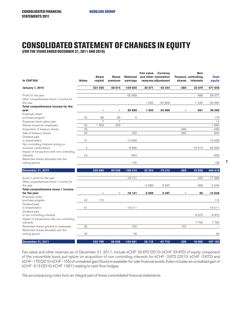### Consolidated statement of changes in equity

(for the years ended December 31, 2011 and 2010)

|                                             |              |                         |                         |                             | <b>Fair value</b> | <b>Currency</b>                              |        | <b>Non</b>                               |                        |
|---------------------------------------------|--------------|-------------------------|-------------------------|-----------------------------|-------------------|----------------------------------------------|--------|------------------------------------------|------------------------|
| <b>In CHF'000</b>                           | <b>Notes</b> | <b>Share</b><br>capital | <b>Share</b><br>premium | <b>Retained</b><br>earnings |                   | and other translation<br>reserves adjustment | shares | <b>Treasury controlling</b><br>interests | <b>Total</b><br>equity |
| <b>January 1, 2010</b>                      |              | 531935                  | 58 614                  | $-139830$                   | 30 571            | $-42344$                                     | $-380$ | 33 079                                   | 471 645                |
| Profit for the year                         |              |                         |                         | 65 689                      |                   |                                              |        | 988                                      | 66 677                 |
| Other comprehensive (loss) / income for     |              |                         |                         |                             |                   |                                              |        |                                          |                        |
| the year                                    |              |                         |                         |                             | 1 633             | $-30868$                                     |        | $-1.349$                                 | $-30584$               |
| Total comprehensive income for the          |              |                         |                         |                             |                   |                                              |        |                                          |                        |
| year                                        |              |                         | -                       | 65 689                      | 1633              | $-30868$                                     |        | $-361$                                   | 36 093                 |
| Employee share                              |              |                         |                         |                             |                   |                                              |        |                                          |                        |
| purchase program                            | 42           | 88                      | 86                      | 5                           |                   |                                              |        |                                          | 179                    |
| Employee stock option plan                  |              | 7                       | 7                       |                             |                   |                                              |        |                                          | 14                     |
| Shares issued for employees                 | 42           | 1 653                   | 329                     |                             |                   |                                              |        |                                          | 982                    |
| Acquisition of treasury shares              | 26           |                         |                         |                             |                   |                                              | $-489$ |                                          | $-489$                 |
| Sale of treasury shares                     | 26           |                         |                         | 225                         |                   |                                              | 380    |                                          | 605                    |
| Dividend paid                               |              |                         |                         |                             |                   |                                              |        |                                          |                        |
| to shareholders                             | 41           |                         |                         | $-15958$                    |                   |                                              |        |                                          | $-15958$               |
| Non controlling interests arising on        |              |                         |                         |                             |                   |                                              |        |                                          |                        |
| business combinations                       | 4            |                         |                         | $-9685$                     |                   |                                              |        | $-16910$                                 | $-26595$               |
| Impact of transactions with non controlling |              |                         |                         |                             |                   |                                              |        |                                          |                        |
| interests                                   | 43           |                         |                         | $-993$                      |                   |                                              |        |                                          | $-993$                 |
| Restricted shares allocated over the        |              |                         |                         |                             |                   |                                              |        |                                          |                        |
| vesting period                              |              |                         |                         | 135                         |                   |                                              |        |                                          | 135                    |
|                                             |              |                         |                         |                             |                   |                                              |        |                                          |                        |

7

| <b>December 31, 2010</b>                                                                     |    | 533 683                  | 59 036 | $-100412$ | 32 204  | $-73212$ | $-489$ | 15 808  | 466 618                  |
|----------------------------------------------------------------------------------------------|----|--------------------------|--------|-----------|---------|----------|--------|---------|--------------------------|
| (Loss) / profit for the year                                                                 |    |                          |        | $-18121$  |         |          |        | 433     | $-17688$                 |
| Other comprehensive (loss) / income for<br>the year                                          |    |                          |        |           | $-2089$ | 5 4 9 7  |        | $-368$  | 3040                     |
| Total comprehensive (loss) / income                                                          |    |                          |        |           |         |          |        |         |                          |
| for the year<br>Employee share                                                               |    | $\overline{\phantom{a}}$ | ۰      | $-18121$  | $-2089$ | 5 4 9 7  |        | 65      | $-14648$                 |
| purchase program                                                                             | 42 | 115                      |        |           |         |          |        |         | 115                      |
| Dividend paid                                                                                |    |                          |        |           |         |          |        |         |                          |
| to shareholders                                                                              | 41 |                          |        | $-16011$  |         |          |        |         | $-16011$                 |
| Dividend paid<br>to non controlling interests<br>Impact of transactions with non controlling |    |                          |        |           |         |          |        | $-6673$ | $-6673$                  |
| interests                                                                                    |    |                          |        |           |         |          |        | 7705    | 7705                     |
| Restricted shares granted to employees                                                       | 26 |                          |        | $-163$    |         |          | 163    |         | $\overline{\phantom{0}}$ |
| Restricted shares allocated over the<br>vesting period                                       | 43 |                          |        | 46        |         |          |        |         | 46                       |
| December 31, 2011                                                                            |    | 533 798                  | 59 036 | $-134661$ | 30 115  | $-67715$ | $-326$ | 16905   | 437 152                  |

Fair value and other reserves as of December 31, 2011, include kCHF 33470 (2010: kCHF 33470) of equity component of the convertible bond, put-option on acquisition of non controlling interests for kCHF -2672 (2010: kCHF -2672) and kCHF -170 (2010: kCHF -155) of unrealized gain/(loss) on available-for-sale financial assets. It also includes an unrealized gain of kCHF -513 (2010: kCHF 1561) relating to cash flow hedges.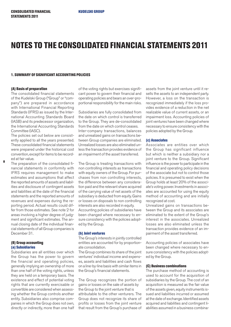#### 1. Summary of significant accounting policies

#### (A) Basis of preparation

The consolidated financial statements of the Kudelski Group ("Group" or "company") are prepared in accordance with International Financial Reporting Standards (IFRS) as issued by the International Accounting Standards Board (IASB) and its predecessor organization, the International Accounting Standards Committee (IASC).

The policies set out below are consistently applied to all the years presented. These consolidated financial statements were prepared under the historical cost convention, except for items to be recorded at fair value.

The preparation of the consolidated financial statements in conformity with IFRS requires management to make estimates and assumptions that affect the reported amounts of assets and liabilities and disclosure of contingent assets and liabilities at the date of the financial statements and the reported amounts of revenues and expenses during the reporting period. Actual results could differ from those estimates. See note 2 for areas involving a higher degree of judgment and significant estimates. The annual closing date of the individual financial statements of all Group companies is December 31.

#### (B) Group accounting (a) Subsidiaries

Subsidiaries are all entities over which the Group has the power to govern the financial and operating policies, generally implying an ownership of more than one half of the voting rights, unless they are held on a temporary basis. The existence and effect of potential voting rights that are currently exercisable or convertible are considered when assessing whether the Group controls another entity. Subsidiaries also comprise companies in which the Group does not own, directly or indirectly, more than one half

of the voting rights but exercises significant power to govern their financial and operating policies and bears an over-proportional responsibility for the main risks.

Subsidiaries are fully consolidated from the date on which control is transferred to the Group. They are de-consolidated from the date on which control ceases. Inter-company transactions, balances and unrealized gains on transactions between Group companies are eliminated. Unrealized losses are also eliminated unless the transaction provides evidence of an impairment of the asset transferred.

The Group is treating transactions with non controlling interests as transactions with equity owners of the Group. For purchases from non controlling interests, the difference between any consideration paid and the relevant share acquired of the carrying value of net assets of the subsidiary is deducted from equity. Gains or losses on disposals to non controlling interests are also recorded in equity. Accounting policies of subsidiaries have been changed where necessary to en-

sure consistency with the policies adopted by the Group.

#### (b) Joint ventures

The Group's interests in jointly controlled entities are accounted for by proportionate consolidation.

The Group combines its share of the joint ventures' individual income and expenses, assets and liabilities and cash flows on a line-by-line basis with similar items in the Group's financial statements.

The Group recognizes the portion of gains or losses on the sale of assets by the Group to the joint venture that is attributable to the other venturers. The Group does not recognize its share of profits or losses from the joint venture that result from the Group's purchase of

assets from the joint venture until it resells the assets to an independent party. However, a loss on the transaction is recognized immediately if the loss provides evidence of a reduction in the net realizable value of current assets, or an impairment loss. Accounting policies of joint ventures have been changed where necessary to ensure consistency with the policies adopted by the Group.

#### (c) Associates

Associates are entities over which the Group has significant influence but which is neither a subsidiary nor a joint venture to the Group. Significant influence is the power to participate in the financial and operating policy decisions of the associate but not to control those policies. It is presumed to exist when the Group holds at least 20% of the associate's voting power. Investments in associates are accounted for using the equity method of accounting and are initially recognized at cost.

Unrealized gains on transactions between the Group and its associates are eliminated to the extent of the Group's interest in the associates. Unrealized losses are also eliminated unless the transaction provides evidence of an impairment of the asset transferred.

Accounting policies of associates have been changed where necessary to ensure consistency with the policies adopted by the Group.

#### (C) Business combinations

The purchase method of accounting is used to account for the acquisition of subsidiaries by the Group. The cost of an acquisition is measured as the fair value of the assets given, equity instruments issued and liabilities incurred or assumed at the date of exchange. Identified assets acquired and liabilities and contingent liabilities assumed in a business combina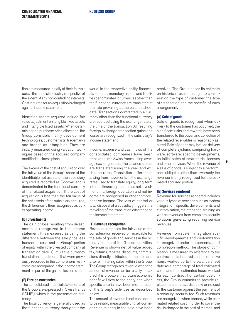tion are measured initially at their fair values at the acquisition date, irrespective of the extent of any non controlling interests. Cost incurred for an acquisition is charged against income statement.

Identified assets acquired include fair value adjustment on tangible fixed assets and intangible fixed assets. When determining the purchase price allocation, the Group considers mainly development technologies, customer lists, trademarks and brands as intangibles. They are initially measured using valuation techniques based on the acquired company modified business plans.

The excess of the cost of acquisition over the fair value of the Group's share of the identifiable net assets of the subsidiary acquired is recorded as Goodwill and is denominated in the functional currency of the related acquisition. If the cost of acquisition is less than the fair value of the net assets of the subsidiary acquired, the difference is then recognised as other operating income.

#### (D) Divestments

The gain or loss resulting from divestments is recognized in the income statement. It is measured as being the difference between the sale price less transaction costs and the Group's portion of equity within the divested company at transaction date. Cumulative currency translation adjustments that were previously recorded in the comprehensive income are recognized in the income statement as part of the gain or loss on sale.

#### (E) Foreign currencies

The consolidated financial statements of the Group are expressed in Swiss francs ("CHF"), which is the presentation currency.

The local currency is generally used as the functional currency throughout the world. In the respective entity financial statements, monetary assets and liabilities denominated in currencies other than the functional currency are translated at the rate prevailing at the balance sheet date. Transactions contracted in a currency other than the functional currency are recorded using the exchange rate at the time of the transaction. All resulting foreign exchange transaction gains and losses are recognized in the subsidiary's income statement.

Income, expense and cash flows of the consolidated companies have been translated into Swiss francs using average exchange rates. The balance sheets are translated using the year-end exchange rates. Translation differences arising from movements in the exchange rates used to translate equity, long-term internal financing deemed as net investment in a foreign operation and net income are recognised in other comprehensive income. The loss of control or total disposal of a subsidiary triggers the recycling of the translation difference to the income statement.

#### (F) Revenue recognition

Revenue comprises the fair value of the consideration received or receivable for the sale of goods and services in the ordinary course of the Group's activities. Revenue is shown net of value added tax, returns, rebates, discounts, commissions directly attributed to the sale and after eliminating sales within the Group. The Group recognizes revenue when the amount of revenue can be reliably measured; it is probable that future economic benefit will flow to the entity and when specific criteria have been met for each of the Group's activities as described below.

The amount of revenue is not considered to be reliably measurable until all contingencies relating to the sale have been resolved. The Group bases its estimate on historical results taking into consideration the type of customer, the type of transaction and the specific of each arrangement.

#### (a) Sale of goods

Sale of goods is recognized when delivery to the customer has occurred, the significant risks and rewards have been transferred to the buyer and collection of the related receivables is reasonably assured. Sale of goods may include delivery of complete systems comprising hardware, software, specific developments, an initial batch of smartcards, licenses and other services. When the revenue of a sale of goods is subject to a performance obligation other than a warranty, the revenue is only recognized for the estimated acquired portion.

#### (b) Services rendered

Revenue for services rendered includes various types of services such as system integration, specific developments and customization, maintenance, training as well as revenues from complete security solutions generating recurring service revenues.

Revenue from system integration, specific developments and customization is recognized under the percentage of completion method. The stage of completion is measured by reference to the contract costs incurred and the effective hours worked up to the balance sheet date as a percentage of total estimated costs and total estimated hours worked for each contract. For certain customers, the Group commits to provide replacement smartcards at low or no cost to the customer against the payment of a recurring security fee. Such revenues are recognized when earned, while estimated related cost in order to cover the risk is charged to the cost of material and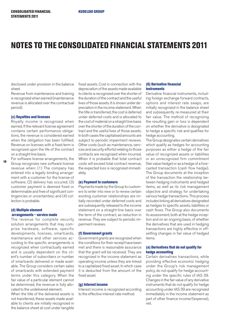disclosed under provision in the balance sheet.

Revenue from maintenance and training is recognized when earned (maintenance revenue is allocated over the contractual period).

#### (c) Royalties and licenses

Royalty income is recognized when earned. If the relevant license agreement contains certain performance obligations, the revenue is considered earned when the obligation has been fulfilled. Revenue on licenses with a fixed term is recognized upon the life of the contract on a straight line basis.

For software license arrangements, the Group recognizes new software license revenue when: (1) The company has entered into a legally binding arrangement with a customer for the license of software; (2) delivery has occured; (3) customer payment is deemed fixed or determinable and free of significant contingencies or uncertainties; and (4) collection is probable.

#### (d) Multiple element arrangements – service mode

The revenue for complete security solution arrangements that may comprise hardware, software, specific developments, licenses, smartcards, maintenance and other services according to the specific arrangements is recognized when contractually earned and is usually dependent on the client's number of subscribers or number of smartcards delivered or made available. The Group considers certain sales of smartcards with extended payment terms under this category. When the fair value of a particular element cannot be determined, the revenue is fully allocated to the undelivered element.

When the title of the delivered assets is not transferred, these assets made available to clients are initially recognized in the balance sheet at cost under tangible

fixed assets. Cost in connection with the depreciation of the assets made available to clients is recognized over the shorter of the duration of the contract and the useful lives of those assets. It is shown under depreciation in the income statement. When the title is transferred, the cost is deferred under deferred costs and is allocated to the cost of material on a straight line basis over the shorter of the duration of the contract and the useful lives of those assets. In both cases the capitalised amounts are subject to periodic impairment reviews. Other costs (such as maintenance, services and security efforts) relating to those contracts are recognized when incurred. When it is probable that total contract costs will exceed total contract revenue, the expected loss is recognized immediately.

#### (e) Payment to customers

Payments made by the Group to customers to enter into new or to renew certain existing customer relationships are initially recorded under deferred costs and are subsequently released to the income statement on a straight-line basis over the term of the contract, as reduction in revenue. They are subject to periodic impairment reviews.

#### (f) Government grants

Government grants are recognized when the conditions for their receipt have been met and there is reasonable assurance that the grant will be received. They are recognized in the income statement as operating income unless they are linked to a capitalized fixed asset. In which case it is deducted from the amount of the fixed asset.

#### (g) Interest income

Interest income is recognized according to the effective interest rate method.

#### (G) Derivative financial inetrumante

Derivative financial instruments, including foreign exchange forward contracts, options and interest rate swaps, are initially recognized in the balance sheet and subsequently re-measured at their fair value. The method of recognizing the resulting gain or loss is dependent on whether the derivative is designated to hedge a specific risk and qualifies for hedge accounting.

The Group designates certain derivatives which qualify as hedges for accounting purposes as either a hedge of the fair value of recognized assets or liabilities or an unrecognized firm commitment (fair value hedge) or as a hedge of a forecasted transaction (cash flow hedge). The Group documents at the inception of the transaction the relationship between hedging instruments and hedged items, as well as its risk management objective and strategy for undertaking various hedge transactions. This process includes linking all derivatives designated as hedges to specific assets, liabilities or cash flows. The Group also documents its assessment, both at the hedge inception and on an ongoing basis, of whether the derivatives that are used in hedging transactions are highly effective in offsetting changes in fair value of hedged items.

#### (a) Derivatives that do not qualify for hedge accounting

Certain derivatives transactions, while providing effective economic hedging under the Group's risk management policy, do not qualify for hedge accounting under the specific rules of IAS 39. Changes in the fair value of any derivative instruments that do not qualify for hedge accounting under IAS 39 are recognized immediately in the income statement as part of other finance income/(expense), net.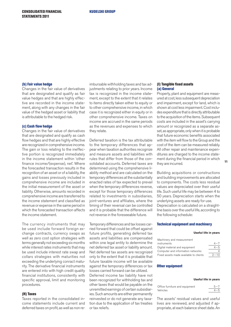#### (b) Fair value hedge

Changes in the fair value of derivatives that are designated and qualify as fair value hedges and that are highly effective are recorded in the income statement, along with any changes in the fair value of the hedged asset or liability that is attributable to the hedged risk.

#### (c) Cash flow hedge

Changes in the fair value of derivatives that are designated and qualify as cash flow hedges and that are highly effective are recognized in comprehensive income. The gain or loss relating to the ineffective portion is recognized immediately in the income statement within 'other finance income/(expense), net'. Where the forecasted transaction results in the recognition of an asset or of a liability, the gains and losses previously included in comprehensive income are included in the initial measurement of the asset or liability. Otherwise, amounts recorded in comprehensive income are transferred to the income statement and classified as revenue or expense in the same period in which the forecasted transaction affects the income statement.

The currency instruments that may be used include forward foreign exchange contracts, currency swaps as well as zero cost option strategies with terms generally not exceeding six months while interest rates instruments that may be used include interest rate swap and collars strategies with maturities not exceeding the underlying conract maturity. The derivative financial instruments are entered into with high credit quality financial institutions, consistently with specific approval, limit and monitoring procedures.

#### (H) Taxes

Taxes reported in the consolidated income statements include current and deferred taxes on profit, as well as non reimbursable withholding taxes and tax adjustments relating to prior years. Income tax is recognized in the income statement, except to the extent that it relates to items directly taken either to equity or to other comprehensive income, in which case it is recognized either in equity or in other comprehensive income. Taxes on income are accrued in the same periods as the revenues and expenses to which they relate.

Deferred taxation is the tax attributable to the temporary differences that appear when taxation authorities recognize and measure assets and liabilities with rules that differ from those of the consolidated accounts. Deferred taxes are determined using the comprehensive liability method and are calculated on the temporary differences at the substantially enacted rates of tax expected to prevail when the temporary differences reverse, except for those temporary differences related to investments in subsidiaries, joint-ventures and affiliates, where the timing of their reversal can be controlled and it is probable that the difference will not reverse in the foreseeable future.

Temporary differences and tax losses carried forward that could be offset against future profits, generating deferred tax assets and liabilities are compensated within one legal entity to determine the net deferred tax asset or liability amount. Net deferred tax assets are recognized only to the extent that it is probable that future taxable income will be available against the temporary differences or tax losses carried forward can be utilized. Deferred income tax liability have not been recognized for withholding tax and other taxes that would be payable on the unremitted earnings of certain subsidiaries. Such amounts are either permanently reinvested or do not generate any taxation due to the application of tax treaties or tax reliefs.

#### (I) Tangible fixed assets (a) General

Property, plant and equipment are measured at cost, less subsequent depreciation and impairment, except for land, which is shown at cost less impairment. Cost includes expenditure that is directly attributable to the acquisition of the items. Subsequent costs are included in the asset's carrying amount or recognized as a separate asset, as appropriate, only when it is probable that future economic benefits associated with the item will flow to the Group and the cost of the item can be measured reliably. All other repair and maintenance expenditures are charged to the income statement during the financial period in which they are incurred.

Building acquisitions or constructions and building improvements are allocated to components. The costs less residual values are depreciated over their useful life. Such useful life may be between 4 to 50 years. Depreciation starts when the underlying assets are ready for use. Depreciation is calculated on a straightline basis over the useful life, according to the following schedule:

#### Technical equipment and machinery

#### **Useful life in years**

| Machinery and measurement              |          |
|----------------------------------------|----------|
| instruments                            | $4 - 7$  |
| Digital material and equipment         | $4 - 5$  |
| Computer and information networks      |          |
| Fixed assets made available to clients | $2 - 10$ |

#### **Other equipment**

#### **Useful life in years**

| Office furniture and equipment | $5 - 7$ |
|--------------------------------|---------|
| <b>Vehicles</b>                | $4 - 5$ |

The assets' residual values and useful lives are reviewed, and adjusted if appropriate, at each balance sheet date. An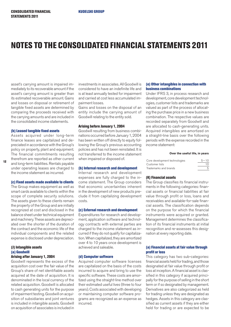asset's carrying amount is impaired immediately to its recoverable amount if the asset's carrying amount is greater than its estimated recoverable amount. Gains and losses on disposal or retirement of tangible fixed assets are determined by comparing the proceeds received with the carrying amounts and are included in the consolidated income statements.

#### (b) Leased tangible fixed assets

Assets acquired under long-term finance leases are capitalized and depreciated in accordance with the Group's policy on property, plant and equipment. The financial commitments resulting therefrom are reported as other current and long-term liabilities. Rentals payable under operating leases are charged to the income statement as incurred.

#### (c) Fixed assets made available to clients

The Group makes equipment as well as smart cards available to clients within the scope of complete security solutions. The assets given to these clients remain the property of the Group and are initially recognized at cost and disclosed in the balance sheet under technical equipment and machinery. These assets are depreciated over the shorter of the duration of the contract and the economic life of the individual components and the related expense is disclosed under depreciation.

#### (J) Intangible assets (a) Goodwill Arising after January 1, 2004

Goodwill represents the excess of the acquisition cost over the fair value of the Group's share of net identifiable assets acquired at the date of acquisition. It is denominated in the local currency of the related acquisition. Goodwill is allocated to cash generating units for the purpose of impairment testing. Goodwill on acquisition of subsidiaries and joint ventures is included in intangible assets. Goodwill on acquisition of associates is included in investments in associates. All Goodwill is considered to have an indefinite life and is at least annually tested for impairment and carried at cost less accumulated impairment losses.

Gains and losses on the disposal of an entity include the carrying amount of Goodwill relating to the entity sold.

#### Arising before January 1, 2004

Goodwill resulting from business combinations occurred before January 1, 2004 has been written off directly to equity following the Group's previous accounting policies and has not been reinstated. It is not transferred to the income statement when impaired or disposed of.

#### (b) Internal research and development

Internal research and development expenses are fully charged to the income statement. The Group considers that economic uncertainties inherent in the development of new products preclude it from capitalizing development costs.

#### (c) External research and development

Expenditures for research and development, application software and technology contracts with external parties are charged to the income statement as incurred if they do not qualify for capitalization. When capitalized, they are amortized over 4 to 10 years once development is achieved and saleable.

#### (d) Computer software

Acquired computer software licenses are capitalized on the basis of the costs incurred to acquire and bring to use the specific software. These costs are amortized using the straight-line method over their estimated useful lives (three to four years). Costs associated with developing or maintaining computer software programs are recognized as an expense as incurred.

#### (e) Other intangibles in connection with business combinations

Under IFRS 3, in process research and development, core development technologies, customer lists and trademarks are valued as part of the process of allocating the purchase price in a new business combination. The respective values are recorded separately from Goodwill and are allocated to cash-generating units. Acquired intangibles are amortized on a straight-line basis over the following periods with the expense recorded in the income statement:

#### **Over the useful life, in years**

| Core development technologies | $5 - 10$ |
|-------------------------------|----------|
| Customer lists                | 1 $\cap$ |
| Trademarks and brands         |          |

#### (K) Financial assets

The Group classifies its financial instruments in the following categories: financial assets or financial liabilities at fair value through profit or loss, loans and receivables and available-for-sale financial assets. The classification depends on the purpose for which the financial instruments were acquired or granted. Management determines the classification of its financial instruments at initial recognition and re-assesses this designation at every reporting date.

#### (a) Financial assets at fair value through profit or loss

This category has two sub-categories: financial assets held for trading, and those designated at fair value through profit or loss at inception. A financial asset is classified in this category if acquired principally for the purpose of selling in the short term or if so designated by management. Derivatives are also categorized as held for trading unless they are designated as hedges. Assets in this category are classified as current assets if they are either held for trading or are expected to be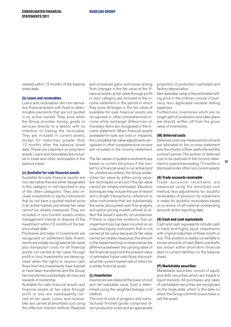realized within 12 months of the balance sheet date.

#### (b) Loans and receivables

Loans and receivables are non-derivative financial assets with fixed or determinable payments that are not quoted in an active market. They arise when the Group provides money, goods or services directly to a debtor with no intention of trading the receivable. They are included in current assets, except for maturities greater than 12 months after the balance sheet date. These are classified as long-term assets. Loans and receivables are included in trade and other receivables in the balance sheet.

#### (c) Available-for-sale financial assets

Available-for-sale financial assets are non-derivative that are either designated in this category or not classified in any of the other categories. They also include investments in equity instruments that do not have a quoted market price in an active market, and whose fair value cannot be reliably measured. They are included in non-current assets unless management intends to dispose of the investment within 12 months of the balance sheet date.

Purchases and sales of investments are recognized on settlement date. Investments are initially recognized at fair value plus transaction costs for all financial assets not carried at fair value through profit or loss. Investments are derecognized when the rights to receive cash flows from the investments have expired or have been transferred and the Group has transferred substantially all risks and rewards of ownership.

Available-for-sale financial assets and financial assets at fair value through profit or loss are subsequently carried at fair value. Loans and receivables are carried at amortized cost using the effective interest method. Realized

and unrealized gains and losses arising from changes in the fair value of the 'financial assets at fair value through profit or loss' category are included in the income statement in the period in which they arise. Changes in the fair value of available-for-sale financial assets are recognized in other comprehensive income while exchange differences on monetary items are recognized in the income statement. When financial assets available-for-sale are sold or impaired, the cumulative fair value adjustments recognized in other comprehensive income are included in the income statement.

The fair values of quoted investments are based on current bid prices. If the market for a financial asset is not active (and for unlisted securities), the Group establishes fair value by either using valuation techniques or at cost if the fair value cannot be reliably estimated. Valuation techniques may include the use of recent arm's length transactions, reference to other instruments that are substantially the same, discounted cash flow analysis, and option pricing models refined to reflect the issuer's specific circumstances. If there is objective evidence that an impairment loss has been incurred on an unquoted equity instrument that is not carried at fair value because its fair value cannot be reliably measured, the amount or the impairment loss is measured as the difference between the carrying value of the financial asset and the present value of estimated future cash flows discounted at the current market rate of return for a similar financial asset.

#### (L) Inventories

Inventories are stated at the lower of cost and net realizable value. Cost is determined using the weighted average cost method.

The cost of work in progress and manufactured finished goods comprises direct production costs and an appropriate proportion of production overheads and factory depreciation.

Net realizable value is the estimated selling price in the ordinary course of business, less applicable variable selling expenses.

Furthermore, inventories which are no longer part of production and sales plans are directly written off from the gross value of inventories.

#### (M) Deferred costs

Deferred costs are measured at cost and are allocated to the income statement over the shorter of their useful life and the contract period. The portion of deferred cost to be reversed in the income statement in a period exceeding 12 months is disclosed under other non current assets.

#### (N) Trade accounts receivable

Trade accounts receivable are measured using the amortized cost method, less adjustments for doubtful receivables. A provision for impairment is made for doubtful receivables based on a review of all material outstanding amounts at the reporting date.

#### (O) Cash and cash equivalents

Cash and cash equivalents include cash in hand and highly liquid investments with original maturities of three month or less. This position is readily convertible to known amounts of cash. Bank overdrafts are shown within short-term financial debt in current liabilities on the balance sheet.

#### (P) Marketable securities

Marketable securities consist of equity and debt securities which are traded in liquid markets. All purchases and sales of marketable securities are recognized on the trade date, which is the date on which the Group commits to purchase or sell the asset.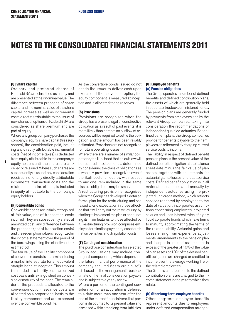#### (Q) Share capital

Ordinary and preferred shares of Kudelski SA are classified as equity and are presented at their nominal value. The difference between proceeds of share capital and the nominal value of the share capital increase as well as incremental costs directly attributable to the issue of new shares or options of Kudelski SA are considered as share premium and are part of equity.

Where any group company purchases the company's equity share capital (treasury shares), the consideration paid, including any directly attributable incremental costs (net of income taxes) is deducted from equity attributable to the company's equity holders until the shares are cancelled or reissued. Where such shares are subsequently reissued, any consideration received, net of any directly attributable incremental transaction costs and the related income tax effects, is included in equity attributable to the company's equity holders.

#### (R) Convertible bonds

Convertible bonds are initially recognized at fair value, net of transaction costs incurred. They are subsequently stated at amortized cost; any difference between the proceeds (net of transaction costs) and the redemption value is recognized in the income statement over the period of the borrowings using the effective interest method.

The fair value of the liability component of convertible bonds is determined using a market interest rate for an equivalent straight bond at inception. This amount is recorded as a liability on an amortized cost basis until extinguished on conversion or maturity of the bond. The remainder of the proceeds is allocated to the conversion option. Issuance costs are allocated on a proportional basis to the liability component and are expensed over the convertible bond life.

As the convertible bonds issued do not entitle the issuer to deliver cash upon exercise of the conversion option, the equity component is measured at inception and is allocated to the reserves.

#### (S) Provisions

Provisions are recognized when the Group has a present legal or constructive obligation as a result of past events; it is more likely than not that an outflow of resources will be required to settle the obligation; and the amount has been reliably estimated. Provisions are not recognized for future operating losses.

Where there are a number of similar obligations, the likelihood that an outflow will be required in settlement is determined by considering the class of obligations as a whole. A provision is recognized even if the likelihood of an outflow with respect to any one item included in the same class of obligations may be small.

A restructuring provision is recognized when the Group has developed a detailed formal plan for the restructuring and has raised a valid expectation in those affected that it will carry out the restructuring by starting to implement the plan or announcing its main features to those affected by it. Restructuring provision comprises employee termination payments, lease termination penalties and dilapidation costs.

#### (T) Contingent consideration

The purchase consideration for selected Group acquisitions may include contingent components, which depend on the future financial performance of the company acquired ("earn out clause"). It is based on the management's best estimate of the final consideration payable and is subject to a yearly review.

Where a portion of the contingent consideration for an acquisition is deferred to a date more than one year after the end of the current financial year, that portion is discounted to its present value and disclosed within other long term liabilities.

#### (U) Employee benefits (a) Pension obligations

The Group operates a number of defined benefits and defined contribution plans, the assets of which are generally held in separate trustee-administered funds. The pension plans are generally funded by payments from employees and by the relevant Group companies, taking into consideration the recommendations of independent qualified actuaries. For defined benefit plans, the Group companies provide for benefits payable to their employees on retirement by charging current service costs to income.

The liability in respect of defined benefit pension plans is the present value of the defined benefit obligation at the balance sheet date minus the fair value of plan assets, together with adjustments for actuarial gains/losses and past service costs. Defined benefit obligation is in all material cases calculated annually by independent actuaries using the projected unit credit method, which reflects services rendered by employees to the date of valuation, incorporates assumptions concerning employees' projected salaries and uses interest rates of highly liquid corporate bonds which have terms to maturity approximating the terms of the related liability. Actuarial gains and losses arising from experience adjustments, amendments to the pension plan and changes in actuarial assumptions in excess of the greater of 10% of the value of plan assets or 10% of the defined benefit obligation are charged or credited to income over the average working life of the related employees.

The Group's contributions to the defined contribution plans are charged to the income statement in the year to which they relate.

#### (b) Other long-term employee benefits

Other long-term employee benefits represent amounts due to employees under deferred compensation arrange-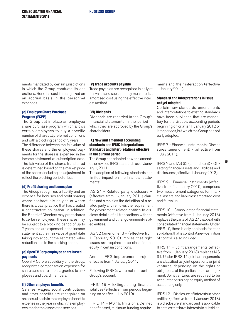ments mandated by certain jurisdictions in which the Group conducts its operations. Benefits cost is recognized on an accrual basis in the personnel expenses.

#### (c) Employee Share Purchase Program (ESPP)

The Group put in place an employee share purchase program which allows certain employees to buy a specific number of shares at preferred conditions and with a blocking period of 3 years. The difference between the fair value of these shares and the employees' payments for the shares is expensed in the income statement at subscription date. The fair value of the shares transferred is determined based on the market price of the shares including an adjustment to reflect the blocking period effect.

#### (d) Profit sharing and bonus plan

The Group recognizes a liability and an expense for bonuses and profit sharing where contractually obliged or where there is a past practice that has created a constructive obligation. In addition, the Board of Directors may grant shares to certain employees. These shares may be subject to a blocking period of up to 7 years and are expensed in the income statement at their fair value at grant date taking into account the estimated value reduction due to the blocking period.

#### (e) OpenTV Corp employee share based payments

OpenTV Corp, a subsidiary of the Group, recognizes compensation expenses for shares and share options granted to employees and board members.

#### (f) Other employee benefits

Salaries, wages, social contributions and other benefits are recognized on an accrual basis in the employee benefits expense in the year in which the employees render the associated services.

#### (V) Trade accounts payable

Trade payables are recognized initially at fair value and subsequently measured at amortised cost using the effective interest method.

#### (W) Dividends

Dividends are recorded in the Group's financial statements in the period in which they are approved by the Group's shareholders.

#### (X) New and amended accounting standards and IFRIC interpretations Standards and Interpretations effective in the current period

The Group has adopted new and amended or revised IFRS standards as of January 1, 2011.

The adoption of following standards had limited impact on the financial statements:

IAS 24 - Related party disclosure – (effective from 1 January 2011) clarifies and simplifies the definition of a related party and removes the requirement for government-related entities to disclose details of all transactions with the government and other government-related entities.

IAS 32 (amendment) – (effective from 1 February 2010) implies that right issues are required to be classified as equity in certain conditions.

Annual IFRS improvement projects effective from 1 January 2011.

Following IFRICs were not relevant on Group's account:

IFRIC 19 – Extinguishing financial liabilities (effective from periods beginning on or after 1 July 2010).

IFRIC 14 – IAS 19, limits on a Defined benefit asset, minimum funding requirements and their interaction (effective 1 January 2011).

#### Standard and Interpretations in issue not yet adopted

Certain new standards, amendments and interpretations to existing standards have been published that are mandatory for the Group's accounting periods beginning on or after 1 January 2012 or later periods, but which the Group has not early adopted:

IFRS 7 - Financial Instruments: Disclosures (amendment) - (effective from 1 July 2011).

IFRS 7 and IAS 32 (amendment) - Offsetting financial assets and liabilities and disclosures (effective 1 January 2013).

IFRS 9 – Financial instruments (effective from 1 January 2015) comprises two measurement categories for financial assets and liabilities: amortized cost and fair value.

IFRS 10 – Consolidated financial statements (effective from 1 January 2013) replaces the parts of IAS 27 that deal with consolidated financial statements. Under IFRS 10, there is only one basis for consolidation, that is control. A new definition of control is also included.

IFRS 11 – Joint arrangements (effective from 1 January 2013) replaces IAS 31. Under IFRS 11, joint arrangements are classified as joint operations or joint ventures, depending on the rights or obligations of the parties to the arrangement. Joint ventures are required to be accounted for using the equity method of accounting only.

IFRS 12 – Disclosure of interests in other entities (effective from 1 January 2013) is a disclosure standard and is applicable to entities that have interests in subsidiar-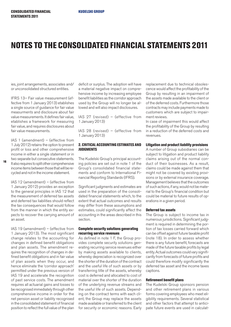ies, joint arrangements, associates and/ or unconsolidated structured entities.

IFRS 13– Fair value measurement (effective from 1 January 2013) etablishes a single source of guidance for fair value measurments and disclosure about fair value measurements. It defines fair value, etablishes a framework for measuring fair value, and requires disclosures about fair value measurements.

IAS 1 (amendment) – (effective from 1 July 2012) retains the option to present profit or loss and other comprehensive income in either a single statement or in two separate but consecutive statements. It also requires to split other comprehensive income items between those that will be recycled and not in the income statement.

IAS 12 (amendment) – (effective from 1 January 2012) provides an exception to the general principles in IAS 12 that the measurement of deferred tax assets and deferred tax liabilities should reflect the tax consequences that would follow from the manner in which the entity expects to recover the carrying amount of an asset.

IAS 19 (amendment) – (effective from 1 January 2013). The most significant change relates to the accounting for changes in defined benefit obligations and plan assets. The amendment requires the recognition of changes in defined benefit obligations and in fair value of plan assets when they occur, and hence eliminate the 'corridor approach' permitted under the previous version of IAS 19 and accelerate the recognition of past service costs. The amendment requires all actuarial gains and losses to be recognised immediately through other comprehensive income in order for the net pension asset or liability recognised in the consolidated statement of financial position to reflect the full value of the plan deficit or surplus. The adoption will have a material negative impact on comprehensive income by increasing employee benefit liabilities as the corridor approach used by the Group will no longer be allowed and will also impact disclosures.

IAS 27 (revised) – (effective from 1 January 2013)

IAS 28 (revised) – (effective from 1 January 2013)

#### 2. Critical accounting estimates and judgments

The Kudelski Group's principal accounting policies are set out in note 1 of the Group's consolidated financial statements and conform to International Financial Reporting Standards (IFRS).

Significant judgments and estimates are used in the preparation of the consolidated financial statements which, to the extent that actual outcomes and results may differ from these assumptions and estimates, could significantly affect the accounting in the areas described in this section.

#### Complete security solutions generating recurring service revenues

As defined in note 1 F, the Group provides complete security solutions generating recurring service revenues either by making assets available to clients, whereby depreciation is recognized over the shorter of the duration of the contract and the useful life of such assets or by transferring title of the assets, whereby cost is deferred and allocated to cost of material over the shorter of the duration of the underlying revenue streams and the useful life of such assets. Depending on the contract terms with each client, the Group may replace the assets made available or transferred to the client for security or economic reasons. Early

replacement due to technical obsolescence would affect the profitability of the Group by resulting in an impairment of the assets made available to the client or of the deferred costs. Furthermore those contracts may include payments made to customers which are subject to impairment reviews.

In case of impairment this would affect the profitability of the Group by resulting in a reduction of the deferred costs and revenues.

#### Litigation and product liability provisions

A number of Group subsidiaries can be subject to litigation and product liability claims arising out of the normal conduct of their businesses. As a result, claims could be made against them that might not be covered by existing provisions or by external insurance coverage. Management believes that the outcomes of such actions, if any, would not be material to the Group's financial condition but could be material to future results of operations in a given period.

#### Deferred tax assets

The Group is subject to income tax in numerous jurisdictions. Significant judgment is required in determining the portion of tax losses carried forward which can be offset against future taxable profit (note 18). In order to assess whether there is any future benefit, forecasts are made of the future taxable profits by legal entity. Actual outcomes could vary significantly from forecasts of future profits and could therefore modify significantly the deferred tax asset and the income taxes captions.

#### Retirement benefit plans

The Kudelski Group sponsors pension and other retirement plans in various forms covering employees who meet eligibility requirements. Several statistical and other factors that attempt to anticipate future events are used in calculat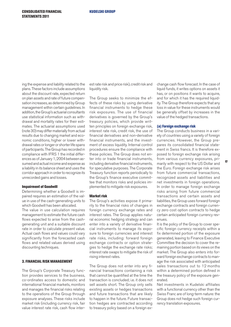ing the expense and liability related to the plans. These factors include assumptions about the discount rate, expected return on plan assets and rate of future compensation increases, as determined by Group management within certain guidelines. In addition, the Group's actuarial consultants use statistical information such as withdrawal and mortality rates for their estimates. The actuarial assumptions used (note 30) may differ materially from actual results due to changing market and economic conditions, higher or lower withdrawal rates or longer or shorter life spans of participants. The Group has recorded in compliance with IFRS 1 the initial differences as of January 1, 2004 between assumed and actual income and expense as a liability in its balance sheet and uses the corridor approach in order to recognize its unrecorded gains and losses.

#### Impairment of Goodwill

Determining whether a Goodwill is impaired requires an estimation of the value in use of the cash-generating units to which Goodwill has been allocated.

The value in use calculation requires management to estimate the future cash flows expected to arise from the cashgenerating unit and a suitable discount rate in order to calculate present value. Actual cash flows and values could vary significantly from the forecasted cash flows and related values derived using discounting techniques.

#### 3. Financial risk management

The Group's Corporate Treasury function provides services to the business, co-ordinates access to domestic and international financial markets, monitors and manages the financial risks relating to the operations of the Group through exposure analyses. These risks include market risk (including currency risk, fair value interest rate risk, cash flow interest rate risk and price risk), credit risk and liquidity risk.

The Group seeks to minimize the effects of these risks by using derivative financial instruments to hedge these risk exposures. The use of financial derivatives is governed by the Group's treasury policies, which provide written principles on foreign exchange risk, interest rate risk, credit risk, the use of financial derivatives and non-derivative financial instruments, and the investment of excess liquidity. Internal control procedures ensure the compliance with these policies. The Group does not enter into or trade financial instruments, including derivative financial instruments, for speculative purposes. The Corporate Treasury function reports periodically to the Group's finance executive committee that monitors risks and policies implemented to mitigate risk exposures.

#### Market risk

The Group's activities expose it primarily to the financial risks of changes in foreign currency exchange rates and interest rates. The Group applies natural economic hedging strategy and can enter into a variety of derivative financial instruments to manage its exposure to foreign currencies and interest rate risks, including: forward foreign exchange contracts or option strategies to hedge the exchange rate risks; interest rate swaps to mitigate the risk of rising interest rates.

The Group does not enter into any financial transactions containing a risk that cannot be quantified at the time the transaction is concluded; i.e. it does not sell assets short. The Group only sells existing assets or hedges transactions and future transactions that are likely to happen in the future. Future transaction hedges are contracted according to treasury policy based on a foreign exchange cash flow forecast. In the case of liquid funds, it writes options on assets it has, or on positions it wants to acquire, and for which it has the required liquidity. The Group therefore expects that any loss in value for these instruments would be generally offset by increases in the value of the hedged transactions.

#### (a) Foreign exchange risk

The Group conducts business in a variety of countries using a variety of foreign currencies. However, the Group prepares its consolidated financial statement in Swiss francs. It is therefore exposed to foreign exchange risk arising from various currency exposures, primarily with respect to the US Dollar and the Euro. Foreign exchange risk arises from future commercial transactions. recognized assets and liabilities and net investments in foreign operations. In order to manage foreign exchange risks arising from future commercial transactions and certain assets and liabilities, the Group uses forward foreign exchange contracts and foreign currency zero cost option contracts to hedge certain anticipated foreign currency revenues.

It is the policy of the Group to cover specific foreign currency receipts within a fix determined portion of the exposure generated, leaving to Finance Executive Committee the decision to cover the remaining portion based on its views on the market. The Group also enters into forward foreign exchange contracts to manage the risk associated with anticipated sales transactions out to 12 months within a determined portion defined in the treasury policy of the exposure generated.

Net investments in Kudelski affiliates with a functional currency other than the Swiss Franc are of long-term nature: the Group does not hedge such foreign currency translation exposures.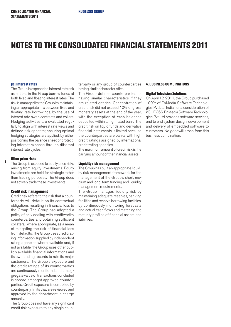#### (b) Interest rates

The Group is exposed to interest rate risk as entities in the Group borrow funds at both fixed and floating interest rates. The risk is managed by the Group by maintaining an appropriate mix between fixed and floating rate borrowings, by the use of interest rate swap contracts and collars. Hedging activities are evaluated regularly to align with interest rate views and defined risk appetite; ensuring optimal hedging strategies are applied, by either positioning the balance sheet or protecting interest expense through different interest rate cycles.

#### 18 Other price risks

The Group is exposed to equity price risks arising from equity investments. Equity investments are held for strategic rather than trading purposes. The Group does not actively trade these investments.

#### Credit risk management

Credit risk refers to the risk that a counterparty will default on its contractual obligations resulting in financial loss to the Group. The Group has adopted a policy of only dealing with creditworthy counterparties and obtaining sufficient collateral, where appropriate, as a mean of mitigating the risk of financial loss from defaults. The Group uses credit rating information supplied by independent rating agencies where available and, if not available, the Group uses other publicly available financial informations and its own trading records to rate its major customers. The Group's exposure and the credit ratings of its counterparties are continuously monitored and the aggregate value of transactions concluded is spread amongst approved counterparties. Credit exposure is controlled by counterparty limits that are reviewed and approved by the department in charge annually.

The Group does not have any significant credit risk exposure to any single counterparty or any group of counterparties having similar characteristics.

The Group defines counterparties as having similar characteristics if they are related entities. Concentration of credit risk did not exceed 10% of gross monetary assets at the end of the year, with the exception of cash balances deposited within a high rated bank. The credit risk on liquid funds and derivative financial instruments is limited because the counterparties are banks with high credit-ratings assigned by international credit-rating agencies.

The maximum amount of credit risk is the carrying amount of the financial assets.

#### Liquidity risk management

The Group has built an appropriate liquidity risk management framework for the management of the Group's short, medium and long-term funding and liquidity management requirements.

The Group manages liquidity risk by maintaining adequate reserves, banking facilities and reserve borrowing facilities, by continuously monitoring forecasts and actual cash flows and matching the maturity profiles of financial assets and liabilities.

#### 4. Business combinations

#### Digital Television Solutions

On April 12, 2011, the Group purchased 100% of EnMedia Software Technologies Pvt Ltd, India, for a consideration of kCHF 366. EnMedia Software Technologies Pvt Ltd provides software services, end to end system design, development and delivery of embedded software to customers. No goodwill arose from this business combination.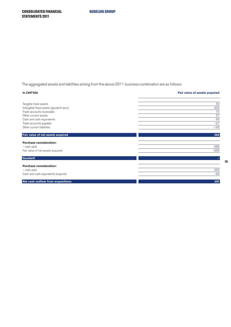The aggregated assets and liabilities arising from the above 2011 business combination are as follows:

| <b>In CHF'000</b>                        | Fair value of assets acquired |  |  |
|------------------------------------------|-------------------------------|--|--|
|                                          |                               |  |  |
| Tangible fixed assets                    | 50                            |  |  |
| Intangible fixed assets (goodwill excl.) | 322                           |  |  |
| Trade accounts receivable                | 73                            |  |  |
| Other current assets                     | 27                            |  |  |
| Cash and cash equivalents                | 69                            |  |  |
| Trade accounts payable                   | $-27$                         |  |  |
| Other current liabilities                | $-148$                        |  |  |
| Fair value of net assets acquired        | 366                           |  |  |
| <b>Purchase consideration:</b>           |                               |  |  |
| - cash paid                              | 366                           |  |  |
| Fair value of net assets acquired        | $-366$                        |  |  |
| Goodwill                                 | -                             |  |  |
| <b>Purchase consideration:</b>           |                               |  |  |
| - cash paid                              | 366                           |  |  |
| Cash and cash equivalents acquired       | $-69$                         |  |  |
| Net cash outflow from acquisitions       | 297                           |  |  |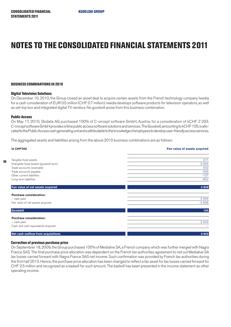#### Business combinations in 2010

#### Digital Television Solutions

On December 10, 2010, the Group closed an asset deal to acquire certain assets from the French technology company Iwedia for a cash consideration of EUR 0.5 million (CHF 0.7 million). Iwedia develops software products for television operators, as well as set-top box and integrated digital TV vendors. No goodwill arose from this business combination.

#### Public Access

20

On May 17, 2010, Skidata AG purchased 100% of C-oncept software GmbH, Austria, for a consideration of kCHF 2 293. C-oncept software GmbH provides online public access software solutions and services. The Goodwill, amounting to kCHF 105, is allocated to the Public Access cash generating unit and is attributable to the knowledge of employees to develop user-friendly access services.

The aggregated assets and liabilities arising from the above 2010 business combinations are as follows:

| <b>In CHF'000</b>                        | Fair value of assets acquired |  |  |
|------------------------------------------|-------------------------------|--|--|
|                                          |                               |  |  |
| Tangible fixed assets                    | 317                           |  |  |
| Intangible fixed assets (goodwill excl.) | 3 3 2 4                       |  |  |
| Trade accounts receivable                | 542                           |  |  |
| Trade accounts payable                   | $-356$                        |  |  |
| Other current liabilities                | $-137$                        |  |  |
| Long term liabilities                    | $-852$                        |  |  |
| Fair value of net assets acquired        | 2838                          |  |  |
| <b>Purchase consideration:</b>           |                               |  |  |
| $-$ cash paid                            | 2943                          |  |  |
| Fair value of net assets acquired        | $-2838$                       |  |  |
| Goodwill                                 | 105                           |  |  |
| <b>Purchase consideration:</b>           |                               |  |  |
| $-$ cash paid                            | 2943                          |  |  |
| Cash and cash equivalents acquired       |                               |  |  |
| Net cash outflow from acquisitions       | 2943                          |  |  |

#### Correction of previous purchase price

On Septembrer 18, 2009, the Group purchased 100% of Medialive SA, a French company which was further merged with Nagra France SAS. The final purchase price allocation was dependent on the French tax authorities agreement to net out Medialive SA tax losses carried forward with Nagra France SAS net income. Such confirmation was provided by French tax authorities during the first half 2010. Hence, the purchase price allocation has been changed to reflect a tax asset for tax losses carried forward for CHF 2.5 million and recognized as a badwill for such amount. The badwill has been presented in the income statement as other operating income.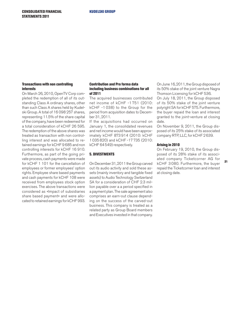#### Transactions with non controlling interests

On March 26, 2010, OpenTV Corp completed the redemption of all of its outstanding Class A ordinary shares, other than such Class A shares held by Kudelski Group. A total of 16 098 257 shares, representing 11.5% of the share capital of the company, have been redeemed for a total consideration of kCHF 26 595. The redemption of the above shares was treated as transaction with non controlling interest and was allocated to retained earnings for kCHF 9 685 and non controlling interests for kCHF 16 910. Furthermore, as part of the going private process, cash payments were made for kCHF 1 101 for the cancellation of employees or former employees' option rights. Employee share based payments and cash payments for kCHF 108 were received from employees stock option exercises. The above transactions were considered as «Impact of subsidiaries share based payment» and were allocated to retained earnings for kCHF 993.

#### Contribution and Pro forma data including business combinations for all of 2011

The acquired businesses contributed net income of kCHF -1 751 (2010: kCHF -1 038) to the Group for the period from acquisition dates to December 31, 2011.

If the acquisitions had occurred on January 1, the consolidated revenues and net income would have been approximately kCHF 873 914 (2010: kCHF 1 035 820) and kCHF -17 735 (2010: kCHF 64549) respectively.

#### 5. Divestments

On December 31, 2011 the Group carved out its audio activity and sold these assets (mainly inventory and tangible fixed assets) to Audio Technology Switzerland SA for a consideration of CHF 2.3 million payable over a a period specified in a payment plan. The sale agreement also comprises an earn-out clause depending on the success of the carved-out business. This company is treated as a related party as Group Board members and Executives invested in that company.

On June 16, 2011, the Group disposed of its 50% stake of the joint venture Nagra Thomson Licensing for kCHF 536.

On July 18, 2011, the Group disposed of its 50% stake of the joint venture polyright SA for kCHF 575. Furthermore, the buyer repaid the loan and interest granted to the joint-venture at closing date.

On November 9, 2011, the Group disposed of its 25% stake of its associated company RTP, LLC, for kCHF 2639.

#### Arising in 2010

On February 19, 2010, the Group disposed of its 28% stake of its associated company Ticketcorner AG for kCHF 3 080. Furthermore, the buyer repaid the Ticketcorner loan and interest at closing date.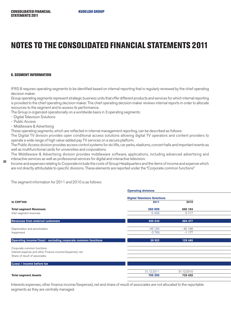### 6. Segment information

IFRS 8 requires operating segments to be identified based on internal reporting that is regularly reviewed by the chief operating decision maker.

Group operating segments represent strategic business units that offer different products and services for which internal reporting is provided to the chief operating decision maker. The chief operating decision maker reviews internal reports in order to allocate resources to the segment and to assess its performance.

The Group is organized operationally on a worldwide basis in 3 operating segments:

- Digital Television Solutions
- Public Access
- Middleware & Advertising

These operating segments, which are reflected in internal management reporting, can be described as follows:

The Digital TV division provides open conditional access solutions allowing digital TV operators and content providers to operate a wide range of high value-added pay TV services on a secure platform.

The Public Access division provides access control systems for ski lifts, car parks, stadiums, concert halls and important events as well as multifunctional cards for universities and corporations.

The Middleware & Advertising division provides middleware software, applications, including advanced advertising and interactive services as well as professional services for digital and interactive television.

22 Income and expenses relating to Corporate include the costs of Group Headquarters and the items of income and expense which are not directly attributable to specific divisions. These elements are reported under the "Corporate common functions"

The segment information for 2011 and 2010 is as follows:

| <b>Operating divisions</b>          |                        |                        |
|-------------------------------------|------------------------|------------------------|
| <b>Digital Television Solutions</b> |                        |                        |
| 2011                                | 2010                   |                        |
| 560999                              | 690 194                |                        |
| $-5456$                             | $-5717$                |                        |
| 555 543                             | 684 477                |                        |
|                                     |                        |                        |
| $-3749$                             | $-1177$                |                        |
| 28 9 22                             | 129 465                |                        |
|                                     |                        |                        |
|                                     |                        |                        |
|                                     |                        |                        |
|                                     |                        |                        |
|                                     |                        |                        |
| 705 293                             | 733 402                |                        |
|                                     | $-46194$<br>31.12.2011 | $-45196$<br>31.12.2010 |

Interests expenses, other finance income/(expense), net and share of result of associates are not allocated to the reportable segments as they are centrally managed.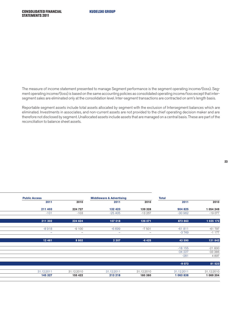The measure of income statement presented to manage Segment performance is the segment operating income/(loss). Segment operating income/(loss) is based on the same accounting policies as consolidated operating income/loss except that intersegment sales are eliminated only at the consolidation level. Inter-segment transactions are contracted on arm's length basis.

Reportable segment assets include total assets allocated by segment with the exclusion of Intersegment balances which are eliminated. Investments in associates, and non-current assets are not provided to the chief operating decision maker and are therefore not disclosed by segment. Unallocated assets include assets that are managed on a central basis. These are part of the reconciliation to balance sheet assets.

|               | <b>Total</b> |            | <b>Middleware &amp; Advertising</b> |            | <b>Public Access</b> |
|---------------|--------------|------------|-------------------------------------|------------|----------------------|
| 2010          | 2011         | 2010       | 2011                                | 2010       | 2011                 |
| 1 0 5 4 2 4 9 | 904 825      | 139 328    | 132 423                             | 224 727    | 211 403              |
| $-19077$      | $-30962$     | $-13257$   | $-25405$                            | $-103$     | $-101$               |
| 1 035 172     | 873 863      | 126 071    | 107 018                             | 224 624    | 211 302              |
| $-61797$      | $-61811$     | $-7501$    | $-6699$                             | $-9100$    | $-8918$              |
| $-1177$       | $-3749$      | $-$        | $\sim$                              | $-$        | $\sim$               |
| 131 842       | 43 590       | $-6425$    | 2 2 0 7                             | 8 8 0 2    | 12 4 61              |
| $-21830$      | $-18155$     |            |                                     |            |                      |
| $-33386$      | $-34227$     |            |                                     |            |                      |
| 4 8 9 7       | $-281$       |            |                                     |            |                      |
| 81 523        | $-9073$      |            |                                     |            |                      |
| 31.12.2010    | 31.12.2011   | 31.12.2010 | 31.12.2011                          | 31.12.2010 | 31.12.2011           |
| 1 069 204     | 1 063 838    | 180 380    | 213 218                             | 155 422    | 145 327              |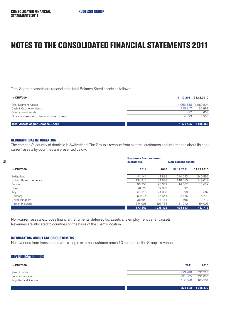Total Segment assets are reconciled to total Balance Sheet assets as follows:

| In $CHF'000$                                  | 31.12.2011 31.12.2010 |                     |
|-----------------------------------------------|-----------------------|---------------------|
| Total Segment Assets                          | 1063838               | 069 204             |
| Cash & Cash equivalents                       | 110 717               | 30 981              |
| Other current assets                          | 377                   | 602                 |
| Financial assets and other non-current assets | 4523                  | 4568                |
|                                               |                       |                     |
| <b>Total Assets as per Balance Sheet</b>      |                       | 1 179 455 1 105 355 |

#### geographical information

24

The company's country of domicile is Switzerland. The Group's revenue from external customers and information about its noncurrent assets by countries are presented below:

|                          | <b>Revenues from external</b> |           |                           |            |
|--------------------------|-------------------------------|-----------|---------------------------|------------|
|                          | <b>customers</b>              |           | <b>Non-current assets</b> |            |
| <b>In CHF'000</b>        | 2011                          | 2010      | 31.12.2011                | 31.12.2010 |
| Switzerland              | 41 141                        | 44 8 89   | 214 242                   | 240 859    |
| United States of America | 134 912                       | 154 838   | 148 010                   | 119018     |
| France                   | 90 352                        | 93 359    | 14 567                    | 15 4 39    |
| Brazil                   | 70 672                        | 72 663    | 22                        |            |
| Italy                    | 67 113                        | 91958     | 820                       | 897        |
| Germany                  | 59 044                        | 75 544    | 5676                      | 5790       |
| United Kingdom           | 36 621                        | 74 184    | 466                       | 1710       |
| Rest of the world        | 374 008                       | 427 738   | 51 010                    | 54 003     |
|                          | 873 863                       | 1 035 172 | 435 813                   | 437 716    |

Non-current assets excludes financial instruments, deferred tax assets and employment benefit assets. Revenues are allocated to countries on the basis of the client's location.

#### Information about major customers

No revenues from transactions with a single external customer reach 10 per cent of the Group's revenue.

#### Revenue categories

| In $CHF'000$           | 2011    | 2010    |
|------------------------|---------|---------|
| Sale of goods          | 423 788 | 537 754 |
| Services rendered      | 291 505 | 331 654 |
| Royalties and licenses | 158 570 | 165 764 |
|                        |         |         |

**873 863 1 035 172**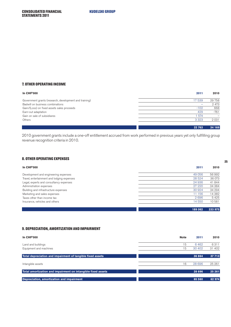#### 7. Other operating income

| <b>In CHF'000</b>                                      | 2011    | 2010    |
|--------------------------------------------------------|---------|---------|
| Government grants (research, development and training) | 17 539  | 29 758  |
| Badwill on business combinations                       | -       | 2 4 7 3 |
| Gain/(Loss) on fixed assets sales proceeds             | $-102$  | 668     |
| Earn-out adaptation                                    | 429     | $-761$  |
| Gain on sale of subsidiares                            | 1 574   |         |
| Others                                                 | 3 3 2 3 | 2031    |
|                                                        | 22763   | 34 169  |

2010 government grants include a one-off entitlement accrued from work performed in previous years yet only fullfilling group revenue recognition criteria in 2010.

#### 8. Other operating expenses

| <b>In CHF'000</b>                          | 2011    | 2010     |
|--------------------------------------------|---------|----------|
| Development and engineering expenses       | 49 0 56 | 56992    |
| Travel, entertainment and lodging expenses | 28 5 24 | 36 073   |
| Legal, experts and consultancy expenses    | 24 936  | 41844    |
| Administration expenses                    | 27 220  | 34 384   |
| Building and infrastructure expenses       | 30 9 24 | 34 294   |
| Marketing and sales expenses               | 11 156  | 14 3 8 2 |
| Taxes other than income tax                | 2696    | 5425     |
| Insurance, vehicles and others             | 14 550  | 10581    |
|                                            |         |          |
|                                            | 189 062 | 233 975  |

#### 9. Depreciation, amortization and impairment

| <b>In CHF'000</b>                                            | <b>Note</b> | 2011           | 2010           |
|--------------------------------------------------------------|-------------|----------------|----------------|
| Land and buildings<br>Equipment and machines                 | 15<br>15    | 6462<br>30 402 | 6311<br>31 402 |
| Total depreciation and impairment of tangible fixed assets   |             | 36 864         | 37 713         |
| Intangible assets                                            | 16          | 28 6 9 6       | 25 261         |
| Total amortization and impairment on intangible fixed assets |             | 28 696         | 25 26 1        |
| Depreciation, amortization and impairment                    |             | 65 560         | 62 974         |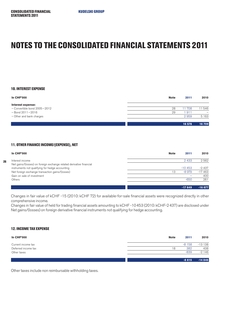#### 10. Interest expense

26

| In $CHF'000$                       | <b>Note</b> | 2011   | 2010    |
|------------------------------------|-------------|--------|---------|
| Interest expense:                  |             |        |         |
| $-$ Convertible bond $2005 - 2012$ | 28          | 11 708 | 1546    |
| $-$ Bond 2011 $-2016$              | 29          | 911    | -       |
| - Other and bank charges           |             | 2959   | 5 1 6 3 |
|                                    |             | 16 578 | 16709   |

#### 11. Other finance income/(expense), net

| <b>In CHF'000</b>                                                   | <b>Note</b> | 2011     | 2010     |
|---------------------------------------------------------------------|-------------|----------|----------|
| Interest income                                                     |             | 2 4 3 3  | 2562     |
| Net gains/(losses) on foreign exchange related derivative financial |             |          |          |
| instruments not qualifying for hedge accounting                     |             | $-10453$ | $-2437$  |
| Net foreign exchange transaction gains/(losses)                     | 13          | $-8979$  | $-17463$ |
| Gain on sale of investment                                          |             |          | 400      |
| <b>Others</b>                                                       |             | $-650$   | 261      |
|                                                                     |             |          |          |
|                                                                     |             | $-17649$ | $-16677$ |

Changes in fair value of kCHF -15 (2010: kCHF 72) for available-for-sale financial assets were recognized directly in other comprehensive income.

Changes in fair value of held for trading financial assets amounting to kCHF -10453 (2010: kCHF-2437) are disclosed under Net gains/(losses) on foreign derivative financial instruments not qualifying for hedge accounting.

#### 12. Income tax expense

| In CHF'000          | <b>Note</b> | 2011    | 2010     |
|---------------------|-------------|---------|----------|
| Current income tax  |             | $-8158$ | $-13138$ |
| Deferred income tax | 18          | 382     | 438      |
| Other taxes         |             | $-839$  | $-2146$  |
|                     |             | $-8615$ | $-14846$ |

Other taxes include non reimbursable withholding taxes.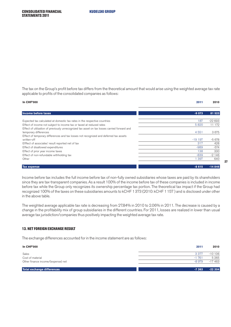The tax on the Group's profit before tax differs from the theoretical amount that would arise using the weighted average tax rate applicable to profits of the consolidated companies as follows:

| <b>In CHF'000</b>                                                                            | 2011     | 2010     |
|----------------------------------------------------------------------------------------------|----------|----------|
| Income before taxes                                                                          | $-9073$  | 81 523   |
|                                                                                              |          |          |
| Expected tax calculated at domestic tax rates in the respective countries                    | 187      | $-22693$ |
| Effect of income not subject to income tax or taxed at reduced rates                         | 5820     | 11 172   |
| Effect of utilization of previously unrecognized tax asset on tax losses carried forward and |          |          |
| temporary differences                                                                        | 4 5 5 1  | 3675     |
| Effect of temporary differences and tax losses not recognized and deferred tax assets        |          |          |
| written-off                                                                                  | $-19197$ | $-5678$  |
| Efffect of associates' result reported net of tax                                            | 317      | 428      |
| Effect of disallowed expenditures                                                            | $-989$   | $-574$   |
| Effect of prior year income taxes                                                            | 138      | 330      |
| Effect of non-refundable withholding tax                                                     | $-839$   | $-2146$  |
| Other                                                                                        | -397     | 640      |
| <b>Tax expense</b>                                                                           | $-8615$  | $-14846$ |

Income before tax includes the full income before tax of non-fully owned subsidiaries whose taxes are paid by its shareholders since they are tax-transparent companies. As a result 100% of the income before tax of these companies is included in income before tax while the Group only recognizes its ownership percentage tax portion. The theoretical tax impact if the Group had recognized 100% of the taxes on these subsidiaries amounts to kCHF 1373 (2010: kCHF 1157 ) and is disclosed under other in the above table.

The weighted average applicable tax rate is decreasing from 27.84% in 2010 to 2.06% in 2011. The decrease is caused by a change in the profitability mix of group subsidiaries in the different countries. For 2011, losses are realized in lower than usual average tax jurisdiction/companies thus positively impacting the weighted average tax rate.

#### 13. Net foreign exchange result

The exchange differences accounted for in the income statement are as follows:

| <b>In CHF'000</b>                  | 2011     | 2010     |
|------------------------------------|----------|----------|
| Sales                              | 3 3 7 7  | $-10106$ |
| Cost of material                   | $-1761$  | 5 2 6 5  |
| Other finance income/(expense) net | $-8.979$ | $-17463$ |
| <b>Total exchange differences</b>  | $-7363$  | $-22304$ |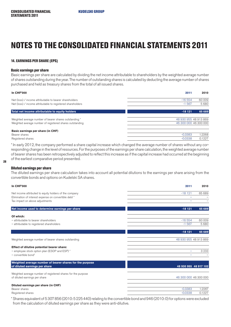### 14. Earnings per share (EPS)

#### Basic earnings per share

Basic earnings per share are calculated by dividing the net income attributable to shareholders by the weighted average number of shares outstanding during the year. The number of outstanding shares is calculated by deducting the average number of shares purchased and held as treasury shares from the total of all issued shares.

| In $CHF'000$                                                | 2011                  | 2010   |
|-------------------------------------------------------------|-----------------------|--------|
| Net (loss) / income attributable to bearer shareholders     | $-16.554$             | 60 009 |
| Net (loss) / income attributable to registered shareholders | $-1.567$              | 5680   |
| Total net income attributable to equity holders             | $-18121$              | 65 689 |
| Weighted average number of bearer shares outstanding *      | 48 930 955 48 913 869 |        |
| Weighted average number of registered shares outstanding    | 46 300 000 46 300 000 |        |
| Basic earnings per share (in CHF)                           |                       |        |
| Bearer shares                                               | $-0.3383$             | 1.2268 |
| Registered shares                                           | $-0.0338$             | 0.1227 |

\* In early 2012, the company performed a share capital increase which changed the average number of shares without any corresponding change in the level of resources. For the purposes of the earnings per share calculation, the weighted average number of bearer shares has been retrospectively adjusted to reflect this increase as if the capital increase had occurred at the beginning of the earliest comparative period presented.

#### Diluted earnings per share

The diluted earnings per share calculation takes into account all potential dilutions to the earnings per share arising from the convertible bonds and options on Kudelski SA shares.

| <b>In CHF'000</b>                                                                                               | 2011                  | 2010    |
|-----------------------------------------------------------------------------------------------------------------|-----------------------|---------|
| Net income attributed to equity holders of the company<br>Elimination of interest expense on convertible debt * | $-18121$              | 65 689  |
| Tax impact on above adjustments                                                                                 |                       |         |
| Net income used to determine earnings per share                                                                 | $-18121$              | 65 689  |
| Of which:                                                                                                       |                       |         |
| - attributable to bearer shareholders                                                                           | $-16554$              | 60 009  |
| - attributable to registered shareholders                                                                       | $-1.567$              | 5680    |
|                                                                                                                 | $-18$ 121             | 65 689  |
| Weighted average number of bearer shares outstanding                                                            | 48 930 955 48 913 869 |         |
| Effect of dilutive potential bearer share:                                                                      |                       |         |
| - employee stock option plan (ESOP and ESP) *                                                                   |                       | 3 2 3 3 |
| - convertible bond*                                                                                             |                       |         |
| Weighted average number of bearer shares for the purpose                                                        |                       |         |
| of diluted earnings per share                                                                                   | 48 930 955 48 917 102 |         |
| Weighted average number of registered shares for the purpose                                                    |                       |         |
| of diluted earnings per share                                                                                   | 46 300 000 46 300 000 |         |
| Diluted earnings per share (in CHF)                                                                             |                       |         |
| Bearer shares                                                                                                   | $-0.3383$             | 1.2267  |
| Registered shares                                                                                               | $-0.0338$             | 0.1227  |

\* Shares equivalent of 5307856 (2010: 5225440) relating to the convertible bond and 946 (2010: 0) for options were excluded from the calculation of diluted earnings per share as they were anti-dilutive.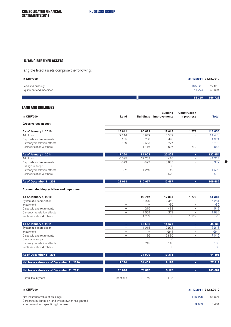Consolidated financial Kudelski Group statements 2011

#### 15. Tangible fixed assets

Tangible fixed assets comprise the following:

| In $CHF'000$           | 31.12.2011 31.12.2010 |        |
|------------------------|-----------------------|--------|
| Land and buildings     | 105 081               | 77819  |
| Equipment and machines | 61 974                | 68 904 |

T.

**166 355 146 723**

#### Land and buildings

| <b>In CHF'000</b>                                         | Land                            | <b>Buildings</b>         | <b>Building</b><br>improvements | <b>Construction</b><br>in progress  | <b>Total</b>   |
|-----------------------------------------------------------|---------------------------------|--------------------------|---------------------------------|-------------------------------------|----------------|
| Gross values at cost                                      |                                 |                          |                                 |                                     |                |
| As of January 1, 2010                                     | 15 641                          | 80 621                   | 18 015                          | 1779                                | 116 056        |
| Additions                                                 | 2 1 1 4                         | 5942                     | 3 3 6 9                         |                                     | 11 4 25        |
| Disposals and retirements                                 | $-155$                          | $-738$                   | $-478$                          | $\equiv$                            | $-1371$        |
| Currency translation effects<br>Reclassification & others | $-380$<br>$\overline{a}$        | $-2633$<br>1716          | $-777$<br>697                   | $\overline{\phantom{0}}$<br>$-1779$ | $-3790$<br>634 |
|                                                           |                                 |                          |                                 |                                     |                |
| As of January 1, 2011                                     | 17 220                          | 84 908                   | 20826                           | ٠                                   | 122 954        |
| Additions                                                 | 6095                            | 27 703                   | 416                             | $\equiv$                            | 34 214         |
| Disposals and retirements                                 | $-599$                          | $-893$                   | $-6835$                         | $\overline{\phantom{0}}$            | $-8327$        |
| Change in scope                                           | $\overline{\phantom{0}}$        | $\equiv$                 | 8                               | $\overline{\phantom{0}}$            | 8              |
| Currency translation effects                              | 302<br>$\overline{\phantom{0}}$ | 1 2 5 9<br>$=$           | 42                              | $\overline{\phantom{0}}$            | 1 603          |
| Reclassification & others                                 |                                 |                          | $-970$                          |                                     | $-970$         |
| As of December 31, 2011                                   | 23 018                          | 112 977                  | 13 4 8 7                        | ٠                                   | 149 482        |
| <b>Accumulated depreciation and impairment</b>            |                                 |                          |                                 |                                     |                |
| As of January 1, 2010                                     | -                               | $-26712$                 | $-12893$                        | $-1779$                             | -41 384        |
| Systematic depreciation                                   | $\qquad \qquad -$               | $-3929$                  | $-2352$                         | $\overline{\phantom{0}}$            | $-6281$        |
| Impairment                                                | $\equiv$                        |                          | $-30$                           | $\overline{\phantom{0}}$            | $-30$          |
| Disposals and retirements                                 | $\qquad \qquad -$               | 215                      | 433                             | $\overline{\phantom{0}}$            | 648            |
| Currency translation effects                              | $\overline{\phantom{0}}$        | 1 6 5 9                  | 273                             | $\overline{\phantom{0}}$            | 1932           |
| Reclassification & others                                 | $\equiv$                        | $-1739$                  | $-60$                           | 1 7 7 9                             | $-20$          |
| As of January 1, 2011                                     | $\overline{\phantom{a}}$        | $-30506$                 | $-14629$                        | ٠                                   | $-45$ 135      |
| Systematic depreciation                                   | $\equiv$                        | $-4015$                  | $-2203$                         | $\!-$                               | $-6218$        |
| Impairment                                                | $\equiv$                        |                          | $-244$                          | $\equiv$                            | $-244$         |
| Disposals and retirements                                 | $\overline{\phantom{m}}$        | 186                      | 6830                            | $\overline{\phantom{0}}$            | 7016           |
| Change in scope                                           | $\equiv$                        | $\overline{\phantom{0}}$ | -8                              | $\overline{\phantom{0}}$            | $-8$           |
| Currency translation effects                              | $\equiv$                        | 245                      | $-140$                          | $\overline{\phantom{0}}$            | 105            |
| Reclassification & others                                 | $\overline{\phantom{0}}$        | $\overline{\phantom{0}}$ | 83                              | $\qquad \qquad -$                   | 83             |
| As of December 31, 2011                                   | ٠                               | $-34090$                 | $-10311$                        | ٠                                   | $-44401$       |
| Net book values as of December 31, 2010                   | 17 220                          | 54 402                   | 6 197                           | ٠                                   | 77819          |
| Net book values as of December 31, 2011                   | 23 018                          | 78 887                   | 3 176                           | ٠                                   | 105 081        |
| Useful life in years                                      | Indefinite                      | $10 - 50$                | $4 - 8$                         |                                     |                |

| Fire insurance value of buildings                   | 118 105 | 83 091 |
|-----------------------------------------------------|---------|--------|
| Corporate buildings on land whose owner has granted |         |        |
| a permanent and specific right of use               | 8 1 6 3 | 6401   |
|                                                     |         |        |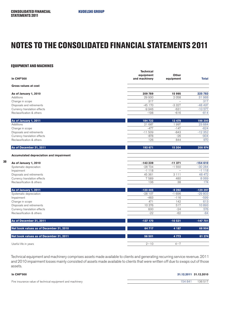#### Equipment and machines

|                                                | <b>Technical</b> |              |              |  |
|------------------------------------------------|------------------|--------------|--------------|--|
| <b>In CHF'000</b>                              | equipment        | <b>Other</b> |              |  |
|                                                | and machinery    | equipment    | <b>Total</b> |  |
| Gross values at cost                           |                  |              |              |  |
| As of January 1, 2010                          | 209 789          | 15 995       | 225 783      |  |
| Additions                                      | 29 930           | 2058         | 31988        |  |
| Change in scope                                | 317              |              | 317          |  |
| Disposals and retirements                      | $-45170$         | $-3327$      | $-48497$     |  |
| Currency translation effects                   | $-9946$          | $-631$       | $-10577$     |  |
| Reclassification & others                      | $-198$           | $-616$       | $-814$       |  |
| As of January 1, 2011                          | 184722           | 13 479       | 198 200      |  |
| Additions                                      | 21 687           | 1 9 9 7      | 23 684       |  |
| Change in scope                                | $-477$           | $-147$       | $-624$       |  |
| Disposals and retirements                      | $-11509$         | $-843$       | $-12352$     |  |
| Currency translation effects                   | $-878$           | $-26$        | $-904$       |  |
| Reclassification & others                      | 126              | 844          | 970          |  |
| As of December 31, 2011                        | 193 671          | 15 304       | 208 974      |  |
| <b>Accumulated depreciation and impairment</b> |                  |              |              |  |
| As of January 1, 2010                          | $-143239$        | $-11371$     | $-154610$    |  |
| Systematic depreciation                        | $-28734$         | $-1550$      | $-30284$     |  |
| Impairment                                     | $-1118$          |              | $-1118$      |  |
| Disposals and retirements                      | 45 361           | 3 1 1 1      | 48 472       |  |
| Currency translation effects                   | 7589             | 480          | 8 0 6 9      |  |
| Reclassification & others                      | 136              | 38           | 174          |  |
| As of January 1, 2011                          | $-120005$        | $-9292$      | $-129297$    |  |
| Systematic depreciation                        | $-28107$         | $-1696$      | $-29803$     |  |
| Impairment                                     | $-483$           | $-116$       | $-599$       |  |
| Change in scope                                | 471              | 142          | 613          |  |
| Disposals and retirements                      | 10 376           | 517          | 10893        |  |
| Currency translation effects                   | 600              | $-24$        | 576          |  |
| Reclassification & others                      | $-22$            | $-62$        | $-84$        |  |
| As of December 31, 2011                        | $-137$ 170       | $-10531$     | $-147701$    |  |
| Net book values as of December 31, 2010        | 64 717           | 4 187        | 68 904       |  |
| Net book values as of December 31, 2011        | 56 501           | 4773         | 61 274       |  |
| Useful life in years                           | $2 - 10$         | $4 - 7$      |              |  |

Technical equipment and machinery comprises assets made available to clients and generating recurring service revenue. 2011 and 2010 impairment losses mainly consisted of assets made available to clients that were written off due to swaps out of those assets.

30

#### **In CHF'000 31.12.2011 31.12.2010**

Fire insurance value of technical equipment and machinery 154 841 136 517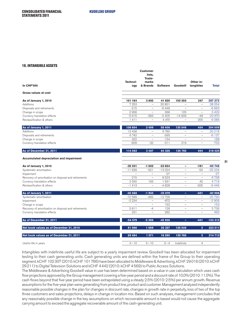CONSOLIDATED FINANCIAL KUDELSKI GROUP STATEMENTS 2011

#### 16. Intangible assets

| <b>In CHF'000</b>                                    | Technol-<br>ogy          | <b>Customer</b><br>lists,<br>Trade-<br>marks<br>& Brands | <b>Software</b> | Goodwill                 | Other in-<br>tangibles   | <b>Total</b> |
|------------------------------------------------------|--------------------------|----------------------------------------------------------|-----------------|--------------------------|--------------------------|--------------|
| Gross values at cost                                 |                          |                                                          |                 |                          |                          |              |
| As of January 1, 2010                                | 101 164                  | 3892                                                     | 41 620          | 150 350                  | 247                      | 297 273      |
| Additions                                            | 7 253                    | $\overline{\phantom{0}}$                                 | 20 801          |                          | $\overline{\phantom{0}}$ | 28 0 54      |
| Disposals and retirements                            | $-215$                   | $\overline{\phantom{a}}$                                 | $-6448$         | $\qquad \qquad -$        | $\overline{\phantom{0}}$ | $-6663$      |
| Change in scope                                      | 2956                     | $\qquad \qquad -$                                        | 368             | 105                      | $\overline{\phantom{m}}$ | 3 4 2 9      |
| Currency translation effects                         | $-5915$                  | $-393$                                                   | $-2405$         | $-14909$                 | $-48$                    | $-23670$     |
| Reclassification & others                            | 1411                     | $\overline{\phantom{m}}$                                 | 4 4 7 0         | $\qquad \qquad -$        | 205                      | 6086         |
| As of January 1, 2011                                | 106 654                  | 3499                                                     | 58 406          | 135 546                  | 404                      | 304 509      |
| Additions                                            | 13 4 38                  | $\qquad \qquad -$                                        | 6780            | $\qquad \qquad -$        | $\overline{\phantom{0}}$ | 20 218       |
| Disposals and retirements                            | $-5742$                  | $\overline{\phantom{0}}$                                 | $-395$          | $\overline{a}$           | $\overline{\phantom{0}}$ | $-6137$      |
| Change in scope                                      | 322                      | $\equiv$                                                 | $-154$          | $\equiv$                 | $\overline{\phantom{0}}$ | 168          |
| Currency translation effects                         | $-609$                   | $-32$                                                    | $-311$          | 219                      | $\overline{\phantom{0}}$ | $-733$       |
| As of December 31, 2011                              | 114 063                  | 3 4 6 7                                                  | 64 326          | 135 765                  | 404                      | 318 025      |
| <b>Accumulated depreciation and impairment</b>       |                          |                                                          |                 |                          |                          |              |
| As of January 1, 2010                                | $-35301$                 | $-1602$                                                  | $-23654$        | -                        | $-191$                   | $-60748$     |
| Systematic amortization                              | $-11639$                 | $-521$                                                   | $-13024$        | $\overline{\phantom{0}}$ | $-50$                    | $-25234$     |
| Impairment                                           | $\overline{\phantom{a}}$ | $\overline{\phantom{m}}$                                 | $-27$           | $\overline{\phantom{0}}$ | $\overline{\phantom{m}}$ | $-27$        |
| Recovery of amortization on disposal and retirements | 215                      | $\overline{\phantom{m}}$                                 | 6523            | $\overline{\phantom{0}}$ | $\overline{\phantom{0}}$ | 6738         |
| Currency translation effects                         | 2550                     | 193                                                      | 1931            | $\overline{\phantom{0}}$ | 45                       | 4719         |
| Reclassification & others                            | $-1413$                  | $\!-$                                                    | $-4828$         | $\overline{\phantom{0}}$ | $-205$                   | $-6446$      |
| As of January 1, 2011                                | $-45588$                 | $-1930$                                                  | $-33079$        | ٠                        | $-401$                   | $-80998$     |
| Systematic amortization                              | $-12599$                 | $-462$                                                   | $-12729$        | $\overline{\phantom{0}}$ | $\overline{\phantom{0}}$ | $-25790$     |
| Impairment                                           | $-2234$                  | $\overline{\phantom{0}}$                                 | $-672$          | $\overline{\phantom{0}}$ | $\overline{\phantom{0}}$ | $-2906$      |
| Change in scope                                      | $\equiv$                 | $\overline{\phantom{0}}$                                 | 153             | $\overline{a}$           | $\overline{\phantom{0}}$ | 153          |
| Recovery of amortization on disposal and retirements | 5611                     | $-4$                                                     | 129             | $\overline{\phantom{0}}$ | $\overline{\phantom{0}}$ | 5736         |
| Currency translation effects                         | 231                      | $\overline{\phantom{0}}$                                 | 262             | $\overline{a}$           | $\overline{\phantom{0}}$ | 493          |
| As of December 31, 2011                              | $-54579$                 | $-2396$                                                  | $-45936$        | ۳                        | $-401$                   | $-103312$    |
| Net book values as of December 31, 2010              | 61 066                   | 1569                                                     | 25 327          | 135 546                  | $\overline{\mathbf{3}}$  | 223 511      |
| Net book values as of December 31, 2011              | 59 484                   | 1 0 7 1                                                  | 18 390          | 135 765                  | $\overline{\mathbf{3}}$  | 214 713      |
| Useful life in years                                 | $4 - 10$                 | $5 - 10$                                                 | $3 - 4$         | Indefinite               | 4                        |              |

Intangibles with indefinite useful life are subject to a yearly impairment review. Goodwill has been allocated for impairment testing to their cash generating units. Cash generating units are defined within the frame of the Group to their operating segment. kCHF 102307 (2010: kCHF 101766) have been allocated to Middleware & Advertising, kCHF 29016 (2010: kCHF 29211) to Digital Television Solutions and kCHF 4442 (2010: kCHF 4569) to Public Access Solutions.

The Middleware & Advertising Goodwill value in use has been determined based on a value in use calculation which uses cash flow projections approved by the Group management covering a five-year period and a discount rate of 10.0% (2010: 11.0%). The cash flows beyond that five-year period have been extrapolated using a steady 2.5% (2010: 2.5%) per annum growth. Revenue assumptions for the five-year plan were generating from product line, product and customer. Management analyzed independently reasonable possible changes in the plan for changes in discount rate, changes in growth rate in perpetuity, loss of two of the top three customers and sales projections, delays in change in location mix. Based on such analyses, management concludes that any reasonably possible change in the key assumptions on which recoverable amount is based would not cause the aggregate carrying amount to exceed the aggregate recoverable amount of the cash-generating unit.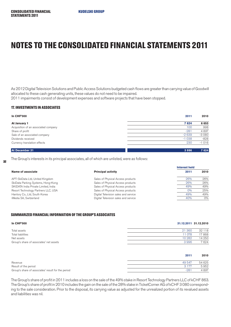As 2012 Digital Television Solutions and Public Access Solutions budgeted cash flows are greater than carrying value of Goodwill allocated to these cash generating units, these values do not need to be impaired.

2011 impairments consist of development expenses and software projects that have been stopped.

#### 17. Investments in associates

| In $CHF'000$                         | 2011    | 2010    |
|--------------------------------------|---------|---------|
| At January 1                         | 7624    | 6653    |
| Acquisition of an associated company | 100     | 998     |
| Share of profit                      | $-281$  | 4 8 9 7 |
| Sale of an associated company        | $-2639$ | $-3080$ |
| Dividends received                   | $-1038$ | $-828$  |
| Currency translation effects         | 230     | $-1016$ |
|                                      |         |         |

#### **At December 31 3 996 7 624**

32

The Group's interests in its principal associates, all of which are unlisted, were as follows:

|                                      |                                      | <b>Interest held</b> |       |
|--------------------------------------|--------------------------------------|----------------------|-------|
| Name of associate                    | <b>Principal activity</b>            | 2011                 | 2010  |
| APT-SkiData Ltd, United Kingdom      | Sales of Physical Access products    | 26%                  | 26%   |
| SkiData Parking Systems, Hong-Kong   | Sales of Physical Access products    | 26%                  | 26%   |
| SKIDATA India Private Limited, India | Sales of Physical Access products    | 49%                  | 49%   |
| Resort Technology Partners LLC, USA  | Sales of Physical Access products    | 0%                   | 25%   |
| Hantory Co., Ltd, South Korea        | Digital Television sales and service | 49%                  | 49%   |
| iWedia SA, Switzerland               | Digital Television sales and service | 40%                  | $0\%$ |

#### Summarized financial information of the Group's associates

| In $CHF'000$                            |        | 31.12.2011 31.12.2010 |
|-----------------------------------------|--------|-----------------------|
| Total assets                            | 21 360 | 32 118                |
| Total liabilities                       | 11 078 | 17868                 |
| Net assets                              | 10 282 | 14 250                |
| Group's share of associates' net assets | 3996   | 7624                  |
|                                         |        |                       |
|                                         | 2011   | 2010                  |

|                                                    | .       | ----   |
|----------------------------------------------------|---------|--------|
| Revenue                                            | 49 547  | 54 625 |
| Result of the period                               | 3 1 7 7 | 5952   |
| Group's share of associates' result for the period | $-28$   | 4 897  |
|                                                    |         |        |

The Group's share of profit in 2011 includes a loss on the sale of the 49% stake in Resort Technology Partners LLC of kCHF 863. The Group's share of profit in 2010 includes the gain on the sale of the 28% stake in TicketCorner AG of kCHF 3080 corresponding to the sale consideration. Prior to the disposal, its carrying value as adjusted for the unrealized portion of its revalued assets and liabilities was nil.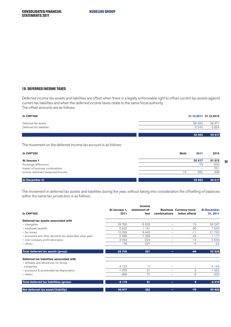#### 18. Deferred income taxes

Deferred income tax assets and liabilities are offset when there is a legally enforceable right to offset current tax assets against current tax liabilities and when the deferred income taxes relate to the same fiscal authority. The offset amounts are as follows:

| In CHF'000                                                     |                     | 31.12.2011 31.12.2010 |
|----------------------------------------------------------------|---------------------|-----------------------|
| Deferred tax assets                                            | 56 4 65             | 56 471                |
| Deferred tax liabilities                                       | $-5545$             | $-5854$               |
|                                                                | 50 920              | 50 617                |
| The movement on the deferred income tax account is as follows: |                     |                       |
| <b>In CHF'000</b>                                              | <b>Note</b><br>2011 | 2010                  |
| At January 1                                                   | 50 617              | 51 513                |
| Exchange differences                                           | $-79$               | $-633$                |

33

Exchange dimensions<br>
Impact of business combinations<br>
Income statement (expense)/income Income statement (expense)/income

**At December 31 50 920 50 617**

The movement in deferred tax assets and liabilities during the year, without taking into consideration the offsetting of balances within the same tax jurisdiction, is as follows:

|                                                          |                       | Income                |                          |                                                   |                                |
|----------------------------------------------------------|-----------------------|-----------------------|--------------------------|---------------------------------------------------|--------------------------------|
| <b>In CHF'000</b>                                        | At January 1,<br>2011 | statement ef-<br>fect | combinations             | <b>Business Currency trans-</b><br>lation effects | <b>At December</b><br>31, 2011 |
|                                                          |                       |                       |                          |                                                   |                                |
| Deferred tax assets associated with                      |                       |                       |                          |                                                   |                                |
| $-$ intangibles                                          | 29 765                | $-5533$               | $\overline{\phantom{m}}$ | 15                                                | 24 247                         |
| $-$ employee benefits                                    | 5922                  | 1 1 6 1               | $\overline{\phantom{m}}$ | -30                                               | 7053                           |
| - tax losses                                             | 15 299                | 6442                  | $\overline{\phantom{m}}$ | $-11$                                             | 21 730                         |
| - provisions and other elements tax deductible when paid | 2488                  | $-1328$               | $\overline{\phantom{m}}$ | -43                                               | 1 1 1 7                        |
| - inter-company profit elimination                       | 3084                  | $-224$                | $\overline{\phantom{m}}$ | $-14$                                             | 2846                           |
| - others                                                 | 178                   | $-227$                | $\overline{\phantom{m}}$ | -5                                                | $-54$                          |
| Total deferred tax assets (gross)                        | 56736                 | 291                   | ٠                        | $-88$                                             | 56 939                         |
| Deferred tax liabilities associated with                 |                       |                       |                          |                                                   |                                |
| - affiliates and allowances for Group                    |                       |                       |                          |                                                   |                                |
| companies                                                | $-4152$               | $-7$                  | $\overline{\phantom{m}}$ | -                                                 | $-4159$                        |
| - provisions & accelerated tax depreciation              | $-1679$               | 21                    |                          | 3                                                 | $-1655$                        |
| $-$ others                                               | $-288$                | 77                    | $\overline{\phantom{m}}$ | 6                                                 | $-205$                         |
| Total deferred tax liabilities (gross)                   | $-6119$               | 91                    | ٠                        | $\mathbf{9}$                                      | $-6019$                        |
| Net deferred tax asset/(liability)                       | 50 617                | 382                   | -                        | $-79$                                             | 50 920                         |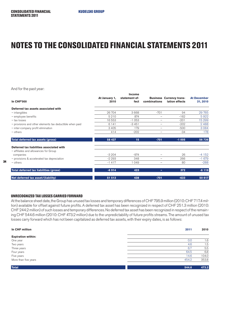#### And for the past year:

| <b>In CHF'000</b>                                        | At January 1,<br>2010 | <b>Income</b><br>statement ef-<br>fect | combinations      | <b>Business Currency trans-</b><br>lation effects | <b>At December</b><br>31, 2010 |
|----------------------------------------------------------|-----------------------|----------------------------------------|-------------------|---------------------------------------------------|--------------------------------|
| Deferred tax assets associated with                      |                       |                                        |                   |                                                   |                                |
| $-$ intangibles                                          | 26 704                | 3668                                   | $-701$            | 94                                                | 29 765                         |
| $-$ employee benefits                                    | 5210                  | 874                                    | $\qquad \qquad -$ | $-162$                                            | 5922                           |
| - tax losses                                             | 16553                 | $-1053$                                | $\qquad \qquad -$ | $-201$                                            | 15 299                         |
| - provisions and other elements tax deductible when paid | 6 1 4 1               | $-3451$                                | $\qquad \qquad -$ | $-202$                                            | 2488                           |
| - inter-company profit elimination                       | 3 4 0 5               | 179                                    | $\qquad \qquad -$ | $-500$                                            | 3 0 8 4                        |
| - others                                                 | 414                   | $-202$                                 | $\qquad \qquad -$ | -34                                               | 178                            |
| Total deferred tax assets (gross)                        | 58 427                | 15                                     | $-701$            | $-1005$                                           | 56736                          |
| Deferred tax liabilities associated with                 |                       |                                        |                   |                                                   |                                |
| - affiliates and allowances for Group                    |                       |                                        |                   |                                                   |                                |
| companies                                                | $-3204$               | $-974$                                 | $\qquad \qquad -$ | 26                                                | $-4152$                        |
| - provisions & accelerated tax depreciation              | $-2293$               | 348                                    |                   | 266                                               | $-1679$                        |
| $-$ others                                               | $-1417$               | 049                                    | $\qquad \qquad -$ | 80                                                | $-288$                         |
| Total deferred tax liabilities (gross)                   | $-6914$               | 423                                    | -                 | 372                                               | $-6119$                        |
| Net deferred tax asset/(liability)                       | 51 513                | 438                                    | $-701$            | $-633$                                            | 50 617                         |

#### unrecognized tax losses carried forward

At the balance sheet date, the Group has unused tax losses and temporary differences of CHF 795.9 million (2010: CHF 717.4million) available for offset against future profits. A deferred tax asset has been recognized in respect of CHF 251.3 million (2010: CHF 244.2 million) of such losses and temporary differences. No deferred tax asset has been recognized in respect of the remaining CHF 544.6 million (2010: CHF 473.2 million) due to the unpredictability of future profits streams. The amount of unused tax losses carry forward which has not been capitalized as deferred tax assets, with their expiry dates, is as follows:

| In CHF million            | 2011  | 2010  |
|---------------------------|-------|-------|
| <b>Expiration within:</b> |       |       |
| One year                  | 0.0   | 1.6   |
| Two years                 | 4.6   | 1.5   |
| Three years               | 6.7   | 5.5   |
| Four years                | 64.5  | 6.8   |
| Five years                | 14.6  | 104.0 |
| More than five years      | 454.2 | 353.8 |
| <b>Total</b>              | 544.6 | 473.2 |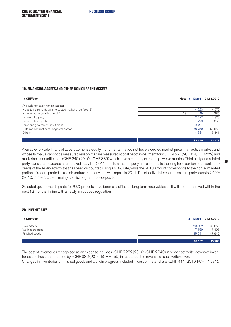#### 19. Financial assets and other non current assets

#### **In CHF'000 Note 31.12.2011 31.12.2010** Available-for-sale financial assets: – equity instruments with no quoted market price (level 3)  $\overline{4523}$  4 572 4 572 4 573 4 573 4 573 4 573 4 573 4 573 4 573 4 572 – marketable securities (level 1) 23 245 385 Loan – third party 7 677 1 870 Loan – related party 1 229 350 State and government institutions 19 491 and the state and government institutions of the state and government institutions of the state and government institutions of the state and government institutions of the state and Deferred contract cost (long term portion) 60 750 59 858 Others 4 634 5 441 **88 549 72 476**

Available-for-sale financial assets comprise equity instruments that do not have a quoted market price in an active market, and whose fair value cannot be measured reliably that are measured at cost net of impairment for kCHF 4523 (2010: kCHF 4572) and marketable securities for kCHF 245 (2010: kCHF 385) which have a maturity exceeding twelve months. Third party and related party loans are measured at amortized cost. The 2011 loan to a related party corresponds to the long term portion of the sale proceeds of the Audio activity that has been discounted using a 9.3% rate, while the 2010 amount corresponds to the non-eliminated portion of a loan granted to a joint-venture company that was repaid in 2011. The effective interest rate on third party loans is 2.49% (2010: 2.25%). Others mainly consist of guarantee deposits.

Selected government grants for R&D projects have been classified as long term receivables as it will not be received within the next 12 months, in line with a newly introduced regulation.

#### 20. Inventories

| In $CHF'000$     |         | 31.12.2011 31.12.2010 |
|------------------|---------|-----------------------|
| Raw materials    | 20 302  | 30 658                |
| Work in progress | 7 1 5 9 | 7405                  |
| Finished goods   | 35 641  | 47 640                |
|                  | 63 102  | 85 703                |

The cost of inventories recognised as an expense includes kCHF 2282 (2010: kCHF 2240) in respect of write-downs of inventories and has been reduced by kCHF 386 (2010: kCHF 559) in respect of the reversal of such write-down. Changes in inventories of finished goods and work in progress included in cost of material are kCHF 411 (2010: kCHF 1371).

35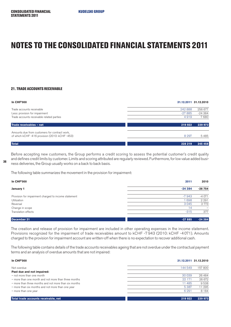### 21. Trade accounts receivable

| <b>In CHF'000</b>                                                                             |          | 31.12.2011 31.12.2010 |
|-----------------------------------------------------------------------------------------------|----------|-----------------------|
| Trade accounts receivable                                                                     | 242888   | 256 677               |
| Less: provision for impairment                                                                | $-27885$ | $-24384$              |
| Trade accounts receivable related parties                                                     | 4919     | 7680                  |
| Trade receivables - net                                                                       | 219922   | 239 973               |
| Amounts due from customers for contract work,<br>of which kCHF-416 provision (2010: kCHF-453) | 8 2 9 7  | 5485                  |
| <b>Total</b>                                                                                  | 228 219  | 245 458               |

Before accepting new customers, the Group performs a credit scoring to assess the potential customer's credit quality and defines credit limits by customer. Limits and scoring attributed are regularly reviewed. Furthermore, for low value added business deliveries, the Group usually works on a back to back basis.

The following table summarizes the movement in the provision for impairment:

| In $CHF'000$                                         | 2011     | 2010     |
|------------------------------------------------------|----------|----------|
| January 1                                            | $-24384$ | $-26754$ |
| Provision for impairment charged to income statement | $-7943$  | $-4071$  |
| Utilization                                          | 698      | 2 2 9 1  |
| Reversal                                             | 3 0 4 5  | 3773     |
| Change in scope                                      | 14       |          |
| Translation effects                                  | $-315$   | 377      |
| December 31                                          | $-27885$ | $-24384$ |

36

The creation and release of provision for impairment are included in other operating expenses in the income statement. Provisions recognized for the impairment of trade receivables amount to kCHF -7 943 (2010: kCHF -4 071). Amounts charged to the provision for impairment account are written-off when there is no expectation to recover additional cash.

The following table contains details of the trade accounts receivables ageing that are not overdue under the contractual payment terms and an analysis of overdue amounts that are not impaired:

| <b>In CHF'000</b>                                     |          | 31.12.2011 31.12.2010 |
|-------------------------------------------------------|----------|-----------------------|
| Not overdue                                           | 144 549  | 157 800               |
| Past due and not impaired:                            |          |                       |
| $-$ not more than one month                           | 30 0 39  | 26 484                |
| - more than one month and not more than three months  | 22 171   | 26 672                |
| - more than three months and not more than six months | 11 4 8 5 | 9538                  |
| - more than six months and not more than one year     | 5 3 8 7  | 11 295                |
| - more than one year                                  | 6 2 9 1  | 8 1 8 4               |
|                                                       |          |                       |

**Total trade accounts receivable, net 219 922 239 973**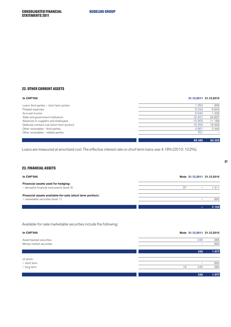#### 22. Other current assets

| <b>In CHF'000</b>                           |         | 31.12.2011 31.12.2010    |
|---------------------------------------------|---------|--------------------------|
| Loans third parties $-$ short term portion  | 1 253   | 306                      |
| Prepaid expenses                            | 6534    | 6943                     |
| Accrued income                              | 6640    | 1 226                    |
| State and government institutions           | 19421   | 24 837                   |
| Advances to suppliers and employees         | 10 905  | 11 169                   |
| Deferred contract cost (short term portion) | 18 350  | 19 329                   |
| Other receivables - third parties           | 4661    | 2 4 4 5                  |
| Other receivables - related parties         | 701     | $\overline{\phantom{m}}$ |
|                                             | 68 4 65 | 66 255                   |

Loans are measured at amortized cost. The effective interest rate on short term loans was 4.18% (2010: 10.2%).

| <b>23. FINANCIAL ASSETS</b>                                                                    |                            |
|------------------------------------------------------------------------------------------------|----------------------------|
| In CHF'000                                                                                     | Note 31.12.2011 31.12.2010 |
| Financial assets used for hedging:<br>$-$ derivative financial instruments (level 2)           | 37<br>411                  |
| Financial assets available-for-sale (short term portion):<br>- marketable securities (level 1) | 692                        |
|                                                                                                | 2 103<br>-                 |

Available-for-sale marketable securities include the following:

| <b>In CHF'000</b>       | Note 31.12.2011 31.12.2010 |         |
|-------------------------|----------------------------|---------|
| Asset-backed securities | 245                        | 385     |
| Money market securities | -                          | 692     |
|                         | 245                        | 1 0 7 7 |
| of which:               |                            |         |
| - short term            |                            | 692     |
| $-$ long term           | 245<br>19                  | 385     |
|                         | 245                        | 1 0 7 7 |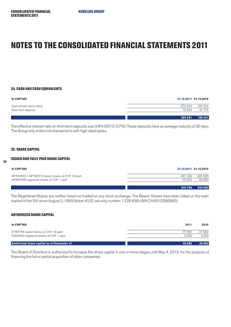#### 24. Cash and cash equivalents

| In CHF'000                                      |                   | 31.12.2011 31.12.2010 |
|-------------------------------------------------|-------------------|-----------------------|
| Cash at bank and in hand<br>Short term deposits | 275 943<br>13 648 | 167 254<br>31 777     |
|                                                 | 289 591           | 199 031               |

The effective interest rate on short term deposits was 0.8% (2010: 0.7%). These deposits have an average maturity of 30 days. The Group only enters into transactions with high rated banks.

#### 25. Share capital

38

#### Issued and fully paid share capital

| In $CHF'000$                                          |         | 31.12.2011 31.12.2010 |
|-------------------------------------------------------|---------|-----------------------|
| 48'749'832 / 48'738'312 bearer shares, at CHF 10 each | 487 498 | 487 383               |
| 46'300'000 registered shares, at CHF 1 each           | 46 300  | 46 300                |
|                                                       | 533798  | 533 683               |

The Registered Shares are neither listed nor traded on any stock exchange. The Bearer Shares have been listed on the main market of the SIX since August 2, 1999 (ticker: KUD, security number: 1 226 836; ISIN CH0012268360).

#### Authorized share capital

| In CHF'000                                        | 2011    | 2010   |
|---------------------------------------------------|---------|--------|
| 3'768'164 bearer shares, at CHF 10 each           | 37 682  | 37 682 |
| 3'200'000 registered shares, at CHF 1 each        | 3 200   | 3 200  |
|                                                   |         |        |
| <b>Authorized share capital as of December 31</b> | 40 8 82 | 40 882 |

The Board of Directors is authorized to increase the share capital in one or more stages until May 4, 2012, for the purpose of financing the full or partial acquisition of other companies.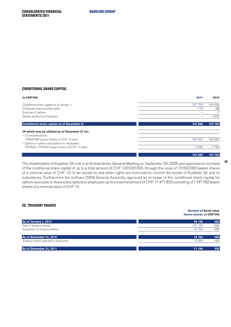#### Conditional share capital

| <b>In CHF'000</b>                                  | 2011    | 2010    |
|----------------------------------------------------|---------|---------|
| Conditional share capital as of January 1          | 107 755 | 109 503 |
| Employee share purchase plan                       | $-116$  | -88     |
| Exercise of options                                |         | $-7$    |
| Shares allotted to employees                       |         | $-1653$ |
| <b>Conditional share capital as of December 31</b> | 107 639 | 107 755 |
| Of which may be utilized as of December 31 for:    |         |         |
| - Convertible bonds:                               |         |         |
| 10'000'000 bearer shares, at CHF 10 each           | 100 000 | 100 000 |
| - Options or share subscriptions to employees:     |         |         |
| 763'924 / 775'444 bearer shares, at CHF 10 each    | 7639    | 7755    |
|                                                    |         |         |

#### **107 639 107 755**

The shareholders of Kudelski SA met in an Extraordinary General Meeting on September 30, 2005 and approved an increase of the conditional share capital of up to a total amount of CHF 100000000, through the issue of 10000000 bearer shares of a nominal value of CHF 10, to be issued as and when rights are exercised to convert the bonds of Kudelski SA and its subsidiaries. Furthermore the ordinary 2008 General Assembly approved an increase of the conditional share capital for options exercises or share subscriptions to employees up to a maximal amount of CHF 17477820 consisting of 1747782 bearer shares of a nominal value of CHF 10.

#### 26. Treasury shares

|                                      | <b>Number of Book value</b><br>bearer shares in CHF'000 |        |
|--------------------------------------|---------------------------------------------------------|--------|
| As of January 1, 2010                | 20 155                                                  | 380    |
| Sale of treasury shares              | $-20155$                                                | $-380$ |
| Acquisition of treasury shares       | 16752                                                   | 489    |
| As of December 31, 2010              | 16752                                                   | 489    |
| Treasury shares granted to employees | $-5584$                                                 | $-163$ |
| As of December 31, 2011              | 11 168                                                  | 326    |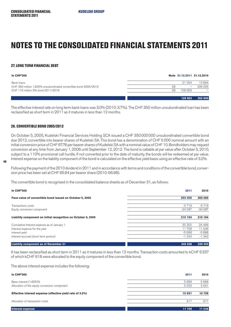#### 27. Long term financial debt

| In $CHF'000$                                                     | Note 31.12.2011 31.12.2010     |         |
|------------------------------------------------------------------|--------------------------------|---------|
| Bank loans                                                       | 21 294                         | 13694   |
| CHF 350 million 1.625% unsubordinated convertible bond 2005/2012 | 28<br>$\overline{\phantom{m}}$ | 339 205 |
| CHF 110 million 3% bond 2011/2016                                | 108 659<br>29                  |         |
|                                                                  |                                |         |

The effective interest rate on long term bank loans was 3.0% (2010: 3.7%). The CHF 350 million unsubordinated loan has been reclassified as short term in 2011 as it matures in less than 12 months.

**129 953 352 899**

#### 28. Convertible bond 2005/2012

On October 5, 2005, Kudelski Financial Services Holding SCA issued a CHF 350000000 unsubordinated convertible bond due 2012, convertible into bearer shares of Kudelski SA. This bond has a denomination of CHF 5000 nominal amount with an initial conversion price of CHF 67.76 per bearer shares of Kudelski SA with a nominal value of CHF 10. Bondholders may request conversion at any time from January 1, 2006 until September 12, 2012. The bond is callable at par value after October 5, 2010, subject to a 110% provisional call hurdle. If not converted prior to the date of maturity, the bonds will be redeemed at par value. Interest expense on the liability component of the bond is calculated on the effective yield basis using an effective rate of 3.2%.

#### 40

Following the payment of the 2010 dividend in 2011 and in accordance with terms and conditions of the convertible bond, conversion price has been set at CHF 65.94 per bearer share (2010: 66.98).

The convertible bond is recognized in the consolidated balance sheets as of December 31, as follows:

| <b>In CHF'000</b>                                             | 2011     | 2010     |
|---------------------------------------------------------------|----------|----------|
| Face value of convertible bond issued on October 5, 2005      | 350 000  | 350 000  |
| Transactions costs                                            | $-5719$  | $-5719$  |
| Equity conversion component                                   | $-34087$ | $-34087$ |
| Liability component on initial recognition on October 5, 2005 | 310 194  | 310 194  |
| Cumulative Interest expense as of January 1                   | 30 355   | 24 4 96  |
| Interest expense for the year                                 | 11 708   | 11 546   |
| Interest paid                                                 | $-5688$  | $-5688$  |
| Interest accrued (short term portion)                         | $-1.343$ | $-1.343$ |
| <b>Liability component as of December 31</b>                  | 345 226  | 339 205  |

It has been reclassified as short term in 2011 as it matures in less than 12 months. Transaction costs amounted to kCHF 6337 of which kCHF 618 were allocated to the equity component of the convertible bond.

The above interest expense includes the following:

| In $CHF'000$                                                            | 2011            | 2010         |
|-------------------------------------------------------------------------|-----------------|--------------|
| Base interest (1.625%)<br>Allocation of the equity conversion component | 5688<br>5 2 0 3 | 5688<br>5041 |
| Effective interest expense (effective yield rate of 3.2%)               | 10891           | 10729        |
| Allocation of transaction costs                                         | 817             | 817          |
| Interest expense                                                        | 11708           | 11 546       |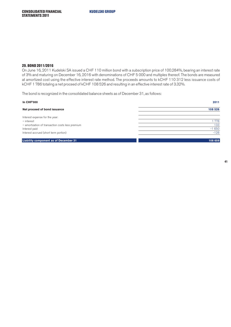#### 29. Bond 2011/2016

On June 16, 2011 Kudelski SA issued a CHF 110 million bond with a subscription price of 100.284%, bearing an interest rate of 3% and maturing on December 16, 2016 with denominations of CHF 5 000 and multiples thereof. The bonds are measured at amortized cost using the effective interest rate method. The proceeds amounts to kCHF 110 312 less issuance costs of kCHF 1 786 totaling a net proceed of kCHF 108 526 and resulting in an effective interest rate of 3.32%.

The bond is recognized in the consolidated balance sheets as of December 31, as follows:

| In CHF'000                                       | 2011    |
|--------------------------------------------------|---------|
| Net proceed of bond issuance                     | 108 526 |
| Interest expense for the year:                   |         |
| $-$ interest                                     | 778     |
| - amortization of transaction costs less premium | 133     |
| Interest paid                                    | $-1650$ |
| Interest accrued (short term portion)            | $-128$  |
| <b>Liability component as of December 31</b>     | 108 659 |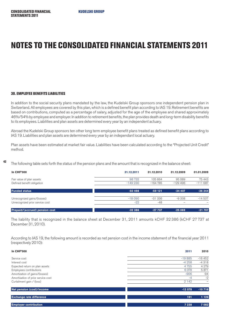#### 30. Employee benefits liabilities

In addition to the social security plans mandated by the law, the Kudelski Group sponsors one independent pension plan in Switzerland. All employees are covered by this plan, which is a defined benefit plan according to IAS 19. Retirement benefits are based on contributions, computed as a percentage of salary, adjusted for the age of the employee and shared approximately 46%/54% by employee and employer. In addition to retirement benefits, the plan provides death and long-term disability benefits to its employees. Liabilities and plan assets are determined every year by an independent actuary.

Abroad the Kudelski Group sponsors ten other long term employee benefit plans treated as defined benefit plans according to IAS 19. Liabilities and plan assets are determined every year by an independant local actuary.

Plan assets have been estimated at market fair value. Liabilities have been calculated according to the "Projected Unit Credit" method.

42

The following table sets forth the status of the pension plans and the amount that is recognized in the balance sheet:

| <b>In CHF'000</b>                     | 31.12.2011 | 31.12.2010 | 31.12.2009               | 01.01.2009 |
|---------------------------------------|------------|------------|--------------------------|------------|
| Fair value of plan assets             | 98732      | 105 664    | 95 089                   | 75 443     |
| Defined benefit obligation            | $-149230$  | $-164785$  | $-129.496$               | $-111687$  |
| <b>Funded status</b>                  | $-50498$   | $-59$ 121  | $-34407$                 | $-36244$   |
| Unrecognized gains/(losses)           | $-18090$   | $-31336$   | $-9338$                  | $-14537$   |
| Unrecognized prior service cost       | -22        | $-48$      | $\overline{\phantom{m}}$ |            |
| <b>Prepaid/(accrued) pension cost</b> | $-32386$   | $-27737$   | $-25069$                 | $-21707$   |

The liability that is recognized in the balance sheet at December 31, 2011 amounts kCHF 32 386 (kCHF 27 737 at December 31, 2010).

According to IAS 19, the following amount is recorded as net pension cost in the income statement of the financial year 2011 (respectively 2010):

| <b>In CHF'000</b>                  | 2011     | 2010     |
|------------------------------------|----------|----------|
| Service cost                       | $-19885$ | $-16452$ |
| Interest cost                      | $-4258$  | $-4318$  |
| Expected return on plan assets     | 4755     | 4 2 7 9  |
| Employees contributions            | 6 0 78   | 5871     |
| Amortization of gains/(losses)     | $-906$   | $-94$    |
| Amortisation of prior service cost | $-4$     | $-2$     |
| Curtailment gain / (loss)          | 2 1 4 2  |          |
| <b>Net pension (cost)/income</b>   | $-12078$ | $-10716$ |
| <b>Exchange rate difference</b>    | 191      | 1 1 2 6  |
| <b>Employer contribution</b>       | 7 2 3 8  | 7 082    |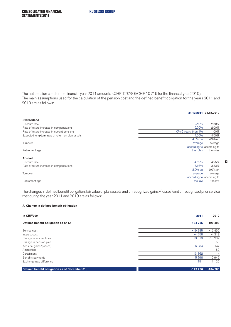The net pension cost for the financial year 2011 amounts kCHF 12078 (kCHF 10716 for the financial year 2010). The main assumptions used for the calculation of the pension cost and the defined benefit obligation for the years 2011 and 2010 are as follows:

#### **31.12.2011 31.12.2010**

| <b>Switzerland</b>                               |                           |           |
|--------------------------------------------------|---------------------------|-----------|
| Discount rate                                    | 2.50%                     | 2.50%     |
| Rate of future increase in compensations         | 2.00%                     | 2.00%     |
| Rate of future increase in current pensions      | $0\%$ 5 years, then $1\%$ | 1.00%     |
| Expected long-term rate of return on plan assets | 4.50%                     | 4.50%     |
|                                                  | 4.5% on                   | 4.9% on   |
| Turnover                                         | average                   | average   |
|                                                  | according to according to |           |
| Retirement age                                   | the rules                 | the rules |
| <b>Abroad</b>                                    |                           |           |
| Discount rate                                    | 4.69%                     | 4.25%     |
| Rate of future increase in compensations         | 3.16%                     | 3.33%     |
|                                                  | 8.2% on                   | 9.0% on   |
| Turnover                                         | average                   | average   |
|                                                  | according to according to |           |
| Retirement age                                   | the law                   | the law   |

The changes in defined benefit obligation, fair value of plan assets and unrecognized gains/(losses) and unrecognized prior service cost during the year 2011 and 2010 are as follows:

#### **A. Change in defined benefit obligation**

| <b>In CHF'000</b>                             | 2011      | 2010      |
|-----------------------------------------------|-----------|-----------|
| Defined benefit obligation as of 1.1.         | $-164785$ | $-129496$ |
| Service cost                                  | $-19885$  | $-16452$  |
| Interest cost                                 | $-4258$   | $-4318$   |
| Change in assumptions                         | 13513     | $-18232$  |
| Change in pension plan                        |           | -50       |
| Actuarial gains/(losses)                      | 6 3 3 4   | $-147$    |
| Acquisition                                   |           | $-160$    |
| Curtailment                                   | 13862     |           |
| Benefits payments                             | 5798      | 2945      |
| Exchange rate difference                      | 191       | 1 1 2 5   |
| Defined benefit obligation as of December 31, | $-149230$ | $-164785$ |

43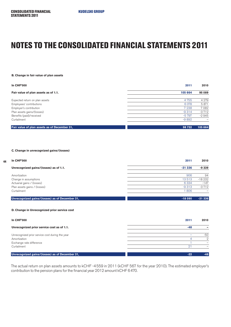#### **B. Change in fair value of plan assets**

| <b>In CHF'000</b>                            | 2011    | 2010    |
|----------------------------------------------|---------|---------|
| Fair value of plan assets as of 1.1.         | 105 664 | 95 089  |
| Expected return on plan assets               | 4755    | 4 2 7 9 |
| Employees' contributions                     | 6 0 78  | 5871    |
| Employer's contribution                      | 7 2 3 8 | 7082    |
| Plan assets gains/(losses)                   | $-9314$ | $-3712$ |
| Benefits (paid)/received                     | $-5797$ | $-2945$ |
| Curtailment                                  | $-9892$ |         |
| Fair value of plan assets as of December 31, | 98732   | 105 664 |

#### **C. Change in unrecognized gains/(losses)**

44

| In $CHF'000$                                   | 2011     | 2010     |
|------------------------------------------------|----------|----------|
| Unrecognized gains/(losses) as of 1.1.         | $-31336$ | $-9339$  |
| Amortization                                   | 906      | 94       |
| Change in assumptions                          | 13513    | $-18232$ |
| Actuarial gains / (losses)                     | 6 3 3 4  | $-147$   |
| Plan assets gains / (losses)                   | $-9313$  | $-3712$  |
| Curtailment                                    | 1806     |          |
| Unrecognized gains/(losses) as of December 31, | $-18090$ | $-31336$ |

#### **D. Change in Unrecognized prior service cost**

| In $CHF'000$                                    | 2011       | 2010  |
|-------------------------------------------------|------------|-------|
| Unrecognized prior service cost as of 1.1.      | $-48$      |       |
| Unrecognized prior service cost during the year |            | $-50$ |
| Amortization                                    |            |       |
| Exchange rate difference                        |            |       |
| Curtailment                                     | $\Omega$ 1 |       |
| Unrecognized gains/(losses) as of December 31,  | $-22$      | $-48$ |

The actual return on plan assets amounts to kCHF -4559 in 2011 (kCHF 567 for the year 2010). The estimated employer's contribution to the pension plans for the financial year 2012 amount kCHF 6470.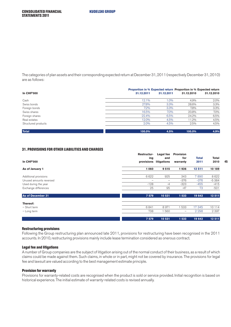The categories of plan assets and their corresponding expected return at December 31, 2011 (respectively December 31, 2010) are as follows:

|                     |            |            | Proportion in % Expected return Proportion in % Expected return |            |
|---------------------|------------|------------|-----------------------------------------------------------------|------------|
| <b>In CHF'000</b>   | 31.12.2011 | 31.12.2011 | 31.12.2010                                                      | 31.12.2010 |
| Cash                | 12.1%      | 1.0%       | 4.9%                                                            | 2.0%       |
| Swiss bonds         | 27.8%      | 3.3%       | 28.6%                                                           | 3.3%       |
| Foreign bonds       | $7.2\%$    | 3.3%       | 7.8%                                                            | 3.3%       |
| Swiss shares        | 16.5%      | 7.0%       | 20.8%                                                           | 7.0%       |
| Foreign shares      | 22.4%      | 6.5%       | 24.2%                                                           | 6.5%       |
| Real estates        | 12.0%      | 4.5%       | 11.2%                                                           | 4.5%       |
| Structured products | $2.0\%$    | 4.5%       | 2.5%                                                            | 4.5%       |
| <b>Total</b>        | 100.0%     | 4.5%       | 100.0%                                                          | 4.9%       |

#### 31. Provisions for other liabilities and charges

| <b>In CHF'000</b>                               | Restructur-<br>ing<br>provisions | Legal fee<br>and<br>litigations  | <b>Provision</b><br>for<br>warranty | Total<br>2011    | <b>Total</b><br>2010 |
|-------------------------------------------------|----------------------------------|----------------------------------|-------------------------------------|------------------|----------------------|
| As of January 1                                 | 1060                             | 9515                             | 1936                                | 12 5 11          | 10 189               |
| Additional provisions                           | 6622                             | 925                              | 343                                 | 7890             | 8622                 |
| Unused amounts reversed<br>Used during the year | $-128$                           | $\overline{\phantom{m}}$<br>$-4$ | $-376$<br>$-323$                    | $-376$<br>$-455$ | $-5384$<br>$-415$    |
| Exchange differences                            | 25                               | 95                               | $-47$                               | 73               | $-501$               |
| <b>As of December 31</b>                        | 7 5 7 9                          | 10 531                           | 1 5 3 3                             | 19 643           | 12511                |
| Thereof:                                        |                                  |                                  |                                     |                  |                      |
| - Short term                                    | 6841                             | 8971                             | 1533                                | 17 345           | 10 1 14              |
| - Long term                                     | 738                              | 1560                             | -                                   | 2 2 9 8          | 2 3 9 7              |
|                                                 | 7 5 7 9                          | 10 531                           | 1533                                | 19 643           | 12511                |

**Restructur-**

#### Restructuring provisions

Following the Group restructuring plan announced late 2011, provisions for restructuring have been recognised in the 2011 accounts. In 2010, restructuring provisions mainly include lease termination considered as onerous contract.

#### Legal fee and litigations

A number of Group companies are the subject of litigation arising out of the normal conduct of their business, as a result of which claims could be made against them. Such claims, in whole or in part, might not be covered by insurance. The provisions for legal fee and lawsuit are valued according to the best management estimate principle.

#### Provision for warranty

Provisions for warranty-related costs are recognised when the product is sold or service provided. Initial recognition is based on historical experience. The initial estimate of warranty-related costs is revised annually.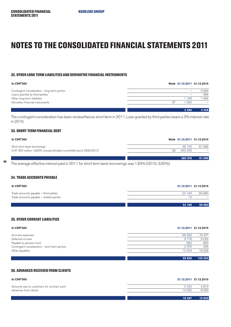### 32. Other long term liabilities and derivative financial instruments

| In $CHF'000$                                 | Note 31.12.2011 31.12.2010 |      |
|----------------------------------------------|----------------------------|------|
| Contingent consideration - long term portion |                            | 2590 |
| Loans granted by third parties               |                            | 384  |
| Other long-term liabilities                  | 1 188                      | 464  |
| Derivative financial instruments             | 0.92                       |      |
|                                              |                            |      |

The contingent consideration has been reclassified as short term in 2011. Loan granted by third parties bears a 3% interest rate in 2010.

**2 280 4 438**

#### 33. Short term financial debt

| In CHF'000                                                       | Note 31.12.2011 31.12.2010 |        |
|------------------------------------------------------------------|----------------------------|--------|
| Short term bank borrowings                                       | 38 150                     | 61 596 |
| CHF 350 million 1.625% unsubordinated convertible bond 2005/2012 | 345 226<br>28              |        |
|                                                                  | 383 376                    | 61 596 |

46

The average effective interest paid in 2011 for short term bank borrowings was 1.83% (2010: 3.92%).

#### 34. Trade accounts payable

| <b>In CHF'000</b>                                                                    | 31.12.2011 31.12.2010 |                                   |
|--------------------------------------------------------------------------------------|-----------------------|-----------------------------------|
| Trade accounts payable - third parties<br>Trade accounts payable $-$ related parties | 54 184                | 55980<br>$\overline{\phantom{m}}$ |
|                                                                                      | 54 196                | 55 980                            |

#### 35. Other current liabilities

| In $CHF'000$                                  |         | 31.12.2011 31.12.2010 |
|-----------------------------------------------|---------|-----------------------|
| Accrued expenses                              | 69 0 83 | 73 477                |
| Deferred income                               | 8 7 7 6 | 9033                  |
| Payable to pension fund                       | 682     | 820                   |
| Contingent consideration - short term portion | 2075    | 435                   |
| Other payables                                | 13 204  | 18 259                |
|                                               |         |                       |
|                                               | 93 820  | 102 024               |

#### 36. Advances received from clients

| <b>In CHF'000</b>                          |         | 31.12.2011 31.12.2010 |
|--------------------------------------------|---------|-----------------------|
| Amounts due to customers for contract work | 2 2 4 2 | 4610                  |
| Advances from clients                      | 14 255  | 8033                  |
|                                            | 16 497  | 12 643                |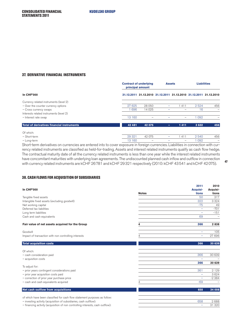#### 37. Derivative financial instruments

|                                                                               | <b>Contract of underlying</b> | principal amount                                                  | <b>Assets</b>            |                   |         | <b>Liabilities</b> |
|-------------------------------------------------------------------------------|-------------------------------|-------------------------------------------------------------------|--------------------------|-------------------|---------|--------------------|
| In CHF'000                                                                    |                               | 31.12.2011 31.12.2010 31.12.2011 31.12.2010 31.12.2011 31.12.2010 |                          |                   |         |                    |
| Currency related instruments (level 2)<br>- Over the counter currency options | 27 6 25                       | 28 050                                                            | -                        | 411               | 2524    | 456                |
| - Cross currency swaps                                                        | 1696                          | 14 0 25                                                           |                          |                   | 16      |                    |
| Interests related instruments (level 2)                                       |                               |                                                                   |                          |                   |         |                    |
| - Interest rate swap                                                          | 13 160                        |                                                                   |                          | $\qquad \qquad -$ | 092     |                    |
| Total of derivatives financial instruments                                    | 42 481                        | 42 075                                                            | ۰                        | 1411              | 3 6 3 2 | 456                |
| Of which:                                                                     |                               |                                                                   |                          |                   |         |                    |
| - Short-term                                                                  | 29 321                        | 42 075                                                            | $\overline{\phantom{a}}$ | 411               | 2540    | 456                |
| - Long-term                                                                   | 13 160                        | –                                                                 |                          | $\qquad \qquad -$ | 092     |                    |

Short-term derivatives on currencies are entered into to cover exposure in foreign currencies. Liabilities in connection with currency related instruments are classified as held-for-trading. Assets and interest related instruments qualify as cash flow hedge. The contractual maturity date of all the currency related instruments is less than one year while the interest related instruments have concomitant maturities with underlying loan agreements. The undiscounted planned cash inflow and outflow in connection with currency related instruments are kCHF 26781 and kCHF 29321 respectively (2010: kCHF 43541 and kCHF 42075).

#### 38. Cash flows for acquisition of subsidiaries

|                                                                                |              | 2011     | 2010     |
|--------------------------------------------------------------------------------|--------------|----------|----------|
| <b>In CHF'000</b>                                                              |              | Acquisi- | Acquisi- |
|                                                                                | <b>Notes</b> | tions    | tions    |
| Tangible fixed assets                                                          |              | 50       | 317      |
| Intangible fixed assets (excluding goodwill)                                   |              | 322      | 3 3 2 4  |
| Net working capital                                                            |              | $-75$    | 49       |
| Deferred tax liabilities                                                       |              | $\equiv$ | $-701$   |
| Long term liabilities                                                          |              |          | $-151$   |
| Cash and cash equivalents                                                      |              | 69       |          |
| Fair value of net assets acquired for the Group                                | 4            | 366      | 2838     |
| Goodwill                                                                       |              | ÷        | 105      |
| Impact of transaction with non controlling interests                           | 4            | -        | 27 696   |
|                                                                                |              |          |          |
| <b>Total acquisition costs</b>                                                 |              | 366      | 30 639   |
| Of which:                                                                      |              |          |          |
| - cash consideration paid                                                      |              | 366      | 30 639   |
| - acquisition costs                                                            |              |          |          |
|                                                                                |              | 366      | 30 639   |
| To adjust for:<br>- prior years contingent considerations paid                 |              | 361      | 2 1 2 9  |
| - prior year acquisition costs paid                                            |              |          | 3624     |
| - correction of prior year purchase price                                      |              | -        | $-2384$  |
| - cash and cash equivalents acquired                                           | 4            | $-69$    |          |
|                                                                                |              |          |          |
| Net cash outflow from acquisitions                                             |              | 658      | 34 008   |
| of which have been classified for cash flow statement purposes as follow:      |              |          |          |
| - investing activity (acquisition of subsidiaries, cash outflow):              |              | 658      | 2688     |
| - financing activity (acquisition of non controlling interests, cash outflow): |              |          | 31 320   |

47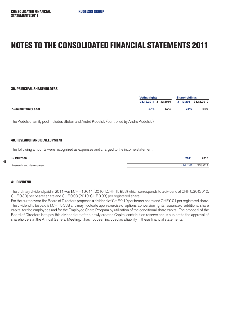#### 39. Principal shareholders

|                      |                       | <b>Voting rights</b> |                       | <b>Shareholdings</b> |  |
|----------------------|-----------------------|----------------------|-----------------------|----------------------|--|
|                      | 31.12.2011 31.12.2010 |                      | 31.12.2011 31.12.2010 |                      |  |
| Kudelski family pool | 57%                   | 57%                  | 24%                   | 24%                  |  |

The Kudelski family pool includes Stefan and André Kudelski (controlled by André Kudelski).

#### 40. Research and development

The following amounts were recognized as expenses and charged to the income statement:

| In CHF'000               | 2011    | 2010    |
|--------------------------|---------|---------|
| Research and development | 214 270 | 238 011 |

#### 41. Dividend

The ordinary dividend paid in 2011 was kCHF 16011 (2010: kCHF 15958) which corresponds to a dividend of CHF 0.30 (2010: CHF 0.30) per bearer share and CHF 0.03 (2010: CHF 0.03) per registered share.

For the current year, the Board of Directors proposes a dividend of CHF 0.10 per bearer share and CHF 0.01 per registered share. The dividend to be paid is kCHF 5'338 and may fluctuate upon exercise of options, conversion rights, issuance of additional share capital for the employees and for the Employee Share Program by utilization of the conditional share capital. The proposal of the Board of Directors is to pay this dividend out of the newly created Capital contribution reserve and is subject to the approval of shareholders at the Annual General Meeting. It has not been included as a liability in these financial statements.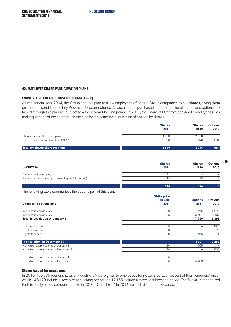#### 42. Employee share participation plans

#### Employee share purchase program (ESPP)

As of financial year 2004, the Group set up a plan to allow employees of certain Group companies to buy shares, giving them preferential conditions to buy Kudelski SA bearer shares. All such shares purchased and the additional shares and options obtained through this plan are subject to a three-year blocking period. In 2011, the Board of Directors decided to modify the rules and regulations of the share purchase plan by replacing the distribution of options by shares.

|                                    | <b>Shares</b><br>2011 | <b>Shares</b><br>2010 | <b>Options</b><br>2010 |
|------------------------------------|-----------------------|-----------------------|------------------------|
| Shares underwritten by employees   | 9600                  | 7800                  |                        |
| Bonus shares and options from ESPP | 920                   | 976                   | 584                    |
| Total employee share program       | 11 5 20               | 8776                  | 584                    |

| <b>In CHF'000</b>                                   | <b>Shares</b><br>2011 | <b>Shares</b><br>2010 | <b>Options</b><br>2010 |
|-----------------------------------------------------|-----------------------|-----------------------|------------------------|
| Amount paid by employee                             |                       | 49                    |                        |
| Booked corporate charges (excluding social charges) | 44                    | 32                    | Б.                     |

The following table summarizes the options part of this plan:

|                                          | <b>Strike price</b> |                          |                |
|------------------------------------------|---------------------|--------------------------|----------------|
|                                          | in CHF              | <b>Options</b>           | <b>Options</b> |
| Changes in options held                  | 2011                | 2011                     | 2010           |
| In circulation on January 1              | 20                  | 565                      | 1 2 9 2        |
| In circulation on January 1              | 15                  | 6691                     | 6 107          |
| Total in circulation on January 1        |                     | 7 256                    | 7 3 9 9        |
| New rights issued                        | 15                  | $\overline{\phantom{0}}$ | 584            |
| Rights exercised                         | 20                  |                          | $-723$         |
| Rights forfeited                         | 20                  | $-565$                   | $-4$           |
| In circulation on December 31            |                     | 6691                     | 7 256          |
| - of which exercisable as of January 1   | 20                  | 565                      |                |
| - of which exercisable as of December 31 | 20                  | -                        | 565            |
| - of which exercisable as of January 1   | 15                  |                          |                |
| - of which exercisable as of December 31 | 15                  | 4 7 6 8                  |                |

#### Shares issued for employees

In 2010, 165335 bearer shares of Kudelski SA were given to employees for no consideration as part of their remuneration, of which 148170 include a seven-year blocking period and 17165 include a three year blocking period. The fair value recognized for this equity based compensation is, in 2010, kCHF 1982. In 2011, no such distribution occured.

**115 174 5**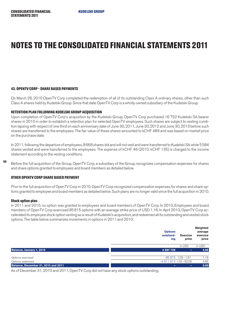#### 43. OpenTV Corp - share based payments

On March 26, 2010 OpenTV Corp completed the redemption of all of its outstanding Class A ordinary shares, other than such Class A shares held by Kudelski Group. Since that date OpenTV Corp is a wholly owned subsidiary of the Kudelski Group.

#### Retention plan following kudelski group acquisition

Upon completion of OpenTV Corp's acquisition by the Kudelski Group, OpenTV Corp purchased 16 752 Kudelski SA bearer shares in 2010 in order to establish a retention plan for selected OpenTV employees. Such shares are subject to vesting condition lapsing with respect of one third on each anniversary date of June 30, 2011, June 30, 2012 and June 30, 2013 before such shares are transferred to the employees. The fair value of these shares amounted to kCHF 489 and was based on market price on the purchase date.

In 2011, following the departure of employees, 8668 shares did and will not vest and were transferred to Kudelski SA while 5584 shares vested and were transferred to the employees. The expense of kCHF 46 (2010: kCHF 135) is charged to the income statement according to the vesting conditions.

50

Before the full acquisition of the Group, OpenTV Corp, a subsidiary of the Group, recognizes compensation expenses for shares and share options granted to employees and board members as detailed below.

#### Other OPENTV CORP Share BAseD payment

Prior to the full acquisition of OpenTV Corp in 2010, OpenTV Corp recognized compensation expenses for shares and share options granted to employee and board members as detailed below. Such plans are no longer valid since the full acquisition in 2010.

#### Stock option plan

In 2011 and 2010, no option was granted to employees and board members of OpenTV Corp. In 2010, Employees and board members of OpenTV Corp exercised 85815 options with an average strike price of USD 1.16. In April 2010, OpenTV Corp accelerated its employee stock option vesting as a result of Kudelski's acquisition, and redeemed all its outstanding and vested stock options. The table below summarizes movements in options in 2011 and 2010:

|                                     | <b>Options</b><br>outstand-<br><b>Exercice</b><br>price<br>ing | Weighted<br>average<br>exercice<br>price |
|-------------------------------------|----------------------------------------------------------------|------------------------------------------|
|                                     | in USD                                                         | in USD                                   |
| Balance, January 1, 2010            | 4 697 728<br>-                                                 | 4.65                                     |
| Options exercised                   | $-85815$ $1.03 - 1.51$                                         | 1.16                                     |
| Options redeemed                    | $-4611913103 - 8206$                                           | 4.66                                     |
| Balance, December 31, 2010 and 2011 | -<br>$\overline{\phantom{a}}$                                  | 0.00                                     |

As of December 31, 2010 and 2011, OpenTV Corp did not have any stock options outstanding.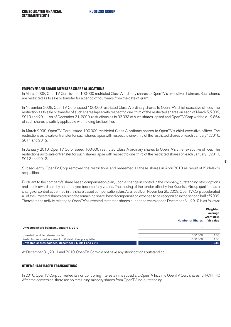#### Employee and board members share allocations

In March 2008, OpenTV Corp issued 100000 restricted Class A ordinary shares to OpenTV's executive chairman. Such shares are restricted as to sale or transfer for a period of four years from the date of grant.

In November 2008, OpenTV Corp issued 100000 restricted Class A ordinary shares to OpenTV's chief executive officer. The restriction as to sale or transfer of such shares lapse with respect to one-third of the restricted shares on each of March 5, 2009, 2010 and 2011. As of December 31, 2009, restrictions as to 33333 of such shares lapsed and OpenTV Corp withheld 12 864 of such shares to satisfy applicable withholding tax liabilities.

In March 2009, OpenTV Corp issued 100 000 restricted Class A ordinary shares to OpenTV's chief executive officer. The restrictions as to sale or transfer for such shares lapse with respect to one-third of the restricted shares on each January 1, 2010, 2011 and 2012.

In January 2010, OpenTV Corp issued 100000 restricted Class A ordinary shares to OpenTV's chief executive officer. The restrictions as to sale or transfer for such shares lapse with respect to one-third of the restricted shares on each January 1, 2011, 2012 and 2013.

Subsequently, OpenTV Corp removed the restrictions and redeemed all these shares in April 2010 as result of Kudelski's acquisition.

Pursuant to the company's share based compensation plan, upon a change in control in the company, outstanding stock options and stock award held by an employee become fully vested. The closing of the tender offer by the Kudelski Group qualified as a change of control as defined in the share based compensation plan. As a result, on November 25, 2009, OpenTV Corp accelerated all of the unvested shares causing the remaining share-based compensation expense to be recognized in the second half of 2009. Therefore the activity relating to OpenTV's unvested restricted shares during the years ended December 31, 2010 is as follows:

|                                                               | <b>Number of Shares</b> | Weighted<br>average<br><b>Grant date</b><br>fair value |
|---------------------------------------------------------------|-------------------------|--------------------------------------------------------|
| Unvested share balance, January 1, 2010                       |                         |                                                        |
| Unvested restricted shares granted                            | 100 000                 | 1.55                                                   |
| Restriction removed as a result of Kudelski Group acquisition | $-100000$               | 1.55                                                   |
| Unvested shares balance, December 31, 2011 and 2010           | -                       | 0.00                                                   |

At December 31, 2011 and 2010, OpenTV Corp did not have any stock options outstanding.

#### Other share based transactions

In 2010, OpenTV Corp converted its non controlling interests in its subsidiary, OpenTV Inc., into OpenTV Corp shares for kCHF 47. After the conversion, there are no remaining minority shares from OpenTV Inc. outstanding.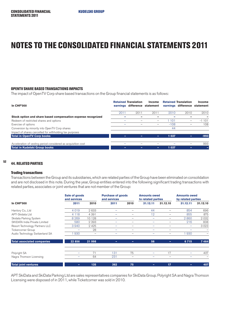#### Opentv share based transactions impacts

The impact of OpenTV Corp share based transactions on the Group financial statements is as follows:

| <b>In CHF'000</b>                                             |     | <b>Retained Translation</b><br>earnings difference statement | Income                   |         | <b>Retained Translation</b><br>earnings difference statement | <b>Income</b> |
|---------------------------------------------------------------|-----|--------------------------------------------------------------|--------------------------|---------|--------------------------------------------------------------|---------------|
|                                                               | 201 | 2011                                                         | 2011                     | 2010    | 2010                                                         | 2010          |
| Stock option and share based compensation expense recognized  |     |                                                              |                          |         |                                                              |               |
| Redeem of restricted shares and options                       |     |                                                              |                          | 1 1 0 1 |                                                              | $-1$ 101      |
| Exercise of options                                           |     |                                                              | $\overline{\phantom{0}}$ | $-108$  |                                                              | 108           |
| Conversion by minority into OpenTV Corp shares                |     |                                                              |                          | 44      |                                                              |               |
| Impact of shares cancelled for withholding tax purposes       |     |                                                              |                          |         |                                                              |               |
| <b>Total in OpenTV Corp books</b>                             | -   |                                                              | $\overline{\phantom{a}}$ | 1 0 3 7 |                                                              | $-993$        |
|                                                               |     |                                                              |                          |         |                                                              |               |
| Acceleration of vesting period considered as acquisition cost |     |                                                              |                          |         |                                                              | 993           |
| Total in Kudelski Group books                                 | -   |                                                              | $\overline{\phantom{a}}$ | 1 0 3 7 | -                                                            |               |

#### 52 44. Related parties

#### Trading transactions

Transactions between the Group and its subsidiaries, which are related parties of the Group have been eliminated on consolidation and are not disclosed in this note. During the year, Group entities entered into the following significant trading transactions with related parties, associates or joint ventures that are not member of the Group:

|                                   | Sale of goods<br>and services |         |                          | <b>Purchase of goods</b><br>and services |                          | <b>Amounts owed</b><br>to related parties | <b>Amounts owed</b><br>by related parties |          |  |
|-----------------------------------|-------------------------------|---------|--------------------------|------------------------------------------|--------------------------|-------------------------------------------|-------------------------------------------|----------|--|
| <b>In CHF'000</b>                 | 2011                          | 2010    | 2011                     | 2010                                     | 31.12.11                 | 31.12.10                                  | 31.12.11                                  | 31.12.10 |  |
| Hantory Co., Ltd                  | 4 0 1 9                       | 2633    | -                        |                                          | 44                       | $\overline{\phantom{0}}$                  | 854                                       | 696      |  |
| APT-Skidata Ltd                   | 4 1 1 8                       | 4 3 9 1 | -                        | —                                        | 12                       | —                                         | 855                                       | 875      |  |
| Skidata Parking System            | 8 2 6 9                       | 10 1 28 | -                        | —                                        | -                        | -                                         | 2860                                      | 2032     |  |
| SKIDATA India Private Limited     | 580                           | 2 3 9 3 | $\overline{\phantom{0}}$ |                                          | $\overline{\phantom{0}}$ | $\qquad \qquad -$                         | 216                                       | 838      |  |
| Resort Technology Partners LLC    | 3940                          | 2425    | $\overline{\phantom{0}}$ | —                                        | $\overline{\phantom{0}}$ | $\overline{\phantom{0}}$                  | -                                         | 3023     |  |
| <b>Tickercorner Group</b>         |                               | 28      | -                        | $\qquad \qquad -$                        | $\overline{\phantom{0}}$ | -                                         | $\overline{\phantom{0}}$                  |          |  |
| Audio Technology Switzerland SA   | 930                           |         | -                        |                                          |                          |                                           | 930                                       |          |  |
| <b>Total associated companies</b> | 22 856                        | 21998   | -                        | $\overline{\phantom{a}}$                 | 56                       | -                                         | 6715                                      | 7 4 6 4  |  |
| Polyright SA                      |                               | 71      | 131                      | 75                                       |                          | 17                                        |                                           | 407      |  |
| Nagra Thomson Licensing           |                               | 64      | 231                      | $\overline{\phantom{m}}$                 |                          |                                           |                                           |          |  |
| <b>Total joint ventures</b>       | $\overline{\phantom{a}}$      | 135     | 362                      | 75                                       | -                        | 17                                        | $\overline{\phantom{0}}$                  | 407      |  |

APT SkiData and SkiData Parking Ltd are sales representatives companies for SkiData Group. Polyright SA and Nagra Thomson Licensing were disposed of in 2011, while Ticketcorner was sold in 2010.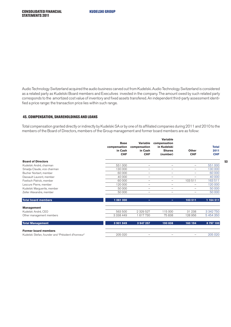Audio Technology Switzerland acquired the audio business carved out from Kudelski. Audio Technology Switzerland is considered as a related party as Kudelski Board members and Executives invested in the company. The amount owed by such related party corresponds to the amortized cost value of inventory and fixed assets transfered. An independent third-party assessment identified a price range: the transaction price lies within such range.

#### 45. Compensation, shareholdings and loans

Total compensation granted directly or indirectly by Kudelski SA or by one of its affiliated companies during 2011 and 2010 to the members of the Board of Directors, members of the Group management and former board members are as follow:

|                                                    | <b>Base</b><br>compensation<br>in Cash<br><b>CHF</b> | Variable<br>compensation<br>in Cash<br><b>CHF</b> | <b>Variable</b><br>compensation<br>in Kudelski<br><b>Shares</b><br>(number) | <b>Other</b><br><b>CHF</b> | <b>Total</b><br>2011<br><b>CHF</b> |
|----------------------------------------------------|------------------------------------------------------|---------------------------------------------------|-----------------------------------------------------------------------------|----------------------------|------------------------------------|
| <b>Board of Directors</b>                          |                                                      |                                                   |                                                                             |                            |                                    |
| Kudelski André, chairman                           | 551 000                                              | $\qquad \qquad -$                                 |                                                                             | -                          | 551 000                            |
| Smadja Claude, vice chairman                       | 130 000                                              | $\overline{\phantom{0}}$                          | $\qquad \qquad -$                                                           | -                          | 130 000                            |
| Bucher Norbert, member                             | 60 000                                               | $\qquad \qquad -$                                 | $\overline{\phantom{m}}$                                                    | $\overline{\phantom{m}}$   | 60 000                             |
| Dassault Laurent, member                           | 40 000                                               | $\overline{\phantom{0}}$                          | $\overline{\phantom{m}}$                                                    | $\overline{\phantom{m}}$   | 40 000                             |
| Foetisch Patrick, member                           | 60 000                                               | $\qquad \qquad -$                                 | $\overline{\phantom{m}}$                                                    | 103 511                    | 163 511                            |
| Lescure Pierre, member                             | 120 000                                              | $\overline{\phantom{0}}$                          |                                                                             | $\overline{\phantom{m}}$   | 120 000                            |
| Kudelski Marguerite, member                        | 50 000                                               | $\overline{\phantom{0}}$                          | $\overline{\phantom{m}}$                                                    | $\overline{\phantom{0}}$   | 50 000                             |
| Zeller Alexandre, member                           | 50 000                                               | $\overline{\phantom{0}}$                          | $\overline{\phantom{0}}$                                                    | —                          | 50 000                             |
| <b>Total board members</b>                         | 1 061 000                                            | -                                                 | -                                                                           | 103 511                    | 1 164 511                          |
| <b>Management</b>                                  |                                                      |                                                   |                                                                             |                            |                                    |
| Kudelski André, CEO                                | 563 500                                              | 2 329 527                                         | 115 000                                                                     | 31 238                     | 3 342 750                          |
| Other management members                           | 3 3 3 4 4 9                                          | 1617730                                           | 75 838                                                                      | 128 956                    | 5 454 350                          |
| <b>Total Management</b>                            | 3 901 949                                            | 3 947 257                                         | 190 838                                                                     | 160 194                    | 8797100                            |
| <b>Former board members</b>                        |                                                      |                                                   |                                                                             |                            |                                    |
| Kudelski Stefan, founder and "Président d'honneur" | 205 020                                              |                                                   | -                                                                           | $\overline{\phantom{m}}$   | 205 020                            |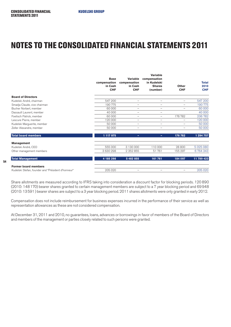|                                                    | <b>Base</b><br>compensation<br>in Cash<br><b>CHF</b> | <b>Variable</b><br>compensation<br>in Cash<br><b>CHF</b> | Variable<br>compensation<br>in Kudelski<br><b>Shares</b><br>(number) | <b>Other</b><br><b>CHF</b> | <b>Total</b><br>2010<br><b>CHF</b> |
|----------------------------------------------------|------------------------------------------------------|----------------------------------------------------------|----------------------------------------------------------------------|----------------------------|------------------------------------|
| <b>Board of Directors</b>                          |                                                      |                                                          |                                                                      |                            |                                    |
| Kudelski André, chairman                           | 547 200                                              | $\overline{\phantom{0}}$                                 | $\overline{\phantom{m}}$                                             | $\overline{\phantom{m}}$   | 547 200                            |
| Smadja Claude, vice chairman                       | 190775                                               | $\qquad \qquad -$                                        | $\overline{\phantom{m}}$                                             | $\qquad \qquad -$          | 190 775                            |
| Bucher Norbert, member                             | 60 000                                               | $\overline{\phantom{0}}$                                 | $\overline{\phantom{m}}$                                             | $\overline{\phantom{m}}$   | 60 000                             |
| Dassault Laurent, member                           | 40 000                                               | $\qquad \qquad -$                                        | $\overline{\phantom{m}}$                                             |                            | 40 000                             |
| Foetisch Patrick, member                           | 60,000                                               | -                                                        | $\overline{\phantom{m}}$                                             | 176 782                    | 236782                             |
| Lescure Pierre, member                             | 120 000                                              | $\overline{\phantom{0}}$                                 | $\overline{\phantom{0}}$                                             |                            | 120 000                            |
| Kudelski Marguerite, member                        | 50 000                                               | -                                                        | $\overline{\phantom{0}}$                                             | $\overline{\phantom{0}}$   | 50 000                             |
| Zeller Alexandre, member                           | 50 000                                               | -                                                        | $\qquad \qquad -$                                                    | $\qquad \qquad -$          | 50 000                             |
| <b>Total board members</b>                         | 1 1 1 7 9 7 5                                        | -                                                        | ٠                                                                    | 176 782                    | 1 294 757                          |
| <b>Management</b>                                  |                                                      |                                                          |                                                                      |                            |                                    |
| Kudelski André, CEO                                | 555 000                                              | 3 130 000                                                | 110 000                                                              | 28 800                     | 5 0 25 0 80                        |
| Other management members                           | 3 630 298                                            | 2 352 855                                                | 51 761                                                               | 155 297                    | 6764343                            |
| <b>Total Management</b>                            | 4 185 298                                            | 5 482 855                                                | 161 761                                                              | 184 097                    | 11 789 423                         |
| <b>Former board members</b>                        |                                                      |                                                          |                                                                      |                            |                                    |
| Kudelski Stefan, founder and "Président d'honneur" | 205 020                                              |                                                          | $\overline{\phantom{0}}$                                             | $\overline{\phantom{0}}$   | 205 020                            |

Share allotments are measured according to IFRS taking into consideration a discount factor for blocking periods. 120 890 (2010: 148170) bearer shares granted to certain management members are subject to a 7 year blocking period and 69948 (2010: 13591 ) bearer shares are subject to a 3 year blocking period. 2011 shares allotments were only granted in early 2012.

Compensation does not include reimbursement for business expenses incurred in the performance of their service as well as representation allowances as these are not considered compensation.

At December 31, 2011 and 2010, no guarantees, loans, advances or borrowings in favor of members of the Board of Directors and members of the management or parties closely related to such persons were granted.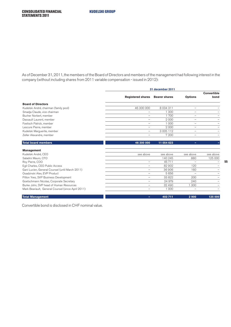As of December 31, 2011, the members of the Board of Directors and members of the management had following interest in the company (without including shares from 2011 variable compensation - issued in 2012):

|                                                    | <b>31 december 2011</b>  |                      |                          |                            |  |
|----------------------------------------------------|--------------------------|----------------------|--------------------------|----------------------------|--|
|                                                    | <b>Registered shares</b> | <b>Bearer shares</b> | <b>Options</b>           | <b>Convertible</b><br>bond |  |
| <b>Board of Directors</b>                          |                          |                      |                          |                            |  |
| Kudelski André, chairman (family pool)             | 46 300 000               | 8 0 3 4 3 1 1        | $\overline{\phantom{0}}$ |                            |  |
| Smadja Claude, vice chairman                       |                          | 1 300                | $\qquad \qquad -$        |                            |  |
| Bucher Norbert, member                             |                          | 1 700                | $\overline{\phantom{0}}$ |                            |  |
| Dassault Laurent, member                           |                          | 2000                 | $\overline{\phantom{0}}$ |                            |  |
| Foetisch Patrick, member                           |                          | 1 0 0 0              | $\overline{\phantom{0}}$ |                            |  |
| Lescure Pierre, member                             |                          | 2000                 | $\overline{\phantom{0}}$ |                            |  |
| Kudelski Marguerite, member                        | $\overline{\phantom{0}}$ | 3 005 112            | $\overline{\phantom{0}}$ |                            |  |
| Zeller Alexandre, member                           |                          | 7 200                | $\overline{\phantom{0}}$ |                            |  |
|                                                    |                          |                      |                          |                            |  |
| <b>Total board members</b>                         | 46 300 000               | 11 054 623           | ۰                        |                            |  |
| <b>Management</b>                                  |                          |                      |                          |                            |  |
| Kudelski André, CEO                                | see above                | see above            | see above                | see above                  |  |
| Saladini Mauro, CFO                                |                          | 140 245              | 880                      | 125 000                    |  |
| Roy Pierre, COO                                    | $\qquad \qquad -$        | 45 711               |                          |                            |  |
| Egli Charles, CEO Public Access                    |                          | 82902                | 120                      |                            |  |
| Gani Lucien, General Counsel (until March 2011)    | $\overline{\phantom{0}}$ | 36 906               | 160                      |                            |  |
| Osadzinski Alex, EVP Product                       | $\overline{\phantom{0}}$ | 5656                 | $\overline{\phantom{0}}$ |                            |  |
| Pitton Yves, SVP Business Development              | $\overline{\phantom{0}}$ | 33 822               | 200                      |                            |  |
| Goetschmann Nicolas, Corporate Secretary           | $\qquad \qquad -$        | 24 979               | 240                      |                            |  |
| Burke John, SVP head of Human Resources            | $\equiv$                 | 32 490               | 300                      |                            |  |
| Mark Beariault, General Counsel (since April 2011) | -                        | 000                  | $\overline{\phantom{0}}$ |                            |  |
| <b>Total Management</b>                            | -                        | 403 711              | 2900                     | 125 000                    |  |

Convertible bond is disclosed in CHF nominal value.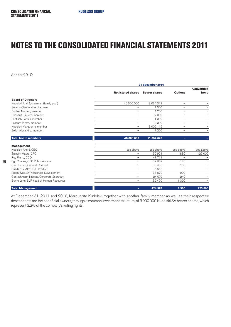And for 2010:

|                                          |                          | <b>31 december 2010</b> |                          |                            |
|------------------------------------------|--------------------------|-------------------------|--------------------------|----------------------------|
|                                          | <b>Registered shares</b> | <b>Bearer shares</b>    | <b>Options</b>           | <b>Convertible</b><br>bond |
| <b>Board of Directors</b>                |                          |                         |                          |                            |
| Kudelski André, chairman (family pool)   | 46 300 000               | 8 0 3 4 3 1 1           | $\overline{\phantom{0}}$ |                            |
| Smadja Claude, vice chairman             |                          | 1 300                   |                          |                            |
| Bucher Norbert, member                   | $\overline{\phantom{0}}$ | 1 700                   | $\overline{\phantom{0}}$ |                            |
| Dassault Laurent, member                 | $\overline{\phantom{0}}$ | 2 0 0 0                 | $\overline{\phantom{0}}$ |                            |
| Foetisch Patrick, member                 |                          | 1 000                   | -                        |                            |
| Lescure Pierre, member                   | $\overline{\phantom{0}}$ | 2 0 0 0                 | $\overline{\phantom{0}}$ |                            |
| Kudelski Marguerite, member              | $\overline{\phantom{0}}$ | 3 0 0 5 1 1 2           | $\overline{\phantom{0}}$ |                            |
| Zeller Alexandre, member                 | $\overline{\phantom{0}}$ | 7 200                   | $\overline{\phantom{0}}$ |                            |
| <b>Total board members</b>               | 46 300 000               | 11 054 623              | ۰.                       |                            |
| <b>Management</b>                        |                          |                         |                          |                            |
| Kudelski André, CEO                      | see above                | see above               | see above                | see above                  |
| Saladini Mauro, CFO                      |                          | 159 921                 | 880                      | 125 000                    |
| Roy Pierre, COO                          | $\overline{\phantom{0}}$ | 47 711                  |                          |                            |
| Egli Charles, CEO Public Access          |                          | 82 902                  | 120                      |                            |
| Gani Lucien, General Counsel             | $\qquad \qquad -$        | 36906                   | 160                      |                            |
| Osadzinski Alex, EVP Product             | $\overline{\phantom{0}}$ | 5656                    |                          |                            |
| Pitton Yves, SVP Business Development    |                          | 33 822                  | 200                      |                            |
| Goetschmann Nicolas, Corporate Secretary | $\overline{\phantom{0}}$ | 24 979                  | 240                      |                            |
| Burke John, SVP head of Human Resources  | —                        | 32 490                  | 300                      |                            |
| <b>Total Management</b>                  | ٠                        | 424 387                 | 2900                     | 125 000                    |

56

At December 31, 2011 and 2010, Marguerite Kudelski together with another family member as well as their respective descendants are the beneficial owners, through a common investment structure, of 3000000 Kudelski SA bearer shares, which represent 3.2% of the company's voting rights.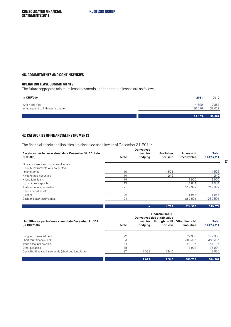Consolidated financial Kudelski Group STATEMENTS 2011

#### 46. Commitments and contingencies

#### Operating lease commitments

The future aggregate minimum lease payments under operating leases are as follows:

| <b>In CHF'000</b>                     | 2011    | 2010    |
|---------------------------------------|---------|---------|
| Within one year                       | 4 8 2 9 | 7855    |
| In the second to fifth year inclusive | 16 276  | 23 0 27 |
|                                       |         |         |
|                                       | 21 105  | 30 882  |

#### 47. Categories of financial instruments

The financial assets and liabilities are classified as follow as of December 31, 2011:

| Assets as per balance sheet date December 31, 2011 (in<br><b>CHF'000)</b> | <b>Note</b> | <b>Derivatives</b><br>used for<br>hedging | Available-<br>for-sale | Loans and<br>receivables | <b>Total</b><br>31.12.2011 |
|---------------------------------------------------------------------------|-------------|-------------------------------------------|------------------------|--------------------------|----------------------------|
| Financial assets and non current assets:                                  |             |                                           |                        |                          |                            |
| - equity instruments with no quoted                                       |             |                                           |                        |                          |                            |
| market price                                                              | 19          |                                           | 4523                   |                          | 4 5 2 3                    |
| $-$ marketable securities                                                 | 19          |                                           | 245                    |                          | 245                        |
| - long term loans                                                         | 19          |                                           |                        | 8906                     | 8906                       |
| $-$ quarantee deposits                                                    | 19          |                                           |                        | 4634                     | 4 6 3 4                    |
| Trade accounts receivable                                                 | 21          |                                           |                        | 219922                   | 219 922                    |
| Other current assets:                                                     |             |                                           |                        |                          |                            |
| $-$ Loans                                                                 | 22          |                                           |                        | 253                      | 1 253                      |
| Cash and cash equivalents                                                 | 24          |                                           |                        | 289 591                  | 289 591                    |
|                                                                           |             |                                           |                        |                          |                            |

|                                                                         |             | <b>Financial liabili-</b><br>Derivatives ties at fair value |         |                                               |                            |
|-------------------------------------------------------------------------|-------------|-------------------------------------------------------------|---------|-----------------------------------------------|----------------------------|
| Liabilities as per balance sheet date December 31, 2011<br>(in CHF'000) | <b>Note</b> | used for<br>hedging                                         | or loss | through profit Other financial<br>liabilities | <b>Total</b><br>31.12.2011 |
| Long term financial debt                                                | 27          |                                                             |         | 129 953                                       | 129 953                    |
| Short term financial debt                                               | 33          |                                                             |         | 383 376                                       | 383 376                    |
| Trade accounts payable                                                  | 34          |                                                             |         | 54 196                                        | 54 196                     |
| Other payables                                                          | 35          |                                                             |         | 13 204                                        | 13 204                     |
| Derivative financial instruments (short and long term)                  | 37          | 1092                                                        | 2540    |                                               | 3632                       |
|                                                                         |             | 1092                                                        | 2 5 4 0 | 580729                                        | 584 361                    |

57

**– 4 768 524 306 529 074**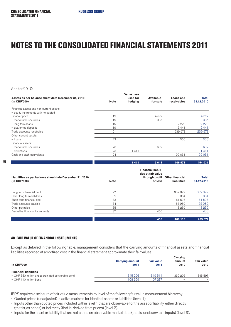#### And for 2010:

|                                                    |             | <b>Derivatives</b> |            |                    |              |
|----------------------------------------------------|-------------|--------------------|------------|--------------------|--------------|
| Assets as per balance sheet date December 31, 2010 |             | used for           | Available- | Loans and          | <b>Total</b> |
| (in CHF'000)                                       | <b>Note</b> | hedging            | for-sale   | <b>receivables</b> | 31.12.2010   |
| Financial assets and non current assets:           |             |                    |            |                    |              |
| - equity instruments with no quoted                |             |                    |            |                    |              |
| market price                                       | 19          |                    | 4572       |                    | 4 5 7 2      |
| $-$ marketable securities                          | 19          |                    | 385        |                    | 385          |
| - long term loans                                  | 19          |                    |            | 2 2 2 0            | 2 2 2 0      |
| $-$ quarantee deposits                             | 19          |                    |            | 5441               | 5 4 4 1      |
| Trade accounts receivable                          | 21          |                    |            | 239 973            | 239 973      |
| Other current assets:                              |             |                    |            |                    |              |
| $-$ Loans                                          | 22          |                    |            | 306                | 306          |
| Financial assets:                                  |             |                    |            |                    |              |
| $-$ marketable securities                          | 23          |                    | 692        |                    | 692          |
| $-$ derivatives                                    | 23          | 1411               |            |                    | 1411         |
| Cash and cash equivalents                          | 24          |                    |            | 199 031            | 199 031      |
|                                                    |             |                    |            |                    |              |

58

| Liabilities as per balance sheet date December 31, 2010<br>(in CHF'000) | <b>Note</b> | <b>Financial liabili-</b><br>ties at fair value<br>or loss | through profit Other financial<br><b>liabilities</b> | <b>Total</b><br>31.12.2010 |
|-------------------------------------------------------------------------|-------------|------------------------------------------------------------|------------------------------------------------------|----------------------------|
| Long term financial debt                                                | 27          |                                                            | 352899                                               | 352899                     |
| Other long term liabilities                                             | 32          |                                                            | 384                                                  | 384                        |
| Short term financial debt                                               | 33          |                                                            | 61 596                                               | 61 596                     |
| Trade accounts payable                                                  | 34          |                                                            | 55 980                                               | 55 980                     |
| Other payables                                                          | 35          |                                                            | 18 259                                               | 18 259                     |
| Derivative financial instruments                                        | 37          | 456                                                        |                                                      | 456                        |
|                                                                         |             | 456                                                        | 489 118                                              | 489 574                    |

**1 411 5 649 446 971 454 031**

#### 48. Fair value of financial instruments

Except as detailed in the following table, management considers that the carrying amounts of financial assets and financial liabilities recorded at amortized cost in the financial statement approximate their fair values:

| In CHF'000                                        | <b>Carrying amount</b><br>2011 | <b>Fair value</b><br>2011 | Carrying<br>amount<br>2010 | <b>Fair value</b><br>2010 |
|---------------------------------------------------|--------------------------------|---------------------------|----------------------------|---------------------------|
| <b>Financial liabilities</b>                      |                                |                           |                            |                           |
| - CHF 350 million unsubordinated convertible bond | 345 226                        | 349 514                   | 339 205                    | 345 597                   |
| - CHF 110 million bond                            | 108 659                        | 107 287                   | $\overline{\phantom{0}}$   |                           |

IFRS requires disclosure of fair value measurements by level of the following fair value measurement hierarchy:

- Quoted prices (unadjusted) in active markets for identical assets or liabilities (level 1).
- Inputs other than quoted prices included within level 1 that are observable for the asset or liability, either directly (that is, as prices) or indirectly (that is, derived from prices) (level 2).
- Inputs for the asset or liability that are not based on observable market data (that is, unobservable inputs) (level 3).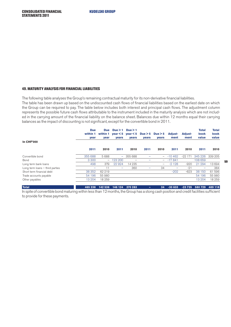#### 49. Maturity analysis for financial liabilities

The following table analyses the Group's remaining contractual maturity for its non-derivative financial liabilities.

The table has been drawn up based on the undiscounted cash flows of financial liabilities based on the earliest date on which the Group can be required to pay. The table below includes both interest and principal cash flows. The adjustment column represents the possible future cash flows attributable to the instrument included in the maturity analysis which are not included in the carrying amount of the financial liability on the balance sheet. Balances due within 12 months equal their carrying balances as the impact of discounting is not significant, except for the convertible bond in 2011.

|                                   | <b>Due</b><br>within 1<br>year | <b>Due</b><br>within 1<br>year | $Due > 1$ Due $> 1$<br><b>vears</b> | $\gamma$ ear $<$ 5 $\gamma$ ear $<$ 5<br><b>vears</b> | <b>vears</b> | $Due > 5$ Due $> 5$<br><b>vears</b> | <b>Adjust-</b><br>ment | Adjust-<br>ment | <b>Total</b><br>book<br>value | <b>Total</b><br>book<br>value |
|-----------------------------------|--------------------------------|--------------------------------|-------------------------------------|-------------------------------------------------------|--------------|-------------------------------------|------------------------|-----------------|-------------------------------|-------------------------------|
| <b>In CHF'000</b>                 |                                |                                |                                     |                                                       |              |                                     |                        |                 |                               |                               |
|                                   | 2011                           | 2010                           | 2011                                | 2010                                                  | 2011         | 2010                                | 2011                   | 2010            | 2011                          | 2010                          |
| Convertible bond                  | 355 688                        | 5688                           | -                                   | 355 688                                               |              | $-$                                 | $-10462$               | $-22171$        | 345 226                       | 339 205                       |
| Bond                              | 3 3 0 0                        |                                | $-123200$                           |                                                       |              | $\qquad \qquad -$                   | $-17841$               |                 | 108 659                       |                               |
| Long term bank loans              | 498                            | 379                            | 22924                               | 14 235                                                |              | -                                   | $-2128$                | $-920$          | 21 294                        | 13 694                        |
| Long term loans $-$ third parties | -                              | 11                             | -                                   | 360                                                   |              | 34                                  | -                      | $-21$           | $\overline{\phantom{0}}$      | 384                           |
| Short term financial debt         | 38 352                         | 62 219                         |                                     |                                                       |              |                                     | $-202$                 | $-623$          | 38 150                        | 61 596                        |
| Trade accounts payable            | 54 196                         | 55980                          |                                     |                                                       |              |                                     |                        |                 | 54 196                        | 55980                         |
| Other payables                    | 13 204                         | 18 259                         |                                     |                                                       |              |                                     |                        |                 | 13 204                        | 18 259                        |

59

34 -30 633 -23 735 580 729 489 118 **Total 465 238 142 536 146 124 370 283 – 34 -30 633 -23 735 580 729 489 118** In spite of convertible bond maturing within less than 12 months, the Group has a stong cash position and credit facilities sufficient to provide for these payments.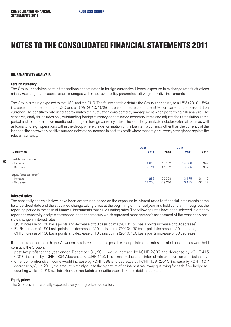#### 50. Sensitivity analysis

#### Foreign currency

The Group undertakes certain transactions denominated in foreign currencies. Hence, exposure to exchange rate fluctuations arises. Exchange rate exposures are managed within approved policy parameters utilizing derivative instruments.

The Group is mainly exposed to the USD and the EUR. The following table details the Group's sensitivity to a 15% (2010: 15%) increase and decrease to the USD and a 15% (2010: 15%) increase or decrease to the EUR compared to the presentation currency. The sensitivity rate used approximates the fluctuation considered by management when performing risk analysis. The sensitivity analysis includes only outstanding foreign currency denominated monetary items and adjusts their translation at the period end for a here above mentioned change in foreign currency rates. The sensitivity analysis includes external loans as well as loans to foreign operations within the Group where the denomination of the loan is in a currency other than the currency of the lender or the borrower. A positive number indicates an increase in post-tax profit where the foreign currency strengthens against the relevant currency.

|                          | <b>USD</b> |          | <b>EUR</b> |          |
|--------------------------|------------|----------|------------|----------|
| In $CHF'000$             | 2011       | 2010     | 2011       | 2010     |
| Post-tax net income      |            |          |            |          |
| - Increase               | $-1816$    | 15 187   | 14 8 6 8   | 3992     |
| - Decrease               | 2571       | $-17882$ | $-13985$   | $-3992$  |
| Equity (post-tax effect) |            |          |            |          |
| - Increase               | 14 28 6    | 20928    | 3 1 7 5    | 31 112   |
| - Decrease               | $-14286$   | $-19740$ | $-3175$    | $-31112$ |

#### Interest rates

60

The sensitivity analysis below have been determined based on the exposure to interest rates for financial instruments at the balance sheet date and the stipulated change taking place at the beginning of financial year and held constant throughout the reporting period in the case of financial instruments that have floating rates. The following rates have been selected in order to report the sensitivity analysis corresponding to the treasury which represent management's assessment of the reasonably possible change in interest rates:

- USD: increase of 150 basis points and decrease of 50 basis points (2010: 150 basis points increase or 50 decrease)
- EUR: increase of 150 basis points and decrease of 50 basis points (2010: 150 basis points increase or 50 decrease)
- CHF: increase of 100 basis points and decrease of 10 basis points (2010: 150 basis points increase or 50 decrease)

If interest rates had been higher/lower on the above mentioned possible change in interest rates and all other variables were held constant, the Group's:

- post-tax profit for the year ended December 31, 2011 would increase by kCHF 2332 and decrease by kCHF 415 (2010: increase by kCHF 1334 /decrease by kCHF 445). This is mainly due to the interest rate exposure on cash balances.
- other comprehensive income would increase by kCHF 399 and decrease by kCHF 129 (2010: increase by kCHF 10 / decrease by 3) . In 2011, the amount is mainly due to the signature of an interest rate swap qualifying for cash-flow hedge accounting while in 2010 available-for-sale marketable securities were linked to debt instruments.

#### Equity prices

The Group is not materially exposed to any equity price fluctuation.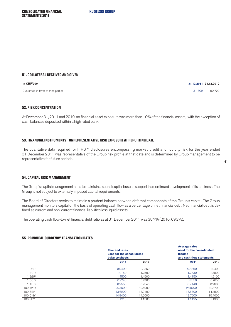Consolidated financial Kudelski Group STATEMENTS 2011

51. Collateral received and given

#### **In CHF'000 31.12.2011 31.12.2010**

Guarantee in favor of third parties 31 502 90 720

#### 52. Risk concentration

At December 31, 2011 and 2010, no financial asset exposure was more than 10% of the financial assets, with the exception of cash balances deposited within a high rated bank.

#### 53. Financial instruments - unrepresentative risk exposure at reporting date

The quantative data required for IFRS 7 disclosures encompassing market, credit and liquidity risk for the year ended 31 December 2011 was representative of the Group risk profile at that date and is determined by Group management to be representative for future periods.

#### 54. Capital risk management

The Group's capital management aims to maintain a sound capital base to support the continued development of its business. The Group is not subject to externally imposed capital requirements.

The Board of Directors seeks to maintain a prudent balance between different components of the Group's capital. The Group management monitors capital on the basis of operating cash flow as a percentage of net financial debt. Net financial debt is defined as current and non-current financial liabilities less liquid assets.

The operating cash flow-to-net financial debt ratio as at 31 December 2011 was 38.7% (2010: 69.2%).

#### 55. Principal currency translation rates

|                | <b>Year end rates</b><br>used for the consolidated<br>balance sheets |         | <b>Average rates</b><br>used for the consolidated<br>income<br>and cash flow statements |         |
|----------------|----------------------------------------------------------------------|---------|-----------------------------------------------------------------------------------------|---------|
|                | 2011                                                                 | 2010    | 2011                                                                                    | 2010    |
| <b>USD</b>     | 0.9400                                                               | 0.9350  | 0.8860                                                                                  | 1.0400  |
| <b>EUR</b>     | 1.2150                                                               | 1.2500  | 1.2330                                                                                  | 1.3800  |
| <b>GBP</b>     | 1.4500                                                               | 1.4500  | 1.4150                                                                                  | 1.6100  |
| SGD            | 0.7240                                                               | 0.7300  | 0.7050                                                                                  | 0.7650  |
| <b>AUD</b>     | 0.9550                                                               | 0.9540  | 0.9140                                                                                  | 0.9600  |
| 100 MYR        | 29,7000                                                              | 30,4000 | 28,9700                                                                                 | 32,3700 |
| 100 SEK        | 13.6200                                                              | 13.9100 | 13.6500                                                                                 | 14.4500 |
| <b>100 CNY</b> | 14.9400                                                              | 14.2000 | 13.7200                                                                                 | 15,4000 |
| 100 JPY        | 1.1213                                                               | 1.1500  | 1.1125                                                                                  | 1.1900  |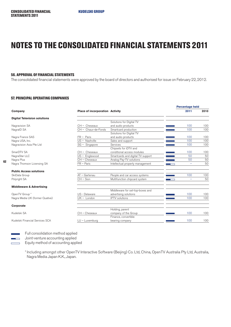#### 56. approval of financial statements

The consolidated financial statements were approved by the board of directors and authorised for issue on February 22, 2012.

#### 57. Principal operating companies

|                                     |                                        |                                   |                          | <b>Percentage held</b> |      |
|-------------------------------------|----------------------------------------|-----------------------------------|--------------------------|------------------------|------|
| Company                             | <b>Place of incorporation Activity</b> |                                   |                          | 2011                   | 2010 |
| <b>Digital Television solutions</b> |                                        |                                   |                          |                        |      |
|                                     |                                        | Solutions for Digital TV          |                          |                        |      |
| Nagravision SA                      | $CH -$ Cheseaux                        | and audio products                |                          | 100                    | 100  |
| NagralD SA                          | CH - Chaux-de-Fonds                    | Smartcard production              |                          | 100                    | 100  |
|                                     |                                        | Solutions for Digital TV          |                          |                        |      |
| Nagra France SAS                    | $FR - Paris$                           | and audio products                |                          | 100                    | 100  |
| Nagra USA, Inc.                     | $US - Nashville$                       | Sales and support                 |                          | 100                    | 100  |
| Nagravision Asia Pte Ltd            | SG - Singapore                         | Services                          |                          | 100                    | 100  |
|                                     |                                        | Chipsets for iDTV and             |                          |                        |      |
| SmarDTV SA                          | $CH -$ Cheseaux                        | conditional access modules        |                          | 100                    | 100  |
| NagraStar LLC                       | US-Englewood                           | Smartcards and digital TV support |                          | 50                     | 50   |
| Nagra Plus                          | CH - Cheseaux                          | Analog Pay-TV solutions           |                          | 50                     | 50   |
| Nagra Thomson Licensing SA          | $FR - Paris$                           | Intellectual property management  | <b>Contract Contract</b> |                        | 50   |
| <b>Public Access solutions</b>      |                                        |                                   |                          |                        |      |
| SkiData Group                       | AT - Gartenau                          | People and car access systems     |                          | 100                    | 100  |
| Polyright SA                        | $CH - Sion$                            | Multifunction chipcard system     |                          |                        | 50   |
| <b>Middleware &amp; Advertising</b> |                                        |                                   |                          |                        |      |
|                                     |                                        | Middleware for set-top-boxes and  |                          |                        |      |
| OpenTV Group*                       | US - Delaware                          | advertising solutions             |                          | 100                    | 100  |
| Nagra Media UK (former Quative)     | $UK - London$                          | <b>IPTV</b> solutions             |                          | 100                    | 100  |
| Corporate                           |                                        |                                   |                          |                        |      |
|                                     |                                        | Holding, parent                   |                          |                        |      |
| Kudelski SA                         | $CH -$ Cheseaux                        | company of the Group              |                          | 100                    | 100  |
|                                     |                                        | Finance, convertible              |                          |                        |      |
| Kudelski Financial Services SCA     | $LU$ – Luxemburg                       | bearing company                   |                          | 100                    | 100  |

Full consolidation method applied and the

Joint-venture accounting applied

Equity method of accounting applied  $\overline{\phantom{0}}$ 

> \* Including amongst other OpenTV Interactive Software (Beijing) Co. Ltd, China, OpenTV Australia Pty Ltd, Australia, Nagra Media Japan K.K., Japan.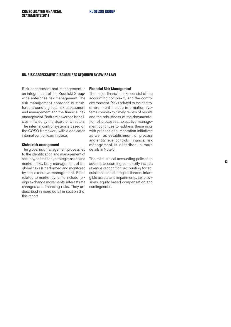#### 58. Risk assessment disclosures required by Swiss law

Risk assessment and management is an integral part of the Kudelski Groupwide enterprise risk management. The risk management approach is structured around a global risk assessment and management and the financial risk management. Both are governed by policies initiated by the Board of Directors. The internal control system is based on the COSO framework with a dedicated internal control team in place.

#### Global risk management

The global risk management process led to the identification and management of security, operational, strategic, asset and market risks. Daily management of the global risks is performed and monitored by the executive management. Risks related to market dynamic include foreign exchange movements, interest rate changes and financing risks. They are described in more detail in section 3 of this report.

#### Financial Risk Management

The major financial risks consist of the accounting complexity and the control environment. Risks related to the control environment include information systems complexity, timely review of results and the robustness of the documentation of processes. Executive management continues to address these risks with process documentation initiatives as well as establishment of process and entity level controls. Financial risk management is described in more details in Note 3.

The most critical accounting policies to address accounting complexity include revenue recognition, accounting for acquisitions and strategic alliances, intangible assets and impairments, tax provisions, equity based compensation and contingencies.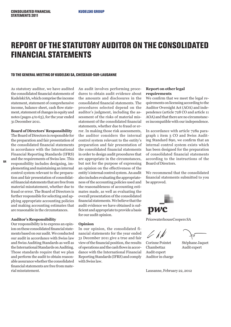### Report of the statutory auditor on the consolidated financial statements

#### to the general meeting of Kudelski SA, Cheseaux-sur-Lausanne

As statutory auditor, we have audited the consolidated financial statements of Kudelski SA, which comprise the income statement, statement of comprehensive income, balance sheet, cash flow statement, statement of changes in equity and notes (pages 4 to 63), for the year ended 31 December 2011.

#### **Board of Directors' Responsibility**

The Board of Directors is responsible for the preparation and fair presentation of the consolidated financial statements in accordance with the International Financial Reporting Standards (IFRS) and the requirements of Swiss law. This responsibility includes designing, implementing and maintaining an internal control system relevant to the preparation and fair presentation of consolidated financial statements that are free from material misstatement, whether due to fraud or error. The Board of Directors is further responsible for selecting and applying appropriate accounting policies and making accounting estimates that are reasonable in the circumstances.

#### **Auditor's Responsibility**

Our responsibility is to express an opinion on these consolidated financial statements based on our audit. We conducted our audit in accordance with Swiss law and Swiss Auditing Standards as well as the International Standards on Auditing. Those standards require that we plan and perform the audit to obtain reasonable assurance whether the consolidated financial statements are free from material misstatement.

An audit involves performing procedures to obtain audit evidence about the amounts and disclosures in the consolidated financial statements. The procedures selected depend on the auditor's judgment, including the assessment of the risks of material misstatement of the consolidated financial statements, whether due to fraud or error. In making those risk assessments, the auditor considers the internal control system relevant to the entity's preparation and fair presentation of the consolidated financial statements in order to design audit procedures that are appropriate in the circumstances, but not for the purpose of expressing an opinion on the effectiveness of the entity's internal control system. An audit also includes evaluating the appropriateness of the accounting policies used and the reasonableness of accounting estimates made, as well as evaluating the overall presentation of the consolidated financial statements. We believe that the audit evidence we have obtained is sufficient and appropriate to provide a basis for our audit opinion.

#### **Opinion**

In our opinion, the consolidated financial statements for the year ended 31 December 2011 give a true and fair view of the financial position, the results of operations and the cash flows in accordance with the International Financial Reporting Standards (IFRS) and comply with Swiss law.

#### **Report on other legal requirements**

We confirm that we meet the legal requirements on licensing according to the Auditor Oversight Act (AOA) and independence (article 728 CO and article 11 AOA) and that there are no circumstances incompatible with our independence.

In accordance with article 728a paragraph 1 item 3 CO and Swiss Auditing Standard 890, we confirm that an internal control system exists which has been designed for the preparation of consolidated financial statements according to the instructions of the Board of Directors.

We recommend that the consolidated financial statements submitted to you be approved.



PricewaterhouseCoopers SA

 $\angle$  kk

Corinne Pointet Stéphane Jaquet

Chambettaz Audit expert Audit expert Auditor in charge

Lausanne, February 22, 2012

64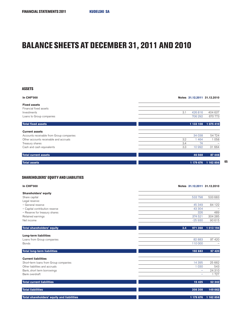### Balance sheets at December 31, 2011 and 2010

#### **ASSETS**

| <b>In CHF'000</b>                        |     | Notes 31.12.2011 31.12.2010 |           |
|------------------------------------------|-----|-----------------------------|-----------|
| <b>Fixed assets</b>                      |     |                             |           |
| Financial fixed assets                   |     |                             |           |
| Investments                              | 3.1 | 426816                      | 404 637   |
| Loans to Group companies                 |     | 706 292                     | 670 773   |
| <b>Total fixed assets</b>                |     | 1 133 108                   | 1 075 410 |
| <b>Current assets</b>                    |     |                             |           |
| Accounts receivable from Group companies |     | 34 038                      | 54 724    |
| Other accounts receivable and accruals   | 3.2 | 1 4 6 4                     | 1 0 5 8   |
| Treasury shares                          | 3.4 | 74                          |           |
| Cash and cash equivalents                | 3.3 | 10 992                      | 31 664    |
| <b>Total current assets</b>              |     | 46 568                      | 87 446    |
| <b>Total assets</b>                      |     | 1 179 676                   | 1 162 856 |

65

#### Shareholders' equity and liabilities

| <b>In CHF'000</b>                          | Notes 31.12.2011 31.12.2010 |                   |
|--------------------------------------------|-----------------------------|-------------------|
| <b>Shareholders' equity</b>                |                             |                   |
| Share capital                              | 533798                      | 533 683           |
| Legal reserve:                             |                             |                   |
| - General reserve                          | 45 349                      | 84 122            |
| - Capital contribution reserve             | 43 304                      |                   |
| - Reserve for treasury shares              | 326                         | 489               |
| Retained earnings<br>Net income            | 374 521<br>$-25930$         | 304 285<br>90 615 |
|                                            |                             |                   |
| <b>Total shareholders' equity</b>          | 971 368<br>3.4              | 1 013 194         |
| <b>Long-term liabilities</b>               |                             |                   |
| Loans from Group companies                 | 82 883                      | 97 4 20           |
| Bonds                                      | 110 000                     |                   |
|                                            |                             |                   |
| <b>Total long-term liabilities</b>         | 192 883                     | 97 420            |
| <b>Current liabilities</b>                 |                             |                   |
| Short-term loans from Group companies      | 14 3 9 5                    | 25 662            |
| Other liabilities and accruals             | 1 0 3 0                     | 543               |
| Bank, short term borrowings                | $\overline{\phantom{0}}$    | 24 3 10           |
| Bank overdraft                             | Ξ.                          | 1 727             |
| <b>Total current liabilities</b>           | 15 4 25                     | 52 242            |
| <b>Total liabilities</b>                   | 208 308                     | 149 662           |
| Total shareholders' equity and liabilities | 1 179 676                   | 1 162 856         |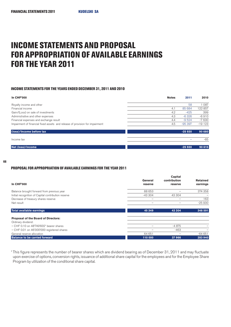### Income statements and proposal for appropriation of available earnings for the year 2011

#### Income statements for the years ended December 31, 2011 and 2010

| <b>In CHF'000</b>                                                            | <b>Notes</b> | 2011     | 2010     |
|------------------------------------------------------------------------------|--------------|----------|----------|
| Royalty income and other                                                     |              | 58       | 1 0 8 7  |
| Financial income                                                             | 4.1          | 85 684   | 122 857  |
| Gain/(Loss) on sale of investments                                           | 4.2          | $-425$   | 399      |
| Administrative and other expenses                                            | 4.3          | $-6326$  | $-6910$  |
| Financial expenses and exchange result                                       | 4.4          | $-9524$  | $-7630$  |
| Impairment of financial fixed assets and release of provision for impairment | 4.5          | $-95397$ | $-19123$ |
| (loss)/Income before tax                                                     |              | $-25930$ | 90 680   |
| Income tax                                                                   |              |          | $-65$    |
| <b>Net (loss)/income</b>                                                     |              | $-25930$ | 90 615   |

66

#### Proposal for appropriation of available earnings for the year 2011

|                                                     |                   | Capital      |          |
|-----------------------------------------------------|-------------------|--------------|----------|
|                                                     | General           | contribution | Retained |
| <b>In CHF'000</b>                                   | reserve           | reserve      | earnings |
| Balance brought forward from previous year          | 88 653            |              | 374 358  |
| Initial recognition of Capital contribution reserve | $-43304$          | 43 304       |          |
| Decrease of treasury shares reserve                 |                   |              | 163      |
| Net result                                          | $\qquad \qquad -$ |              | $-25930$ |
| Total available earnings                            | 45 349            | 43 304       | 348 591  |
| <b>Proposal of the Board of Directors:</b>          |                   |              |          |
| Ordinary dividend:                                  |                   |              |          |
| $-$ CHF 0.10 on 48'749'832* bearer shares           |                   | $-4875$      |          |
| - CHF 0.01 on 46'300'000 registered shares          |                   | $-463$       |          |
| General reserve allocation                          | 64 651            |              | $-64651$ |
| <b>Balance to be carried forward</b>                | 110 000           | 37966        | 283 940  |

\* This figure represents the number of bearer shares which are dividend bearing as of December 31, 2011 and may fluctuate upon exercise of options, conversion rights, issuance of additional share capital for the employees and for the Employee Share Program by utilization of the conditional share capital.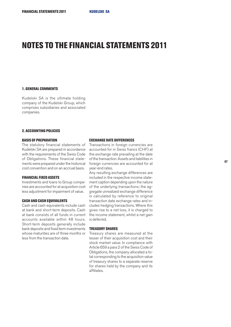### Notes to the financial statements 2011

#### 1. General Comments

Kudelski SA is the ultimate holding company of the Kudelski Group, which comprises subsidiaries and associated companies.

#### 2. Accounting Policies

#### BASIS OF PREPARATION

The statutory financial statements of Kudelski SA are prepared in accordance with the requirements of the Swiss Code of Obligations. These financial statements were prepared under the historical cost convention and on an accrual basis.

#### FINANCIAL FIXED ASSETS

Investments and loans to Group companies are accounted for at acquisition cost less adjustment for impairment of value.

#### CASH AND CASH EQUIVALENTS

Cash and cash equivalents include cash at bank and short-term deposits. Cash at bank consists of all funds in current accounts available within 48 hours. Short-term deposits generally include bank deposits and fixed term investments whose maturities are of three months or less from the transaction date.

#### EXCHANGE RATE DIFFERENCES

Transactions in foreign currencies are accounted for in Swiss francs (CHF) at the exchange rate prevailing at the date of the transaction. Assets and liabilities in foreign currencies are accounted for at year-end rates.

Any resulting exchange differences are included in the respective income statement caption depending upon the nature of the underlying transactions; the aggregate unrealized exchange difference is calculated by reference to original transaction date exchange rates and includes hedging transactions. Where this gives rise to a net loss, it is charged to the income statement, whilst a net gain is deferred.

#### TREASURY SHARES

Treasury shares are measured at the lesser of their acquisition cost and their stock market value. In compliance with Article 659 a para 2 of the Swiss Code of Obligations, the company allocated a total corresponding to the acquisition value of treasury shares to a separate reserve for shares held by the company and its affiliates.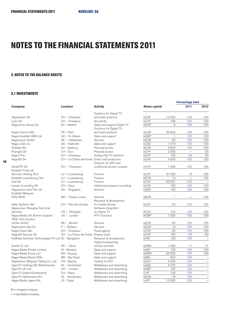### Notes to the financial statements 2011

### 3. Notes to the balance sheets

#### 3.1 Investments

68

|                                                      |                                              |                                                          |                      |              | <b>Percentage held</b> |                                                      |
|------------------------------------------------------|----------------------------------------------|----------------------------------------------------------|----------------------|--------------|------------------------|------------------------------------------------------|
| Company                                              | Location                                     | <b>Activity</b>                                          | <b>Share capital</b> |              | 2011                   | 2010                                                 |
|                                                      |                                              | Solutions for Digital TV                                 |                      |              |                        |                                                      |
| Nagravision SA                                       | CH - Cheseaux                                | and audio products                                       | <b>kCHF</b>          | 12 000       | 100                    | 100                                                  |
| Lysis SA                                             | CH - Cheseaux                                | No activity                                              | <b>kCHF</b>          | 100          | 100                    | 100                                                  |
| Nagravision Iberica SL                               | $ES - Madrid$                                | Sales and support Digital TV<br>Solutions for Digital TV | <b>kEUR</b>          | 3            | 100                    | 100                                                  |
| Nagra France SAS                                     | $FR - Paris$                                 | and audio products                                       | kEUR                 | 32 833       | 100                    | 100                                                  |
| Nagra Kudelski (GB) Ltd                              | UK - St. Albans                              | Sales and support                                        | kGBP                 | $\mathbf{1}$ | 100                    | 100                                                  |
| Nagravision GmbH                                     | $DE - Hildesheim$                            | Services                                                 | kEUR                 | 25           | 100                    | 100                                                  |
| Nagra USA, Inc.                                      | $US - Nashville$                             | Sales and support                                        | kUSD                 | 1010         | 100                    | 100                                                  |
| SkiData AG                                           | AU - Salzburg                                | Physical access                                          | kEUR                 | 3634         | 100                    | 100                                                  |
| Polyright SA                                         | CH - Sion                                    | Physical access                                          | <b>kCHF</b>          | 2000         | $\equiv$               | 50                                                   |
| Nagra Plus                                           | $CH -$ Cheseaux                              | Analog Pay-TV solutions                                  | <b>kCHF</b>          | 100          | 50                     | 50                                                   |
| NagraID SA                                           | CH - La Chaux-de-Fonds Smart card production |                                                          | kCHF                 | 4 0 0 0      | 100                    | 100                                                  |
|                                                      |                                              | Chipsets for iDTV and                                    |                      |              |                        |                                                      |
| SmarDTV SA                                           | $CH -$ Cheseaux                              | conditional access modules                               | <b>kCHF</b>          | 1 000        | 100                    | 100                                                  |
| Kudelski Financial                                   |                                              |                                                          |                      |              |                        |                                                      |
| Services Holding SCA                                 | $LU$ – Luxembourg                            | Finance                                                  | <b>kCHF</b>          | 37 050       | M                      | 100                                                  |
| Kudelski Luxembourg Sàrl                             | $LU$ – Luxembourg                            | Finance                                                  | <b>kEUR</b>          | 13           | L                      | 100                                                  |
| Kud SA                                               | $LU$ – Luxembourg                            | Finance                                                  | <b>kCHF</b>          | 63 531       | 100                    |                                                      |
| Leman Consulting SA                                  | $CH - Nyon$                                  | Intellectual property consulting                         | <b>kCHF</b>          | 100          | 100                    | 100                                                  |
| Nagravision Asia Pte Ltd                             | $SG - Singapore$                             | Services                                                 | kSGD                 | 100          | 100                    | 100                                                  |
| Kudelski Malaysia                                    |                                              |                                                          |                      |              |                        |                                                      |
| SDN. BHD.                                            | MA - Kuala Lumpur                            | Services                                                 | kMYR                 |              | L                      | 100                                                  |
|                                                      |                                              | Research & development                                   |                      |              |                        |                                                      |
| Abilis Systems Sàrl                                  | CH - Plan-les-Ouates                         | for mobile phones                                        | <b>kCHF</b>          | 20           | 100                    | 100                                                  |
| Nagravision Shanghaï Technical                       |                                              | Software integration                                     |                      |              |                        |                                                      |
| Services                                             | CN-Shanghaï                                  | for Digital TV                                           | <b>KCNY</b>          | 100          | 100                    | 100                                                  |
| Nagra Media UK (former Quative)                      | $UK - London$                                | <b>IPTV Solutions</b>                                    | <b>KGBP</b>          | 1 0 0 0      | 100                    | 100                                                  |
| <b>TESC Test Solution</b>                            |                                              |                                                          |                      |              |                        |                                                      |
| Center GmbH                                          | $DE -$ Munich                                | Services                                                 | kEUR                 | 25           | 100                    | 100                                                  |
| Nagravision Italy Srl                                | $IT - Bolzano$                               | Services                                                 | <b>kEUR</b>          | 10<br>50     | 100                    | 100                                                  |
| Nagra Travel Sàrl                                    | CH - Cheseaux                                | Travel agency                                            | <b>kCHF</b>          |              | 100                    | 100                                                  |
| NagralD Security SA                                  | CH - La Chaux-de-Fonds Display cards         |                                                          | <b>kCHF</b>          | 100          | 50                     | 50                                                   |
| EnMedia Software Technologies Pvt Ltd IN - Bangalore |                                              | Research & development<br>Digital broadcasting           | kINR                 | 100          | 100                    | $\overline{\phantom{a}}$                             |
| Acetel Co Ltd                                        | SK - Séoul                                   | solution provider                                        | kKRW                 | 1 460        | 17                     | 17                                                   |
| Nagra Media Private Limited                          | IN - Mumbai                                  | Sales and support                                        | kINR                 | 100          | 100                    | 100                                                  |
| Nagra Media Korea LLC                                | KR - Anyang                                  | Sales and support                                        | kKRW                 | 50 000       | 100                    | 100                                                  |
| Nagra Media Brasil LTDA                              | BR - São Paulo                               | Sales and support                                        | <b>kBRL</b>          | 553          | 100                    | $\overline{\phantom{m}}$                             |
| Nagravision (Beijing) Trading Co., Ltd               | CN - Beijing                                 | Trading for DTV                                          | kCNY                 | 5 0 0 0      | 100                    | $\overline{\phantom{m}}$                             |
| OpenTV Holdings BV (Netherlands)                     | NL - Amsterdam                               |                                                          | kUSD                 | 5 2 7 0      | 100                    | $\overline{\phantom{0}}$                             |
|                                                      | $UK - London$                                | Middleware and advertising                               | kGBP                 |              | 100                    | $\qquad \qquad -$                                    |
| OpenTV UK Ltd<br>OpenTV GmbH (Switzerland)           | CH - Stans                                   | Middleware and advertising<br>Middleware and advertising | CHF                  | 100<br>100   | 100                    |                                                      |
|                                                      | NL - Amsterdam                               |                                                          |                      |              |                        |                                                      |
| OpenTV Netherlands B.V.                              | JP - Tokyo                                   | Middleware and advertising                               | kEUR<br>kJPY         | 18<br>10 000 | 100<br>100             | $\overline{\phantom{a}}$<br>$\overline{\phantom{m}}$ |
| Nagra Media Japan K.K.                               |                                              | Middleware and advertising                               |                      |              |                        |                                                      |

 $M$  = merged company

 $L =$  liquidated company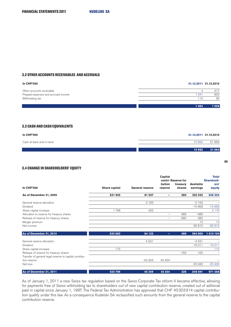#### 3.2 Other accounts receivables and accruals

| In $CHF'000$                        | 31.12.2011 31.12.2010 |      |
|-------------------------------------|-----------------------|------|
| Other accounts receivable           |                       | 417  |
| Prepaid expenses and accrued income | 1 3 4 1               | 602  |
| Withholding tax                     | 119                   | 39   |
|                                     | 1464                  | 1058 |

#### 3.3 Cash and cash equivalents

| In $CHF'000$             | 31.12.2011 31.12.2010 |        |
|--------------------------|-----------------------|--------|
| Cash at bank and in hand | 10 992                | 31 664 |
|                          | 10 992                | 31 664 |

#### 3.4 Change in shareholders' equity

|                                                        |                      |                        | Capital<br>bution        | contri-Reserve for<br>treasury | Available | <b>Total</b><br>Sharehold-<br>ers' |
|--------------------------------------------------------|----------------------|------------------------|--------------------------|--------------------------------|-----------|------------------------------------|
| <b>In CHF'000</b>                                      | <b>Share capital</b> | <b>General reserve</b> | reserve                  | shares                         | earnings  | equity                             |
| As of December 31, 2009                                | 531935               | 81 507                 | -                        | 380                            | 322 532   | 936 354                            |
| General reserve allocation                             |                      | 2 1 9 3                |                          |                                | $-2193$   |                                    |
| Dividend                                               |                      |                        |                          |                                | $-15958$  | $-15958$                           |
| Share capital increase                                 | 1748                 | 422                    |                          |                                |           | 2 1 7 0                            |
| Allocation to reserve for treasury shares              |                      |                        | $\overline{\phantom{0}}$ | 489                            | $-489$    | -                                  |
| Release of reserve for treasury shares                 |                      |                        | $\overline{\phantom{0}}$ | $-380$                         | 380       |                                    |
| Merger premium                                         |                      |                        |                          |                                | 13        | 13                                 |
| Net income                                             |                      |                        |                          |                                | 90 615    | 90 615                             |
| As of December 31, 2010                                | 533 683              | 84 122                 | ٠                        | 489                            | 394 900   | 1 013 194                          |
| General reserve allocation                             |                      | 4531                   |                          |                                | $-4531$   |                                    |
| Dividend                                               |                      |                        |                          |                                | $-16011$  | $-16011$                           |
| Share capital increase                                 | 115                  |                        |                          |                                |           | 115                                |
| Release of reserve for treasury shares                 |                      |                        |                          | $-163$                         | 163       |                                    |
| Transfer of general legal reserve to capital contribu- |                      |                        |                          |                                |           |                                    |
| tion reserve                                           |                      | $-43.304$              | 43 304                   |                                |           |                                    |
| Net loss                                               |                      |                        |                          |                                | $-25930$  | $-25930$                           |
| As of December 31, 2011                                | 533 798              | 45 349                 | 43 304                   | 326                            | 348 591   | 971 368                            |

As of January 1, 2011 a new Swiss tax regulation based on the Swiss Corporate Tax reform II became effective, allowing for payments free of Swiss withholding tax to shareholders out of new capital contribution reserve, created out of aditional paid in capital since January 1, 1997. The Federal Tax Administration has approved that CHF 43303914 capital contribution qualify under this law. As a consequence Kudelski SA reclassified such amounts from the general reserve to the capital contribution reserve.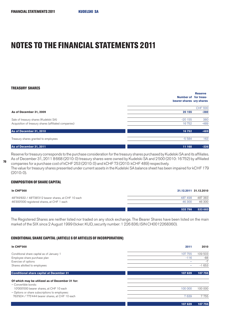## Notes to the financial statements 2011

#### Treasury shares

|                                                       | Number of for treas-<br>bearer shares ury shares | <b>Reserve</b>  |
|-------------------------------------------------------|--------------------------------------------------|-----------------|
|                                                       |                                                  | <b>CHF '000</b> |
| As of December 31, 2009                               | 20 155                                           | $-380$          |
| Sale of treasury shares (Kudelski SA)                 | $-20155$                                         | 380             |
| Acquisition of treasury shares (affiliated companies) | 16752                                            | -489            |
| As of December 31, 2010                               | 16752                                            | $-489$          |
| Treasury shares granted to employees                  | $-5584$                                          | 163             |
| As of December 31, 2011                               | 11 168                                           | $-326$          |

Reserve for treasury corresponds to the purchase consideration for the treasury shares purchased by Kudelski SA and its affiliates. As of December 31, 2011 8668 (2010: 0) treasury shares were owned by Kudelski SA and 2500 (2010: 16752) by affiliated companies for a purchase cost of kCHF 253 (2010: 0) and kCHF 73 (2010: kCHF 489) respectively.

The value for treasury shares presented under current assets in the Kudelski SA balance sheet has been impaired for kCHF 179 (2010: 0).

#### Composition of share capital

| In $CHF'000$                                          | 31.12.2011 31.12.2010 |         |
|-------------------------------------------------------|-----------------------|---------|
| 48'749'832 / 48'738'312 bearer shares, at CHF 10 each | 487 498               | 487 383 |
| 46'300'000 registered shares, at CHF 1 each           | 46 300                | 46 300  |
|                                                       | 533798                | 533 683 |

The Registered Shares are neither listed nor traded on any stock exchange. The Bearer Shares have been listed on the main market of the SIX since 2 August 1999 (ticker: KUD, security number: 1 226 836; ISIN CH0012268360).

#### Conditional share capital (article 6 of Articles of incorporation)

| <b>In CHF'000</b>                                                                                                  | 2011    | 2010    |
|--------------------------------------------------------------------------------------------------------------------|---------|---------|
| Conditional share capital as of January 1                                                                          | 107 755 | 109 503 |
| Employee share purchase plan                                                                                       | $-116$  | -88     |
| Exercise of options                                                                                                |         | $-7$    |
| Shares allotted to employees                                                                                       |         | $-1653$ |
| <b>Conditional share capital at December 31</b>                                                                    | 107 639 | 107 755 |
| Of which may be utilized as of December 31 for:                                                                    |         |         |
| - Convertible bonds:<br>10'000'000 bearer shares, at CHF 10 each<br>- Options or share subscriptions to employees: | 100 000 | 100 000 |
| 763'924 / 775'444 bearer shares, at CHF 10 each                                                                    | 7639    | 7755    |
|                                                                                                                    | 107 639 | 107 755 |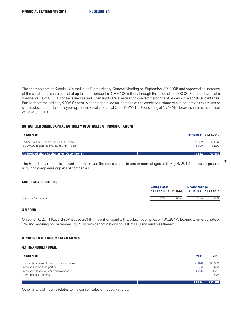The shareholders of Kudelski SA met in an Extraordinary General Meeting on September 30, 2005 and approved an increase of the conditional share capital of up to a total amount of CHF 100 million, through the issue of 10 000 000 bearer shares of a nominal value of CHF 10, to be issued as and when rights are exercised to convert the bonds of Kudelski SA and its subsidiaries. Furthermore the ordinary 2008 General Meeting approved an increase of the conditional share capital for options exercises or share subscriptions to employees up to a maximal amount of CHF 17 477 820 consisting of 1 747 782 bearer shares of a nominal value of CHF 10.

#### Authorized share capital (Article 7 of Articles of Incorporation)

| In $CHF'000$                               |         | 31.12.2011 31.12.2010 |
|--------------------------------------------|---------|-----------------------|
| 3'768'164 bearer shares, at CHF 10 each    | 37 682  | 37 682                |
| 3'200'000 registered shares, at CHF 1 each | 3.200   | 3 200                 |
| Authorized share capital as of December 31 | 40 8 82 | 40 8 82               |

The Board of Directors is authorized to increase the share capital in one or more stages until May 4, 2012, for the purpose of acquiring companies or parts of companies.

#### Major shareholders

|                      | <b>Voting rights</b> |                       |                       | <b>Shareholdings</b> |  |
|----------------------|----------------------|-----------------------|-----------------------|----------------------|--|
|                      |                      | 31.12.2011 31.12.2010 | 31.12.2011 31.12.2010 |                      |  |
| Kudelski family pool | 57%                  | 57%                   | 24%                   | 24%                  |  |

#### 3.5 BOND

On June 16, 2011 Kudelski SA issued a CHF 110 million bond with a subscription price of 100.284%, bearing an interest rate of 3% and maturing on December 16, 2016 with denominations of CHF 5 000 and multiples thereof.

#### 4. Notes to the income statements

#### 4.1 Financial income

| In $CHF'000$                               | 2011   | 2010   |
|--------------------------------------------|--------|--------|
| Dividends received from Group subsidiaries | 53 876 | 92 224 |
| Interest income third parties              | 733    | 664    |
| Interest on loans to Group subsidiaries    | 31 075 | 29 743 |
| Other financial income                     |        | 226    |

Other financial income relates to the gain on sales of treasury shares.

**85 684 122 857**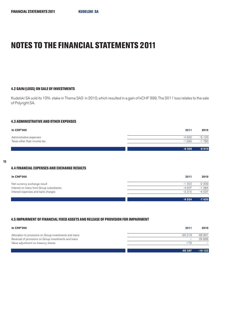### Notes to the financial statements 2011

#### 4.2 Gain/(LOSS) on sale of investments

Kudelski SA sold its 10% stake in Thema SAS in 2010, which resulted in a gain of kCHF 399. The 2011 loss relates to the sale of Polyright SA.

#### 4.3 Administrative and other expenses

| <b>In CHF'000</b>                                      | 2011               | 2010               |
|--------------------------------------------------------|--------------------|--------------------|
| Administrative expenses<br>Taxes other than income tax | $-4630$<br>$-1696$ | $-5120$<br>$-1790$ |
|                                                        | $-6326$            | -6 910             |

72

#### 4.4 Financial expenses and exchange results

| In CHF'000                                | 2011     | 2010     |
|-------------------------------------------|----------|----------|
| Net currency exchange result              | $-1.302$ | $-2209$  |
| Interest on loans from Group subsidiaries | $-4907$  | $-1.384$ |
| Interest expenses and bank charges        | $-3.315$ | $-4037$  |
|                                           |          |          |
|                                           | $-9524$  | $-7630$  |

#### 4.5 Impairment of financial fixed assets and release of provision for impairment

| <b>In CHF'000</b>                                       | 2011     | 2010      |
|---------------------------------------------------------|----------|-----------|
| Allocation to provisions on Group investments and loans | $-95218$ | -48 991   |
| Reversal of provisions on Group investments and loans   |          | 29 8 68   |
| Value adjustment on treasury shares                     | $-179$   |           |
|                                                         | $-95397$ | $-19$ 123 |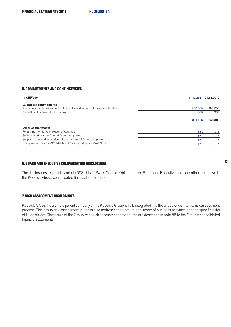# 5. Commitments and contingencies

| In CHF'000                                                                       |         | 31.12.2011 31.12.2010 |
|----------------------------------------------------------------------------------|---------|-----------------------|
| <b>Guarantee commitments</b>                                                     |         |                       |
| Guarantees for the repayment of the capital and interest of the convertible bond | 350 000 | 350 000               |
| Commitment in favor of third parties                                             | 1 666   | 385                   |
|                                                                                  | 351 666 | 350 385               |
| <b>Other commitments</b>                                                         |         |                       |
| Penalty risk for non-completion of contracts                                     | p.m.    | p.m.                  |
| Subordinated loans in favor of Group companies                                   | p.m.    | p.m.                  |
| Support letters and guarantees signed in favor of Group companies                | p.m.    | p.m.                  |
| Jointly responsible for VAT liabilities of Swiss subsidiaries (VAT Group)        | p.m.    | p.m.                  |

## 6. Board and Executive compensation disclosures

The disclosures required by article 663b bis of Swiss Code of Obligations on Board and Executive compensation are shown in the Kudelski Group consolidated financial statements.

# 7. RISK ASSESSMENT DISCLOSURES

Kudelski SA, as the ultimate parent company of the Kudelski Group, is fully integrated into the Group-wide internal risk assessment process. This group risk assessment process also addresses the nature and scope of business activities and the specific risks of Kudelski SA. Disclosure of the Group-wide risk assessment procedures are described in note 58 to the Group's consolidated financial statements.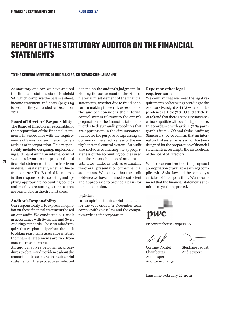# Report of the statutory auditor on the financial **STATEMENTS**

#### to the general meeting of Kudelski SA, Cheseaux-sur-Lausanne

As statutory auditor, we have audited the financial statements of Kudelski SA, which comprise the balance sheet, income statement and notes (pages 65 to 73), for the year ended 31 December 2011.

## **Board of Directors' Responsibility**

The Board of Directors is responsible for the preparation of the financial statements in accordance with the requirements of Swiss law and the company's articles of incorporation. This responsibility includes designing, implementing and maintaining an internal control system relevant to the preparation of financial statements that are free from material misstatement, whether due to fraud or error. The Board of Directors is further responsible for selecting and applying appropriate accounting policies and making accounting estimates that are reasonable in the circumstances.

#### **Auditor's Responsibility**

74

Our responsibility is to express an opinion on these financial statements based on our audit. We conducted our audit in accordance with Swiss law and Swiss Auditing Standards. Those standards require that we plan and perform the audit to obtain reasonable assurance whether the financial statements are free from material misstatement.

An audit involves performing procedures to obtain audit evidence about the amounts and disclosures in the financial statements. The procedures selected

depend on the auditor's judgment, including the assessment of the risks of material misstatement of the financial statements, whether due to fraud or error. In making those risk assessments, the auditor considers the internal control system relevant to the entity's preparation of the financial statements in order to design audit procedures that are appropriate in the circumstances, but not for the purpose of expressing an opinion on the effectiveness of the entity's internal control system. An audit also includes evaluating the appropriateness of the accounting policies used and the reasonableness of accounting estimates made, as well as evaluating the overall presentation of the financial statements. We believe that the audit evidence we have obtained is sufficient and appropriate to provide a basis for our audit opinion.

#### **Opinion**

In our opinion, the financial statements for the year ended 31 December 2011 comply with Swiss law and the company's articles of incorporation.

### **Report on other legal requirements**

We confirm that we meet the legal requirements on licensing according to the Auditor Oversight Act (AOA) and independence (article 728 CO and article 11 AOA) and that there are no circumstances incompatible with our independence. In accordance with article 728a paragraph 1 item 3 CO and Swiss Auditing Standard 890, we confirm that an internal control system exists which has been designed for the preparation of financial statements according to the instructions of the Board of Directors.

We further confirm that the proposed appropriation of available earnings complies with Swiss law and the company's articles of incorporation. We recommend that the financial statements submitted to you be approved.



PricewaterhouseCoopers SA

 $\ell$  kN

Chambettaz Audit expert Audit expert Auditor in charge

Corinne Pointet Stéphane Jaquet

Lausanne, February 22, 2012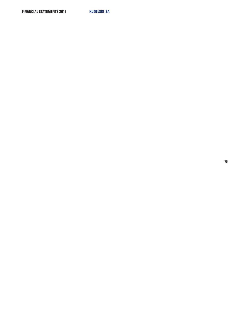financial statements 2011 Kudelski SA

75